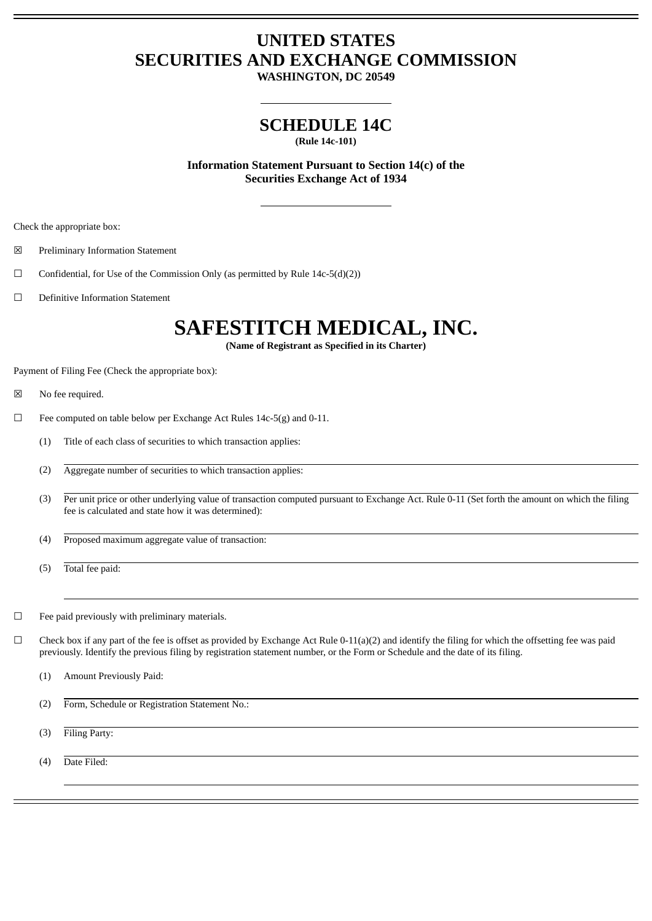# **UNITED STATES SECURITIES AND EXCHANGE COMMISSION**

**WASHINGTON, DC 20549**

# **SCHEDULE 14C**

**(Rule 14c-101)**

**Information Statement Pursuant to Section 14(c) of the Securities Exchange Act of 1934**

Check the appropriate box:

- ☒ Preliminary Information Statement
- $\Box$  Confidential, for Use of the Commission Only (as permitted by Rule 14c-5(d)(2))
- ☐ Definitive Information Statement

# **SAFESTITCH MEDICAL, INC.**

**(Name of Registrant as Specified in its Charter)**

Payment of Filing Fee (Check the appropriate box):

- ☒ No fee required.
- ☐ Fee computed on table below per Exchange Act Rules 14c-5(g) and 0-11.
	- (1) Title of each class of securities to which transaction applies:
	- (2) Aggregate number of securities to which transaction applies:
	- (3) Per unit price or other underlying value of transaction computed pursuant to Exchange Act. Rule 0-11 (Set forth the amount on which the filing fee is calculated and state how it was determined):
	- (4) Proposed maximum aggregate value of transaction:
	- (5) Total fee paid:
- $\Box$  Fee paid previously with preliminary materials.
- $\Box$  Check box if any part of the fee is offset as provided by Exchange Act Rule 0-11(a)(2) and identify the filing for which the offsetting fee was paid previously. Identify the previous filing by registration statement number, or the Form or Schedule and the date of its filing.
	- (1) Amount Previously Paid:
	- (2) Form, Schedule or Registration Statement No.:
	- (3) Filing Party:
	- (4) Date Filed: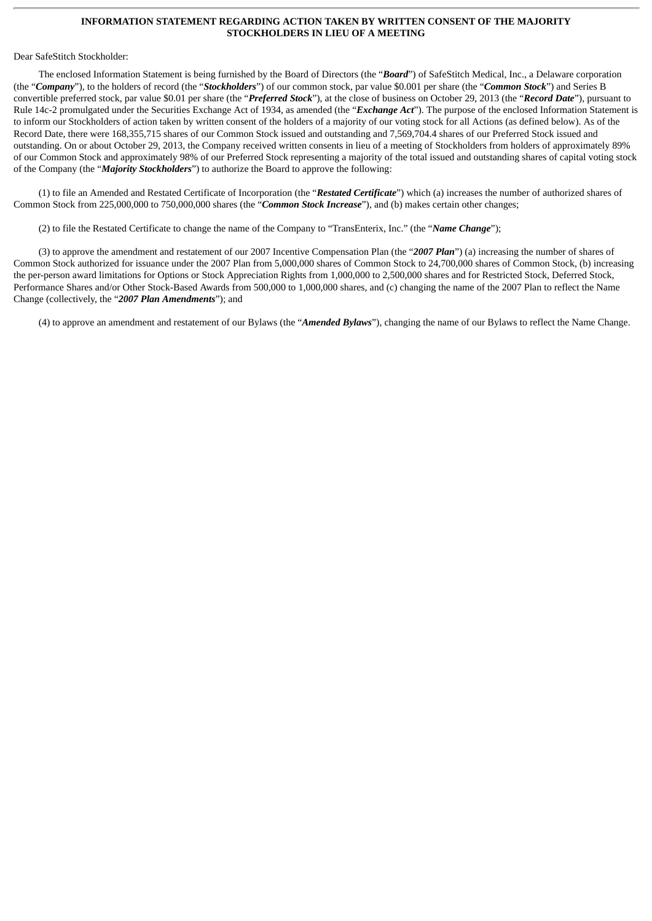## **INFORMATION STATEMENT REGARDING ACTION TAKEN BY WRITTEN CONSENT OF THE MAJORITY STOCKHOLDERS IN LIEU OF A MEETING**

Dear SafeStitch Stockholder:

The enclosed Information Statement is being furnished by the Board of Directors (the "*Board*") of SafeStitch Medical, Inc., a Delaware corporation (the "*Company*"), to the holders of record (the "*Stockholders*") of our common stock, par value \$0.001 per share (the "*Common Stock*") and Series B convertible preferred stock, par value \$0.01 per share (the "*Preferred Stock*"), at the close of business on October 29, 2013 (the "*Record Date*"), pursuant to Rule 14c-2 promulgated under the Securities Exchange Act of 1934, as amended (the "*Exchange Act*"). The purpose of the enclosed Information Statement is to inform our Stockholders of action taken by written consent of the holders of a majority of our voting stock for all Actions (as defined below). As of the Record Date, there were 168,355,715 shares of our Common Stock issued and outstanding and 7,569,704.4 shares of our Preferred Stock issued and outstanding. On or about October 29, 2013, the Company received written consents in lieu of a meeting of Stockholders from holders of approximately 89% of our Common Stock and approximately 98% of our Preferred Stock representing a majority of the total issued and outstanding shares of capital voting stock of the Company (the "*Majority Stockholders*") to authorize the Board to approve the following:

(1) to file an Amended and Restated Certificate of Incorporation (the "*Restated Certificate*") which (a) increases the number of authorized shares of Common Stock from 225,000,000 to 750,000,000 shares (the "*Common Stock Increase*"), and (b) makes certain other changes;

(2) to file the Restated Certificate to change the name of the Company to "TransEnterix, Inc." (the "*Name Change*");

(3) to approve the amendment and restatement of our 2007 Incentive Compensation Plan (the "*2007 Plan*") (a) increasing the number of shares of Common Stock authorized for issuance under the 2007 Plan from 5,000,000 shares of Common Stock to 24,700,000 shares of Common Stock, (b) increasing the per-person award limitations for Options or Stock Appreciation Rights from 1,000,000 to 2,500,000 shares and for Restricted Stock, Deferred Stock, Performance Shares and/or Other Stock-Based Awards from 500,000 to 1,000,000 shares, and (c) changing the name of the 2007 Plan to reflect the Name Change (collectively, the "*2007 Plan Amendments*"); and

(4) to approve an amendment and restatement of our Bylaws (the "*Amended Bylaws*"), changing the name of our Bylaws to reflect the Name Change.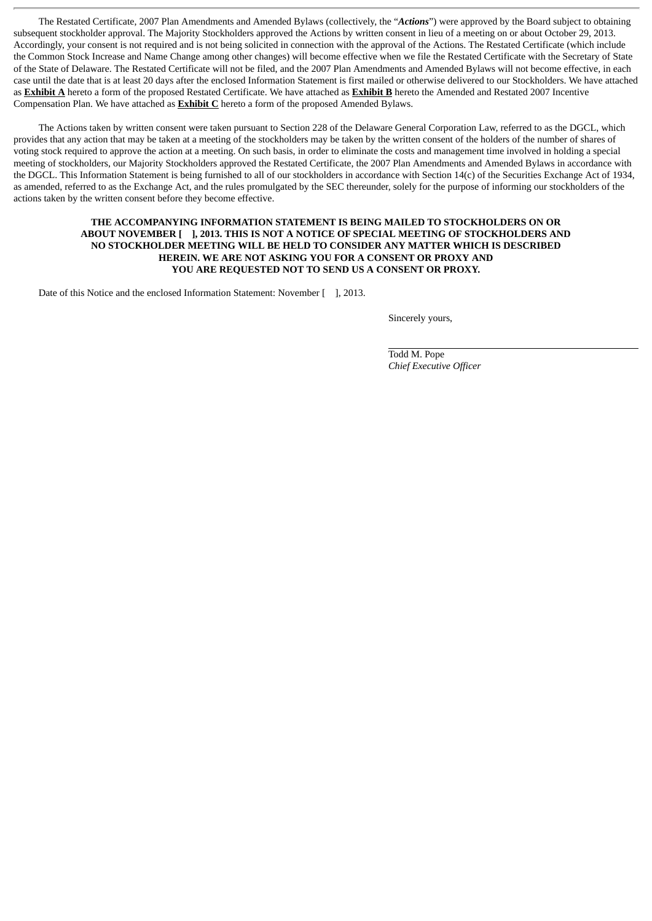The Restated Certificate, 2007 Plan Amendments and Amended Bylaws (collectively, the "*Actions*") were approved by the Board subject to obtaining subsequent stockholder approval. The Majority Stockholders approved the Actions by written consent in lieu of a meeting on or about October 29, 2013. Accordingly, your consent is not required and is not being solicited in connection with the approval of the Actions. The Restated Certificate (which include the Common Stock Increase and Name Change among other changes) will become effective when we file the Restated Certificate with the Secretary of State of the State of Delaware. The Restated Certificate will not be filed, and the 2007 Plan Amendments and Amended Bylaws will not become effective, in each case until the date that is at least 20 days after the enclosed Information Statement is first mailed or otherwise delivered to our Stockholders. We have attached as **Exhibit A** hereto a form of the proposed Restated Certificate. We have attached as **Exhibit B** hereto the Amended and Restated 2007 Incentive Compensation Plan. We have attached as **Exhibit C** hereto a form of the proposed Amended Bylaws.

The Actions taken by written consent were taken pursuant to Section 228 of the Delaware General Corporation Law, referred to as the DGCL, which provides that any action that may be taken at a meeting of the stockholders may be taken by the written consent of the holders of the number of shares of voting stock required to approve the action at a meeting. On such basis, in order to eliminate the costs and management time involved in holding a special meeting of stockholders, our Majority Stockholders approved the Restated Certificate, the 2007 Plan Amendments and Amended Bylaws in accordance with the DGCL. This Information Statement is being furnished to all of our stockholders in accordance with Section 14(c) of the Securities Exchange Act of 1934, as amended, referred to as the Exchange Act, and the rules promulgated by the SEC thereunder, solely for the purpose of informing our stockholders of the actions taken by the written consent before they become effective.

## **THE ACCOMPANYING INFORMATION STATEMENT IS BEING MAILED TO STOCKHOLDERS ON OR ABOUT NOVEMBER [ ], 2013. THIS IS NOT A NOTICE OF SPECIAL MEETING OF STOCKHOLDERS AND NO STOCKHOLDER MEETING WILL BE HELD TO CONSIDER ANY MATTER WHICH IS DESCRIBED HEREIN. WE ARE NOT ASKING YOU FOR A CONSENT OR PROXY AND YOU ARE REQUESTED NOT TO SEND US A CONSENT OR PROXY.**

Date of this Notice and the enclosed Information Statement: November [ ], 2013.

Sincerely yours,

Todd M. Pope *Chief Executive Officer*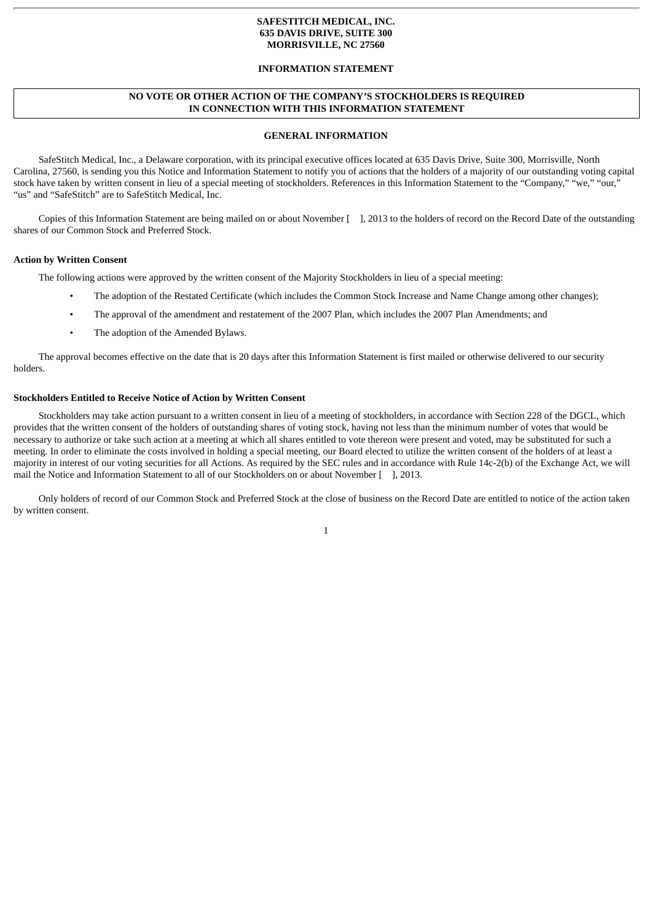## **SAFESTITCH MEDICAL, INC. 635 DAVIS DRIVE, SUITE 300 MORRISVILLE, NC 27560**

## **INFORMATION STATEMENT**

## **NO VOTE OR OTHER ACTION OF THE COMPANY'S STOCKHOLDERS IS REQUIRED IN CONNECTION WITH THIS INFORMATION STATEMENT**

#### **GENERAL INFORMATION**

SafeStitch Medical, Inc., a Delaware corporation, with its principal executive offices located at 635 Davis Drive, Suite 300, Morrisville, North Carolina, 27560, is sending you this Notice and Information Statement to notify you of actions that the holders of a majority of our outstanding voting capital stock have taken by written consent in lieu of a special meeting of stockholders. References in this Information Statement to the "Company," "we," "our," "us" and "SafeStitch" are to SafeStitch Medical, Inc.

Copies of this Information Statement are being mailed on or about November [ ], 2013 to the holders of record on the Record Date of the outstanding shares of our Common Stock and Preferred Stock.

#### **Action by Written Consent**

The following actions were approved by the written consent of the Majority Stockholders in lieu of a special meeting:

- The adoption of the Restated Certificate (which includes the Common Stock Increase and Name Change among other changes);
- The approval of the amendment and restatement of the 2007 Plan, which includes the 2007 Plan Amendments; and
- The adoption of the Amended Bylaws.

The approval becomes effective on the date that is 20 days after this Information Statement is first mailed or otherwise delivered to our security holders.

## **Stockholders Entitled to Receive Notice of Action by Written Consent**

Stockholders may take action pursuant to a written consent in lieu of a meeting of stockholders, in accordance with Section 228 of the DGCL, which provides that the written consent of the holders of outstanding shares of voting stock, having not less than the minimum number of votes that would be necessary to authorize or take such action at a meeting at which all shares entitled to vote thereon were present and voted, may be substituted for such a meeting. In order to eliminate the costs involved in holding a special meeting, our Board elected to utilize the written consent of the holders of at least a majority in interest of our voting securities for all Actions. As required by the SEC rules and in accordance with Rule 14c-2(b) of the Exchange Act, we will mail the Notice and Information Statement to all of our Stockholders on or about November [ ], 2013.

Only holders of record of our Common Stock and Preferred Stock at the close of business on the Record Date are entitled to notice of the action taken by written consent.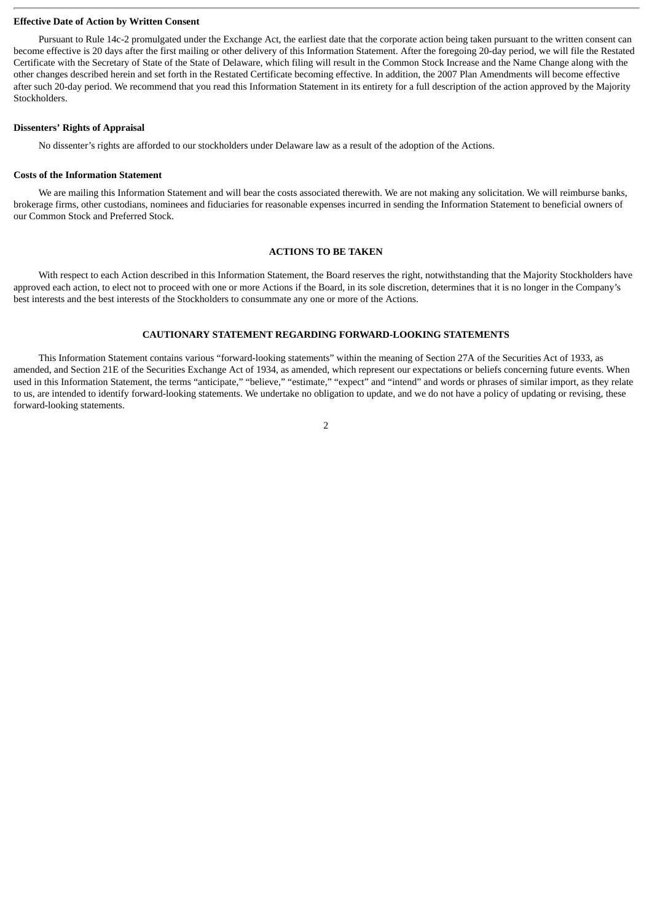#### **Effective Date of Action by Written Consent**

Pursuant to Rule 14c-2 promulgated under the Exchange Act, the earliest date that the corporate action being taken pursuant to the written consent can become effective is 20 days after the first mailing or other delivery of this Information Statement. After the foregoing 20-day period, we will file the Restated Certificate with the Secretary of State of the State of Delaware, which filing will result in the Common Stock Increase and the Name Change along with the other changes described herein and set forth in the Restated Certificate becoming effective. In addition, the 2007 Plan Amendments will become effective after such 20-day period. We recommend that you read this Information Statement in its entirety for a full description of the action approved by the Majority Stockholders.

#### **Dissenters' Rights of Appraisal**

No dissenter's rights are afforded to our stockholders under Delaware law as a result of the adoption of the Actions.

#### **Costs of the Information Statement**

We are mailing this Information Statement and will bear the costs associated therewith. We are not making any solicitation. We will reimburse banks, brokerage firms, other custodians, nominees and fiduciaries for reasonable expenses incurred in sending the Information Statement to beneficial owners of our Common Stock and Preferred Stock.

#### **ACTIONS TO BE TAKEN**

With respect to each Action described in this Information Statement, the Board reserves the right, notwithstanding that the Majority Stockholders have approved each action, to elect not to proceed with one or more Actions if the Board, in its sole discretion, determines that it is no longer in the Company's best interests and the best interests of the Stockholders to consummate any one or more of the Actions.

## **CAUTIONARY STATEMENT REGARDING FORWARD-LOOKING STATEMENTS**

This Information Statement contains various "forward-looking statements" within the meaning of Section 27A of the Securities Act of 1933, as amended, and Section 21E of the Securities Exchange Act of 1934, as amended, which represent our expectations or beliefs concerning future events. When used in this Information Statement, the terms "anticipate," "believe," "estimate," "expect" and "intend" and words or phrases of similar import, as they relate to us, are intended to identify forward-looking statements. We undertake no obligation to update, and we do not have a policy of updating or revising, these forward-looking statements.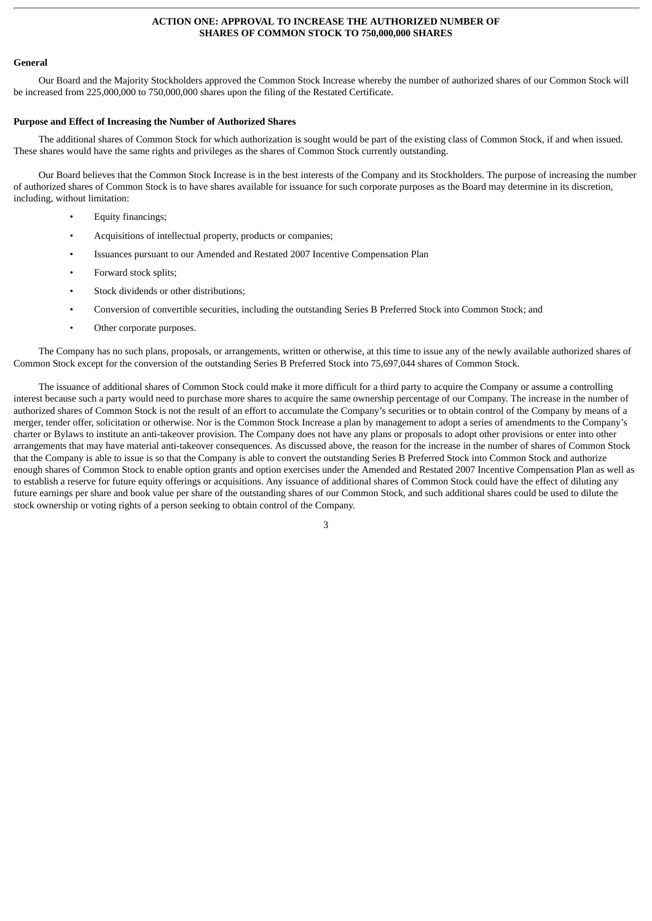## **ACTION ONE: APPROVAL TO INCREASE THE AUTHORIZED NUMBER OF SHARES OF COMMON STOCK TO 750,000,000 SHARES**

#### **General**

Our Board and the Majority Stockholders approved the Common Stock Increase whereby the number of authorized shares of our Common Stock will be increased from 225,000,000 to 750,000,000 shares upon the filing of the Restated Certificate.

#### **Purpose and Effect of Increasing the Number of Authorized Shares**

The additional shares of Common Stock for which authorization is sought would be part of the existing class of Common Stock, if and when issued. These shares would have the same rights and privileges as the shares of Common Stock currently outstanding.

Our Board believes that the Common Stock Increase is in the best interests of the Company and its Stockholders. The purpose of increasing the number of authorized shares of Common Stock is to have shares available for issuance for such corporate purposes as the Board may determine in its discretion, including, without limitation:

- Equity financings;
- Acquisitions of intellectual property, products or companies;
- Issuances pursuant to our Amended and Restated 2007 Incentive Compensation Plan
- Forward stock splits;
- Stock dividends or other distributions;
- Conversion of convertible securities, including the outstanding Series B Preferred Stock into Common Stock; and
- Other corporate purposes.

The Company has no such plans, proposals, or arrangements, written or otherwise, at this time to issue any of the newly available authorized shares of Common Stock except for the conversion of the outstanding Series B Preferred Stock into 75,697,044 shares of Common Stock.

The issuance of additional shares of Common Stock could make it more difficult for a third party to acquire the Company or assume a controlling interest because such a party would need to purchase more shares to acquire the same ownership percentage of our Company. The increase in the number of authorized shares of Common Stock is not the result of an effort to accumulate the Company's securities or to obtain control of the Company by means of a merger, tender offer, solicitation or otherwise. Nor is the Common Stock Increase a plan by management to adopt a series of amendments to the Company's charter or Bylaws to institute an anti-takeover provision. The Company does not have any plans or proposals to adopt other provisions or enter into other arrangements that may have material anti-takeover consequences. As discussed above, the reason for the increase in the number of shares of Common Stock that the Company is able to issue is so that the Company is able to convert the outstanding Series B Preferred Stock into Common Stock and authorize enough shares of Common Stock to enable option grants and option exercises under the Amended and Restated 2007 Incentive Compensation Plan as well as to establish a reserve for future equity offerings or acquisitions. Any issuance of additional shares of Common Stock could have the effect of diluting any future earnings per share and book value per share of the outstanding shares of our Common Stock, and such additional shares could be used to dilute the stock ownership or voting rights of a person seeking to obtain control of the Company.

 $\overline{a}$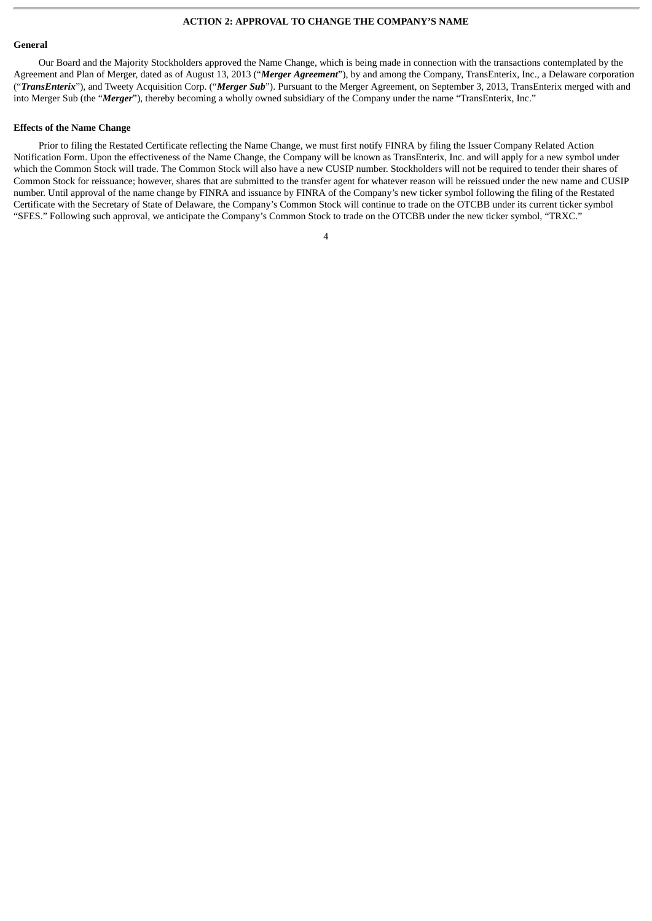## **ACTION 2: APPROVAL TO CHANGE THE COMPANY'S NAME**

#### **General**

Our Board and the Majority Stockholders approved the Name Change, which is being made in connection with the transactions contemplated by the Agreement and Plan of Merger, dated as of August 13, 2013 ("*Merger Agreement*"), by and among the Company, TransEnterix, Inc., a Delaware corporation ("*TransEnterix*"), and Tweety Acquisition Corp. ("*Merger Sub*"). Pursuant to the Merger Agreement, on September 3, 2013, TransEnterix merged with and into Merger Sub (the "*Merger*"), thereby becoming a wholly owned subsidiary of the Company under the name "TransEnterix, Inc."

#### **Effects of the Name Change**

Prior to filing the Restated Certificate reflecting the Name Change, we must first notify FINRA by filing the Issuer Company Related Action Notification Form. Upon the effectiveness of the Name Change, the Company will be known as TransEnterix, Inc. and will apply for a new symbol under which the Common Stock will trade. The Common Stock will also have a new CUSIP number. Stockholders will not be required to tender their shares of Common Stock for reissuance; however, shares that are submitted to the transfer agent for whatever reason will be reissued under the new name and CUSIP number. Until approval of the name change by FINRA and issuance by FINRA of the Company's new ticker symbol following the filing of the Restated Certificate with the Secretary of State of Delaware, the Company's Common Stock will continue to trade on the OTCBB under its current ticker symbol "SFES." Following such approval, we anticipate the Company's Common Stock to trade on the OTCBB under the new ticker symbol, "TRXC."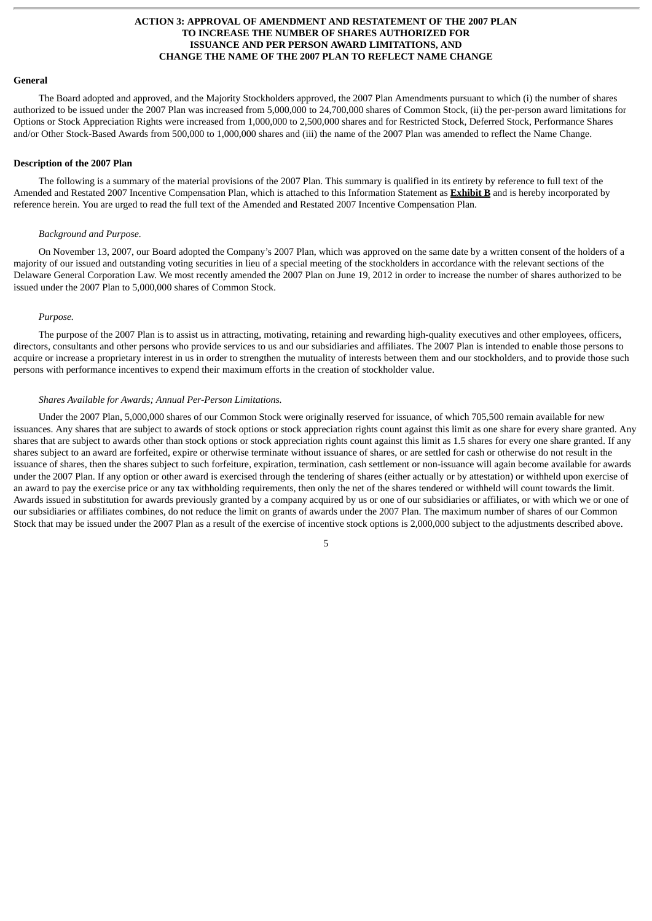## **ACTION 3: APPROVAL OF AMENDMENT AND RESTATEMENT OF THE 2007 PLAN TO INCREASE THE NUMBER OF SHARES AUTHORIZED FOR ISSUANCE AND PER PERSON AWARD LIMITATIONS, AND CHANGE THE NAME OF THE 2007 PLAN TO REFLECT NAME CHANGE**

#### **General**

The Board adopted and approved, and the Majority Stockholders approved, the 2007 Plan Amendments pursuant to which (i) the number of shares authorized to be issued under the 2007 Plan was increased from 5,000,000 to 24,700,000 shares of Common Stock, (ii) the per-person award limitations for Options or Stock Appreciation Rights were increased from 1,000,000 to 2,500,000 shares and for Restricted Stock, Deferred Stock, Performance Shares and/or Other Stock-Based Awards from 500,000 to 1,000,000 shares and (iii) the name of the 2007 Plan was amended to reflect the Name Change.

#### **Description of the 2007 Plan**

The following is a summary of the material provisions of the 2007 Plan. This summary is qualified in its entirety by reference to full text of the Amended and Restated 2007 Incentive Compensation Plan, which is attached to this Information Statement as **Exhibit B** and is hereby incorporated by reference herein. You are urged to read the full text of the Amended and Restated 2007 Incentive Compensation Plan.

#### *Background and Purpose.*

On November 13, 2007, our Board adopted the Company's 2007 Plan, which was approved on the same date by a written consent of the holders of a majority of our issued and outstanding voting securities in lieu of a special meeting of the stockholders in accordance with the relevant sections of the Delaware General Corporation Law. We most recently amended the 2007 Plan on June 19, 2012 in order to increase the number of shares authorized to be issued under the 2007 Plan to 5,000,000 shares of Common Stock.

#### *Purpose.*

The purpose of the 2007 Plan is to assist us in attracting, motivating, retaining and rewarding high-quality executives and other employees, officers, directors, consultants and other persons who provide services to us and our subsidiaries and affiliates. The 2007 Plan is intended to enable those persons to acquire or increase a proprietary interest in us in order to strengthen the mutuality of interests between them and our stockholders, and to provide those such persons with performance incentives to expend their maximum efforts in the creation of stockholder value.

#### *Shares Available for Awards; Annual Per-Person Limitations.*

Under the 2007 Plan, 5,000,000 shares of our Common Stock were originally reserved for issuance, of which 705,500 remain available for new issuances. Any shares that are subject to awards of stock options or stock appreciation rights count against this limit as one share for every share granted. Any shares that are subject to awards other than stock options or stock appreciation rights count against this limit as 1.5 shares for every one share granted. If any shares subject to an award are forfeited, expire or otherwise terminate without issuance of shares, or are settled for cash or otherwise do not result in the issuance of shares, then the shares subject to such forfeiture, expiration, termination, cash settlement or non-issuance will again become available for awards under the 2007 Plan. If any option or other award is exercised through the tendering of shares (either actually or by attestation) or withheld upon exercise of an award to pay the exercise price or any tax withholding requirements, then only the net of the shares tendered or withheld will count towards the limit. Awards issued in substitution for awards previously granted by a company acquired by us or one of our subsidiaries or affiliates, or with which we or one of our subsidiaries or affiliates combines, do not reduce the limit on grants of awards under the 2007 Plan. The maximum number of shares of our Common Stock that may be issued under the 2007 Plan as a result of the exercise of incentive stock options is 2,000,000 subject to the adjustments described above.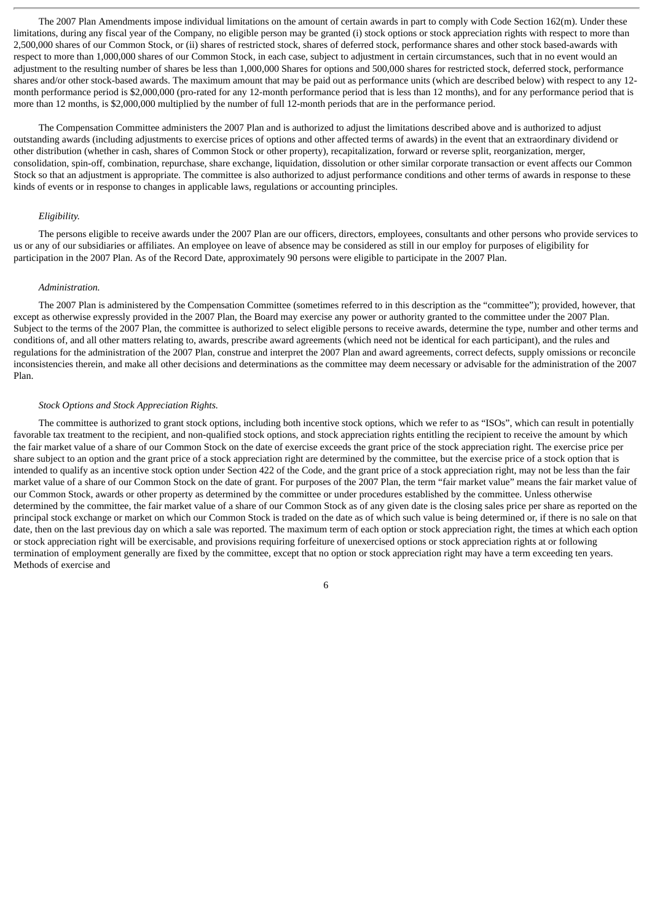The 2007 Plan Amendments impose individual limitations on the amount of certain awards in part to comply with Code Section 162(m). Under these limitations, during any fiscal year of the Company, no eligible person may be granted (i) stock options or stock appreciation rights with respect to more than 2,500,000 shares of our Common Stock, or (ii) shares of restricted stock, shares of deferred stock, performance shares and other stock based-awards with respect to more than 1,000,000 shares of our Common Stock, in each case, subject to adjustment in certain circumstances, such that in no event would an adjustment to the resulting number of shares be less than 1,000,000 Shares for options and 500,000 shares for restricted stock, deferred stock, performance shares and/or other stock-based awards. The maximum amount that may be paid out as performance units (which are described below) with respect to any 12 month performance period is \$2,000,000 (pro-rated for any 12-month performance period that is less than 12 months), and for any performance period that is more than 12 months, is \$2,000,000 multiplied by the number of full 12-month periods that are in the performance period.

The Compensation Committee administers the 2007 Plan and is authorized to adjust the limitations described above and is authorized to adjust outstanding awards (including adjustments to exercise prices of options and other affected terms of awards) in the event that an extraordinary dividend or other distribution (whether in cash, shares of Common Stock or other property), recapitalization, forward or reverse split, reorganization, merger, consolidation, spin-off, combination, repurchase, share exchange, liquidation, dissolution or other similar corporate transaction or event affects our Common Stock so that an adjustment is appropriate. The committee is also authorized to adjust performance conditions and other terms of awards in response to these kinds of events or in response to changes in applicable laws, regulations or accounting principles.

#### *Eligibility.*

The persons eligible to receive awards under the 2007 Plan are our officers, directors, employees, consultants and other persons who provide services to us or any of our subsidiaries or affiliates. An employee on leave of absence may be considered as still in our employ for purposes of eligibility for participation in the 2007 Plan. As of the Record Date, approximately 90 persons were eligible to participate in the 2007 Plan.

#### *Administration.*

The 2007 Plan is administered by the Compensation Committee (sometimes referred to in this description as the "committee"); provided, however, that except as otherwise expressly provided in the 2007 Plan, the Board may exercise any power or authority granted to the committee under the 2007 Plan. Subject to the terms of the 2007 Plan, the committee is authorized to select eligible persons to receive awards, determine the type, number and other terms and conditions of, and all other matters relating to, awards, prescribe award agreements (which need not be identical for each participant), and the rules and regulations for the administration of the 2007 Plan, construe and interpret the 2007 Plan and award agreements, correct defects, supply omissions or reconcile inconsistencies therein, and make all other decisions and determinations as the committee may deem necessary or advisable for the administration of the 2007 Plan.

## *Stock Options and Stock Appreciation Rights.*

The committee is authorized to grant stock options, including both incentive stock options, which we refer to as "ISOs", which can result in potentially favorable tax treatment to the recipient, and non-qualified stock options, and stock appreciation rights entitling the recipient to receive the amount by which the fair market value of a share of our Common Stock on the date of exercise exceeds the grant price of the stock appreciation right. The exercise price per share subject to an option and the grant price of a stock appreciation right are determined by the committee, but the exercise price of a stock option that is intended to qualify as an incentive stock option under Section 422 of the Code, and the grant price of a stock appreciation right, may not be less than the fair market value of a share of our Common Stock on the date of grant. For purposes of the 2007 Plan, the term "fair market value" means the fair market value of our Common Stock, awards or other property as determined by the committee or under procedures established by the committee. Unless otherwise determined by the committee, the fair market value of a share of our Common Stock as of any given date is the closing sales price per share as reported on the principal stock exchange or market on which our Common Stock is traded on the date as of which such value is being determined or, if there is no sale on that date, then on the last previous day on which a sale was reported. The maximum term of each option or stock appreciation right, the times at which each option or stock appreciation right will be exercisable, and provisions requiring forfeiture of unexercised options or stock appreciation rights at or following termination of employment generally are fixed by the committee, except that no option or stock appreciation right may have a term exceeding ten years. Methods of exercise and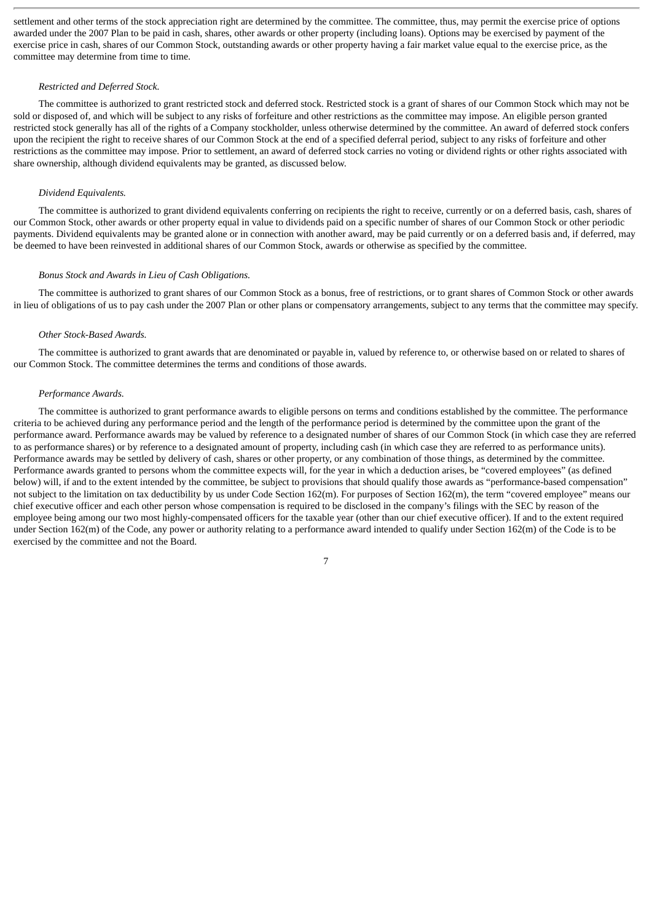settlement and other terms of the stock appreciation right are determined by the committee. The committee, thus, may permit the exercise price of options awarded under the 2007 Plan to be paid in cash, shares, other awards or other property (including loans). Options may be exercised by payment of the exercise price in cash, shares of our Common Stock, outstanding awards or other property having a fair market value equal to the exercise price, as the committee may determine from time to time.

#### *Restricted and Deferred Stock.*

The committee is authorized to grant restricted stock and deferred stock. Restricted stock is a grant of shares of our Common Stock which may not be sold or disposed of, and which will be subject to any risks of forfeiture and other restrictions as the committee may impose. An eligible person granted restricted stock generally has all of the rights of a Company stockholder, unless otherwise determined by the committee. An award of deferred stock confers upon the recipient the right to receive shares of our Common Stock at the end of a specified deferral period, subject to any risks of forfeiture and other restrictions as the committee may impose. Prior to settlement, an award of deferred stock carries no voting or dividend rights or other rights associated with share ownership, although dividend equivalents may be granted, as discussed below.

#### *Dividend Equivalents.*

The committee is authorized to grant dividend equivalents conferring on recipients the right to receive, currently or on a deferred basis, cash, shares of our Common Stock, other awards or other property equal in value to dividends paid on a specific number of shares of our Common Stock or other periodic payments. Dividend equivalents may be granted alone or in connection with another award, may be paid currently or on a deferred basis and, if deferred, may be deemed to have been reinvested in additional shares of our Common Stock, awards or otherwise as specified by the committee.

#### *Bonus Stock and Awards in Lieu of Cash Obligations.*

The committee is authorized to grant shares of our Common Stock as a bonus, free of restrictions, or to grant shares of Common Stock or other awards in lieu of obligations of us to pay cash under the 2007 Plan or other plans or compensatory arrangements, subject to any terms that the committee may specify.

#### *Other Stock-Based Awards.*

The committee is authorized to grant awards that are denominated or payable in, valued by reference to, or otherwise based on or related to shares of our Common Stock. The committee determines the terms and conditions of those awards.

#### *Performance Awards.*

The committee is authorized to grant performance awards to eligible persons on terms and conditions established by the committee. The performance criteria to be achieved during any performance period and the length of the performance period is determined by the committee upon the grant of the performance award. Performance awards may be valued by reference to a designated number of shares of our Common Stock (in which case they are referred to as performance shares) or by reference to a designated amount of property, including cash (in which case they are referred to as performance units). Performance awards may be settled by delivery of cash, shares or other property, or any combination of those things, as determined by the committee. Performance awards granted to persons whom the committee expects will, for the year in which a deduction arises, be "covered employees" (as defined below) will, if and to the extent intended by the committee, be subject to provisions that should qualify those awards as "performance-based compensation" not subject to the limitation on tax deductibility by us under Code Section 162(m). For purposes of Section 162(m), the term "covered employee" means our chief executive officer and each other person whose compensation is required to be disclosed in the company's filings with the SEC by reason of the employee being among our two most highly-compensated officers for the taxable year (other than our chief executive officer). If and to the extent required under Section 162(m) of the Code, any power or authority relating to a performance award intended to qualify under Section 162(m) of the Code is to be exercised by the committee and not the Board.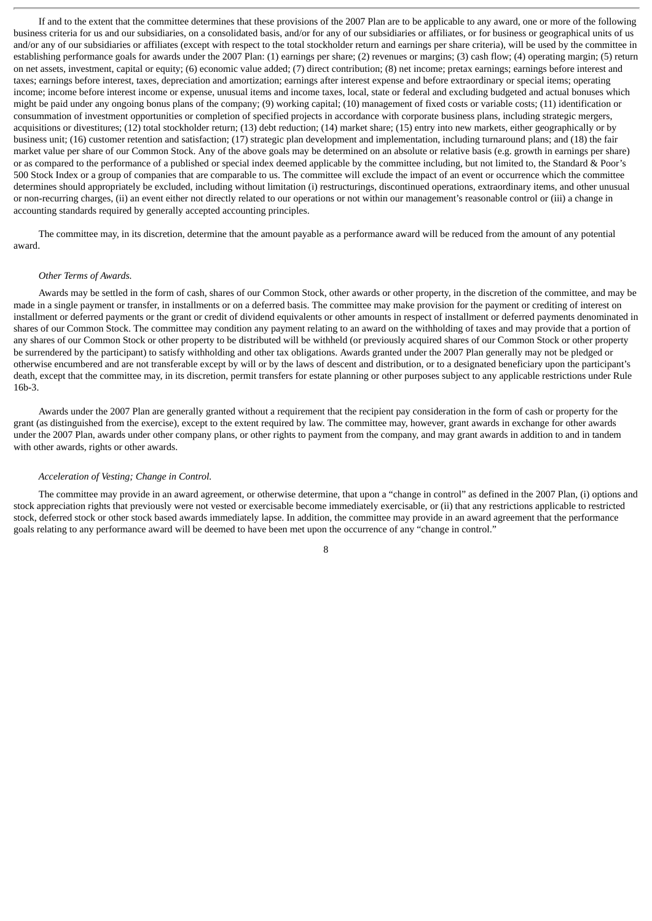If and to the extent that the committee determines that these provisions of the 2007 Plan are to be applicable to any award, one or more of the following business criteria for us and our subsidiaries, on a consolidated basis, and/or for any of our subsidiaries or affiliates, or for business or geographical units of us and/or any of our subsidiaries or affiliates (except with respect to the total stockholder return and earnings per share criteria), will be used by the committee in establishing performance goals for awards under the 2007 Plan: (1) earnings per share; (2) revenues or margins; (3) cash flow; (4) operating margin; (5) return on net assets, investment, capital or equity; (6) economic value added; (7) direct contribution; (8) net income; pretax earnings; earnings before interest and taxes; earnings before interest, taxes, depreciation and amortization; earnings after interest expense and before extraordinary or special items; operating income; income before interest income or expense, unusual items and income taxes, local, state or federal and excluding budgeted and actual bonuses which might be paid under any ongoing bonus plans of the company; (9) working capital; (10) management of fixed costs or variable costs; (11) identification or consummation of investment opportunities or completion of specified projects in accordance with corporate business plans, including strategic mergers, acquisitions or divestitures; (12) total stockholder return; (13) debt reduction; (14) market share; (15) entry into new markets, either geographically or by business unit; (16) customer retention and satisfaction; (17) strategic plan development and implementation, including turnaround plans; and (18) the fair market value per share of our Common Stock. Any of the above goals may be determined on an absolute or relative basis (e.g. growth in earnings per share) or as compared to the performance of a published or special index deemed applicable by the committee including, but not limited to, the Standard & Poor's 500 Stock Index or a group of companies that are comparable to us. The committee will exclude the impact of an event or occurrence which the committee determines should appropriately be excluded, including without limitation (i) restructurings, discontinued operations, extraordinary items, and other unusual or non-recurring charges, (ii) an event either not directly related to our operations or not within our management's reasonable control or (iii) a change in accounting standards required by generally accepted accounting principles.

The committee may, in its discretion, determine that the amount payable as a performance award will be reduced from the amount of any potential award.

#### *Other Terms of Awards.*

Awards may be settled in the form of cash, shares of our Common Stock, other awards or other property, in the discretion of the committee, and may be made in a single payment or transfer, in installments or on a deferred basis. The committee may make provision for the payment or crediting of interest on installment or deferred payments or the grant or credit of dividend equivalents or other amounts in respect of installment or deferred payments denominated in shares of our Common Stock. The committee may condition any payment relating to an award on the withholding of taxes and may provide that a portion of any shares of our Common Stock or other property to be distributed will be withheld (or previously acquired shares of our Common Stock or other property be surrendered by the participant) to satisfy withholding and other tax obligations. Awards granted under the 2007 Plan generally may not be pledged or otherwise encumbered and are not transferable except by will or by the laws of descent and distribution, or to a designated beneficiary upon the participant's death, except that the committee may, in its discretion, permit transfers for estate planning or other purposes subject to any applicable restrictions under Rule 16b-3.

Awards under the 2007 Plan are generally granted without a requirement that the recipient pay consideration in the form of cash or property for the grant (as distinguished from the exercise), except to the extent required by law. The committee may, however, grant awards in exchange for other awards under the 2007 Plan, awards under other company plans, or other rights to payment from the company, and may grant awards in addition to and in tandem with other awards, rights or other awards.

#### *Acceleration of Vesting; Change in Control.*

The committee may provide in an award agreement, or otherwise determine, that upon a "change in control" as defined in the 2007 Plan, (i) options and stock appreciation rights that previously were not vested or exercisable become immediately exercisable, or (ii) that any restrictions applicable to restricted stock, deferred stock or other stock based awards immediately lapse. In addition, the committee may provide in an award agreement that the performance goals relating to any performance award will be deemed to have been met upon the occurrence of any "change in control."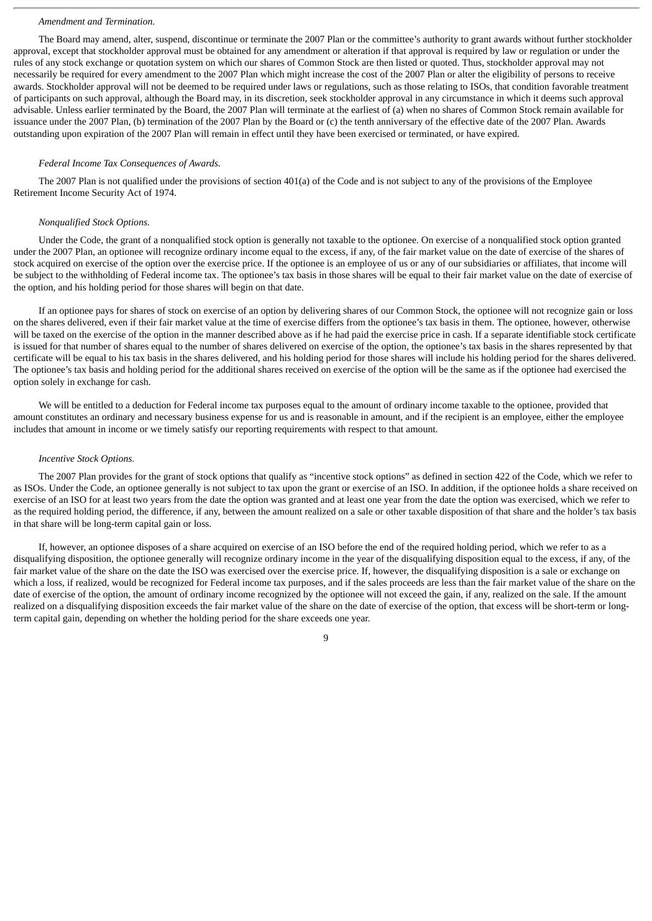#### *Amendment and Termination.*

The Board may amend, alter, suspend, discontinue or terminate the 2007 Plan or the committee's authority to grant awards without further stockholder approval, except that stockholder approval must be obtained for any amendment or alteration if that approval is required by law or regulation or under the rules of any stock exchange or quotation system on which our shares of Common Stock are then listed or quoted. Thus, stockholder approval may not necessarily be required for every amendment to the 2007 Plan which might increase the cost of the 2007 Plan or alter the eligibility of persons to receive awards. Stockholder approval will not be deemed to be required under laws or regulations, such as those relating to ISOs, that condition favorable treatment of participants on such approval, although the Board may, in its discretion, seek stockholder approval in any circumstance in which it deems such approval advisable. Unless earlier terminated by the Board, the 2007 Plan will terminate at the earliest of (a) when no shares of Common Stock remain available for issuance under the 2007 Plan, (b) termination of the 2007 Plan by the Board or (c) the tenth anniversary of the effective date of the 2007 Plan. Awards outstanding upon expiration of the 2007 Plan will remain in effect until they have been exercised or terminated, or have expired.

#### *Federal Income Tax Consequences of Awards.*

The 2007 Plan is not qualified under the provisions of section 401(a) of the Code and is not subject to any of the provisions of the Employee Retirement Income Security Act of 1974.

#### *Nonqualified Stock Options.*

Under the Code, the grant of a nonqualified stock option is generally not taxable to the optionee. On exercise of a nonqualified stock option granted under the 2007 Plan, an optionee will recognize ordinary income equal to the excess, if any, of the fair market value on the date of exercise of the shares of stock acquired on exercise of the option over the exercise price. If the optionee is an employee of us or any of our subsidiaries or affiliates, that income will be subject to the withholding of Federal income tax. The optionee's tax basis in those shares will be equal to their fair market value on the date of exercise of the option, and his holding period for those shares will begin on that date.

If an optionee pays for shares of stock on exercise of an option by delivering shares of our Common Stock, the optionee will not recognize gain or loss on the shares delivered, even if their fair market value at the time of exercise differs from the optionee's tax basis in them. The optionee, however, otherwise will be taxed on the exercise of the option in the manner described above as if he had paid the exercise price in cash. If a separate identifiable stock certificate is issued for that number of shares equal to the number of shares delivered on exercise of the option, the optionee's tax basis in the shares represented by that certificate will be equal to his tax basis in the shares delivered, and his holding period for those shares will include his holding period for the shares delivered. The optionee's tax basis and holding period for the additional shares received on exercise of the option will be the same as if the optionee had exercised the option solely in exchange for cash.

We will be entitled to a deduction for Federal income tax purposes equal to the amount of ordinary income taxable to the optionee, provided that amount constitutes an ordinary and necessary business expense for us and is reasonable in amount, and if the recipient is an employee, either the employee includes that amount in income or we timely satisfy our reporting requirements with respect to that amount.

#### *Incentive Stock Options.*

The 2007 Plan provides for the grant of stock options that qualify as "incentive stock options" as defined in section 422 of the Code, which we refer to as ISOs. Under the Code, an optionee generally is not subject to tax upon the grant or exercise of an ISO. In addition, if the optionee holds a share received on exercise of an ISO for at least two years from the date the option was granted and at least one year from the date the option was exercised, which we refer to as the required holding period, the difference, if any, between the amount realized on a sale or other taxable disposition of that share and the holder's tax basis in that share will be long-term capital gain or loss.

If, however, an optionee disposes of a share acquired on exercise of an ISO before the end of the required holding period, which we refer to as a disqualifying disposition, the optionee generally will recognize ordinary income in the year of the disqualifying disposition equal to the excess, if any, of the fair market value of the share on the date the ISO was exercised over the exercise price. If, however, the disqualifying disposition is a sale or exchange on which a loss, if realized, would be recognized for Federal income tax purposes, and if the sales proceeds are less than the fair market value of the share on the date of exercise of the option, the amount of ordinary income recognized by the optionee will not exceed the gain, if any, realized on the sale. If the amount realized on a disqualifying disposition exceeds the fair market value of the share on the date of exercise of the option, that excess will be short-term or longterm capital gain, depending on whether the holding period for the share exceeds one year.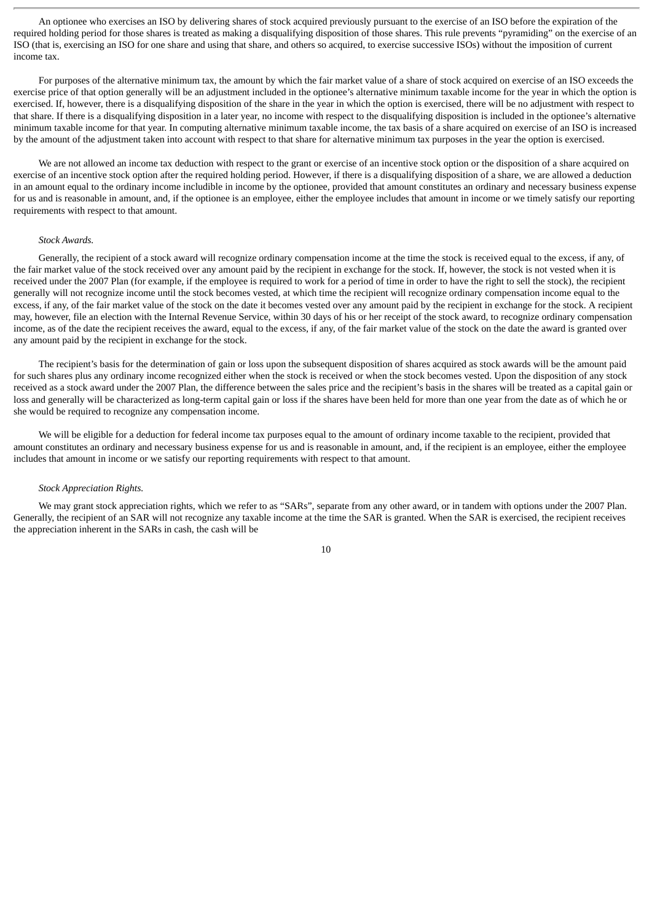An optionee who exercises an ISO by delivering shares of stock acquired previously pursuant to the exercise of an ISO before the expiration of the required holding period for those shares is treated as making a disqualifying disposition of those shares. This rule prevents "pyramiding" on the exercise of an ISO (that is, exercising an ISO for one share and using that share, and others so acquired, to exercise successive ISOs) without the imposition of current income tax.

For purposes of the alternative minimum tax, the amount by which the fair market value of a share of stock acquired on exercise of an ISO exceeds the exercise price of that option generally will be an adjustment included in the optionee's alternative minimum taxable income for the year in which the option is exercised. If, however, there is a disqualifying disposition of the share in the year in which the option is exercised, there will be no adjustment with respect to that share. If there is a disqualifying disposition in a later year, no income with respect to the disqualifying disposition is included in the optionee's alternative minimum taxable income for that year. In computing alternative minimum taxable income, the tax basis of a share acquired on exercise of an ISO is increased by the amount of the adjustment taken into account with respect to that share for alternative minimum tax purposes in the year the option is exercised.

We are not allowed an income tax deduction with respect to the grant or exercise of an incentive stock option or the disposition of a share acquired on exercise of an incentive stock option after the required holding period. However, if there is a disqualifying disposition of a share, we are allowed a deduction in an amount equal to the ordinary income includible in income by the optionee, provided that amount constitutes an ordinary and necessary business expense for us and is reasonable in amount, and, if the optionee is an employee, either the employee includes that amount in income or we timely satisfy our reporting requirements with respect to that amount.

#### *Stock Awards.*

Generally, the recipient of a stock award will recognize ordinary compensation income at the time the stock is received equal to the excess, if any, of the fair market value of the stock received over any amount paid by the recipient in exchange for the stock. If, however, the stock is not vested when it is received under the 2007 Plan (for example, if the employee is required to work for a period of time in order to have the right to sell the stock), the recipient generally will not recognize income until the stock becomes vested, at which time the recipient will recognize ordinary compensation income equal to the excess, if any, of the fair market value of the stock on the date it becomes vested over any amount paid by the recipient in exchange for the stock. A recipient may, however, file an election with the Internal Revenue Service, within 30 days of his or her receipt of the stock award, to recognize ordinary compensation income, as of the date the recipient receives the award, equal to the excess, if any, of the fair market value of the stock on the date the award is granted over any amount paid by the recipient in exchange for the stock.

The recipient's basis for the determination of gain or loss upon the subsequent disposition of shares acquired as stock awards will be the amount paid for such shares plus any ordinary income recognized either when the stock is received or when the stock becomes vested. Upon the disposition of any stock received as a stock award under the 2007 Plan, the difference between the sales price and the recipient's basis in the shares will be treated as a capital gain or loss and generally will be characterized as long-term capital gain or loss if the shares have been held for more than one year from the date as of which he or she would be required to recognize any compensation income.

We will be eligible for a deduction for federal income tax purposes equal to the amount of ordinary income taxable to the recipient, provided that amount constitutes an ordinary and necessary business expense for us and is reasonable in amount, and, if the recipient is an employee, either the employee includes that amount in income or we satisfy our reporting requirements with respect to that amount.

#### *Stock Appreciation Rights.*

We may grant stock appreciation rights, which we refer to as "SARs", separate from any other award, or in tandem with options under the 2007 Plan. Generally, the recipient of an SAR will not recognize any taxable income at the time the SAR is granted. When the SAR is exercised, the recipient receives the appreciation inherent in the SARs in cash, the cash will be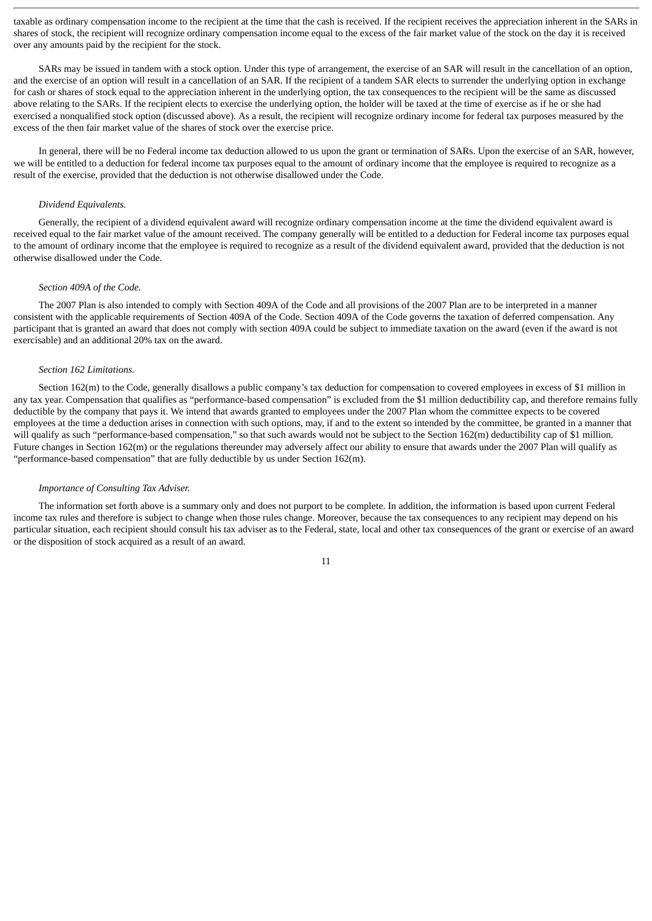taxable as ordinary compensation income to the recipient at the time that the cash is received. If the recipient receives the appreciation inherent in the SARs in shares of stock, the recipient will recognize ordinary compensation income equal to the excess of the fair market value of the stock on the day it is received over any amounts paid by the recipient for the stock.

SARs may be issued in tandem with a stock option. Under this type of arrangement, the exercise of an SAR will result in the cancellation of an option, and the exercise of an option will result in a cancellation of an SAR. If the recipient of a tandem SAR elects to surrender the underlying option in exchange for cash or shares of stock equal to the appreciation inherent in the underlying option, the tax consequences to the recipient will be the same as discussed above relating to the SARs. If the recipient elects to exercise the underlying option, the holder will be taxed at the time of exercise as if he or she had exercised a nonqualified stock option (discussed above). As a result, the recipient will recognize ordinary income for federal tax purposes measured by the excess of the then fair market value of the shares of stock over the exercise price.

In general, there will be no Federal income tax deduction allowed to us upon the grant or termination of SARs. Upon the exercise of an SAR, however, we will be entitled to a deduction for federal income tax purposes equal to the amount of ordinary income that the employee is required to recognize as a result of the exercise, provided that the deduction is not otherwise disallowed under the Code.

#### *Dividend Equivalents.*

Generally, the recipient of a dividend equivalent award will recognize ordinary compensation income at the time the dividend equivalent award is received equal to the fair market value of the amount received. The company generally will be entitled to a deduction for Federal income tax purposes equal to the amount of ordinary income that the employee is required to recognize as a result of the dividend equivalent award, provided that the deduction is not otherwise disallowed under the Code.

#### *Section 409A of the Code.*

The 2007 Plan is also intended to comply with Section 409A of the Code and all provisions of the 2007 Plan are to be interpreted in a manner consistent with the applicable requirements of Section 409A of the Code. Section 409A of the Code governs the taxation of deferred compensation. Any participant that is granted an award that does not comply with section 409A could be subject to immediate taxation on the award (even if the award is not exercisable) and an additional 20% tax on the award.

#### *Section 162 Limitations.*

Section 162(m) to the Code, generally disallows a public company's tax deduction for compensation to covered employees in excess of \$1 million in any tax year. Compensation that qualifies as "performance-based compensation" is excluded from the \$1 million deductibility cap, and therefore remains fully deductible by the company that pays it. We intend that awards granted to employees under the 2007 Plan whom the committee expects to be covered employees at the time a deduction arises in connection with such options, may, if and to the extent so intended by the committee, be granted in a manner that will qualify as such "performance-based compensation," so that such awards would not be subject to the Section 162(m) deductibility cap of \$1 million. Future changes in Section 162(m) or the regulations thereunder may adversely affect our ability to ensure that awards under the 2007 Plan will qualify as "performance-based compensation" that are fully deductible by us under Section 162(m).

#### *Importance of Consulting Tax Adviser.*

The information set forth above is a summary only and does not purport to be complete. In addition, the information is based upon current Federal income tax rules and therefore is subject to change when those rules change. Moreover, because the tax consequences to any recipient may depend on his particular situation, each recipient should consult his tax adviser as to the Federal, state, local and other tax consequences of the grant or exercise of an award or the disposition of stock acquired as a result of an award.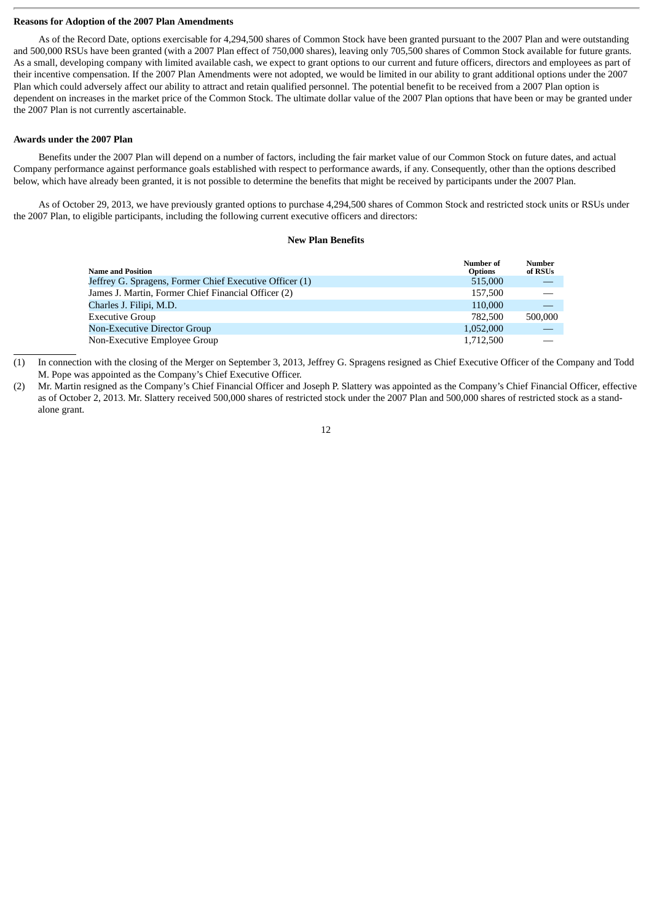## **Reasons for Adoption of the 2007 Plan Amendments**

As of the Record Date, options exercisable for 4,294,500 shares of Common Stock have been granted pursuant to the 2007 Plan and were outstanding and 500,000 RSUs have been granted (with a 2007 Plan effect of 750,000 shares), leaving only 705,500 shares of Common Stock available for future grants. As a small, developing company with limited available cash, we expect to grant options to our current and future officers, directors and employees as part of their incentive compensation. If the 2007 Plan Amendments were not adopted, we would be limited in our ability to grant additional options under the 2007 Plan which could adversely affect our ability to attract and retain qualified personnel. The potential benefit to be received from a 2007 Plan option is dependent on increases in the market price of the Common Stock. The ultimate dollar value of the 2007 Plan options that have been or may be granted under the 2007 Plan is not currently ascertainable.

#### **Awards under the 2007 Plan**

Benefits under the 2007 Plan will depend on a number of factors, including the fair market value of our Common Stock on future dates, and actual Company performance against performance goals established with respect to performance awards, if any. Consequently, other than the options described below, which have already been granted, it is not possible to determine the benefits that might be received by participants under the 2007 Plan.

As of October 29, 2013, we have previously granted options to purchase 4,294,500 shares of Common Stock and restricted stock units or RSUs under the 2007 Plan, to eligible participants, including the following current executive officers and directors:

#### **New Plan Benefits**

| <b>Name and Position</b>                                | Number of<br><b>Options</b> | <b>Number</b><br>of RSUs |
|---------------------------------------------------------|-----------------------------|--------------------------|
| Jeffrey G. Spragens, Former Chief Executive Officer (1) | 515,000                     |                          |
| James J. Martin, Former Chief Financial Officer (2)     | 157,500                     |                          |
| Charles J. Filipi, M.D.                                 | 110,000                     |                          |
| <b>Executive Group</b>                                  | 782,500                     | 500,000                  |
| <b>Non-Executive Director Group</b>                     | 1,052,000                   |                          |
| Non-Executive Employee Group                            | 1,712,500                   |                          |

(1) In connection with the closing of the Merger on September 3, 2013, Jeffrey G. Spragens resigned as Chief Executive Officer of the Company and Todd M. Pope was appointed as the Company's Chief Executive Officer.

(2) Mr. Martin resigned as the Company's Chief Financial Officer and Joseph P. Slattery was appointed as the Company's Chief Financial Officer, effective as of October 2, 2013. Mr. Slattery received 500,000 shares of restricted stock under the 2007 Plan and 500,000 shares of restricted stock as a standalone grant.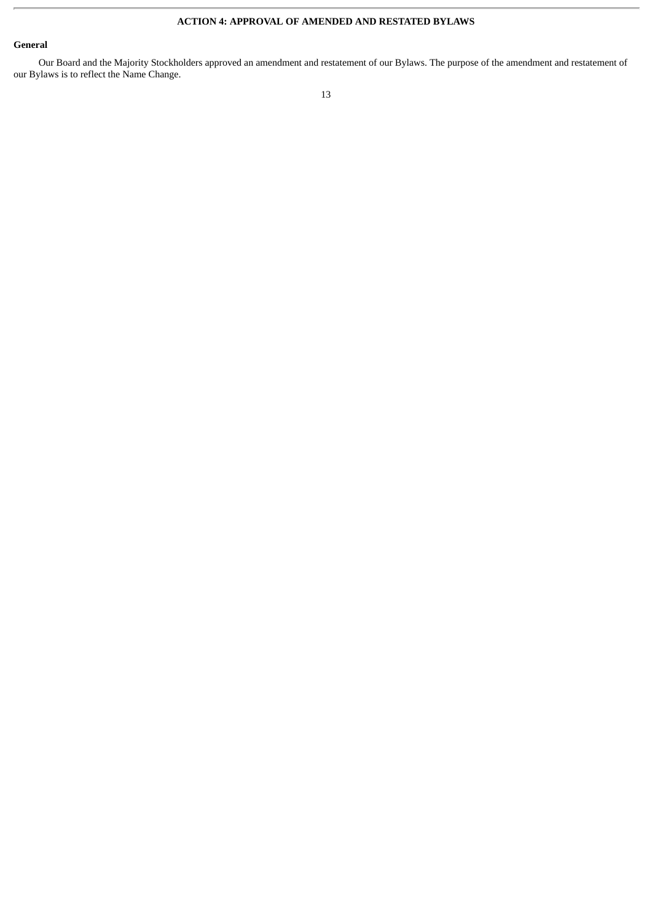## **ACTION 4: APPROVAL OF AMENDED AND RESTATED BYLAWS**

## **General**

Our Board and the Majority Stockholders approved an amendment and restatement of our Bylaws. The purpose of the amendment and restatement of our Bylaws is to reflect the Name Change.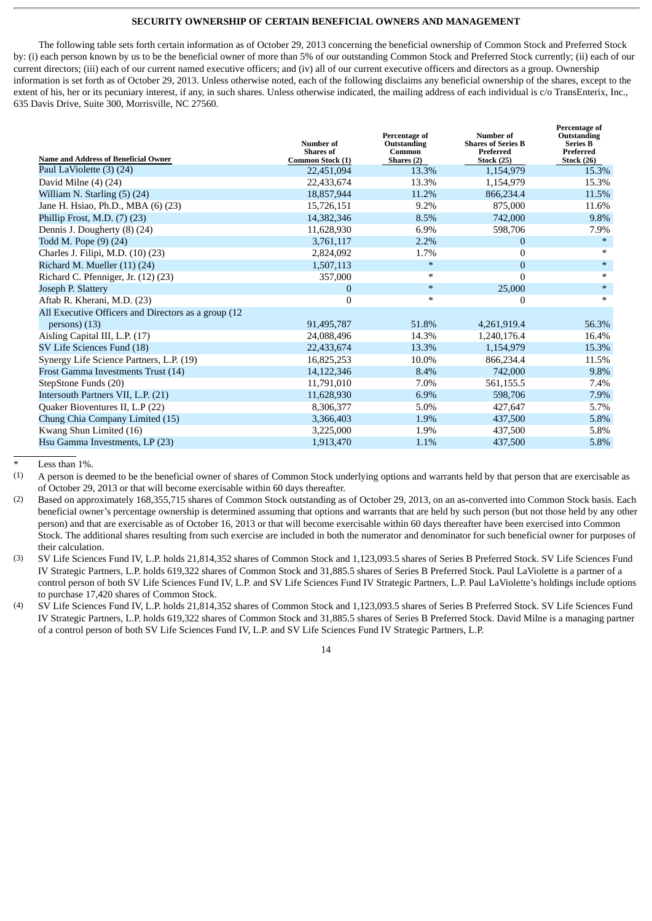## **SECURITY OWNERSHIP OF CERTAIN BENEFICIAL OWNERS AND MANAGEMENT**

The following table sets forth certain information as of October 29, 2013 concerning the beneficial ownership of Common Stock and Preferred Stock by: (i) each person known by us to be the beneficial owner of more than 5% of our outstanding Common Stock and Preferred Stock currently; (ii) each of our current directors; (iii) each of our current named executive officers; and (iv) all of our current executive officers and directors as a group. Ownership information is set forth as of October 29, 2013. Unless otherwise noted, each of the following disclaims any beneficial ownership of the shares, except to the extent of his, her or its pecuniary interest, if any, in such shares. Unless otherwise indicated, the mailing address of each individual is c/o TransEnterix, Inc., 635 Davis Drive, Suite 300, Morrisville, NC 27560.

| <b>Name and Address of Beneficial Owner</b>         | Number of<br><b>Shares</b> of<br>Common Stock (1) | Percentage of<br>Outstanding<br>Common<br>Shares (2) | <b>Number</b> of<br><b>Shares of Series B</b><br>Preferred<br><b>Stock (25)</b> | <b>Percentage of</b><br>Outstanding<br><b>Series B</b><br>Preferred<br><b>Stock (26)</b> |
|-----------------------------------------------------|---------------------------------------------------|------------------------------------------------------|---------------------------------------------------------------------------------|------------------------------------------------------------------------------------------|
| Paul LaViolette (3) (24)                            | 22,451,094                                        | 13.3%                                                | 1,154,979                                                                       | 15.3%                                                                                    |
| David Milne (4) (24)                                | 22,433,674                                        | 13.3%                                                | 1,154,979                                                                       | 15.3%                                                                                    |
| William N. Starling (5) (24)                        | 18,857,944                                        | 11.2%                                                | 866,234.4                                                                       | 11.5%                                                                                    |
| Jane H. Hsiao, Ph.D., MBA (6) (23)                  | 15,726,151                                        | 9.2%                                                 | 875,000                                                                         | 11.6%                                                                                    |
| Phillip Frost, M.D. (7) (23)                        | 14,382,346                                        | 8.5%                                                 | 742,000                                                                         | 9.8%                                                                                     |
| Dennis J. Dougherty (8) (24)                        | 11,628,930                                        | 6.9%                                                 | 598,706                                                                         | 7.9%                                                                                     |
| Todd M. Pope (9) (24)                               | 3,761,117                                         | 2.2%                                                 | $\mathbf{0}$                                                                    | $\ast$                                                                                   |
| Charles J. Filipi, M.D. (10) (23)                   | 2,824,092                                         | 1.7%                                                 | $\Omega$                                                                        | $\ast$                                                                                   |
| Richard M. Mueller (11) (24)                        | 1,507,113                                         | $\ast$                                               | $\mathbf{0}$                                                                    | $\ast$                                                                                   |
| Richard C. Pfenniger, Jr. (12) (23)                 | 357,000                                           | $\ast$                                               | $\Omega$                                                                        | $\ast$                                                                                   |
| Joseph P. Slattery                                  | $\bf{0}$                                          | $\ast$                                               | 25,000                                                                          | $\ast$                                                                                   |
| Aftab R. Kherani, M.D. (23)                         | $\overline{0}$                                    | $\ast$                                               | 0                                                                               | $\ast$                                                                                   |
| All Executive Officers and Directors as a group (12 |                                                   |                                                      |                                                                                 |                                                                                          |
| $persons)$ (13)                                     | 91,495,787                                        | 51.8%                                                | 4,261,919.4                                                                     | 56.3%                                                                                    |
| Aisling Capital III, L.P. (17)                      | 24,088,496                                        | 14.3%                                                | 1,240,176.4                                                                     | 16.4%                                                                                    |
| SV Life Sciences Fund (18)                          | 22,433,674                                        | 13.3%                                                | 1,154,979                                                                       | 15.3%                                                                                    |
| Synergy Life Science Partners, L.P. (19)            | 16,825,253                                        | 10.0%                                                | 866,234.4                                                                       | 11.5%                                                                                    |
| Frost Gamma Investments Trust (14)                  | 14,122,346                                        | 8.4%                                                 | 742,000                                                                         | 9.8%                                                                                     |
| StepStone Funds (20)                                | 11,791,010                                        | 7.0%                                                 | 561,155.5                                                                       | 7.4%                                                                                     |
| Intersouth Partners VII, L.P. (21)                  | 11,628,930                                        | 6.9%                                                 | 598,706                                                                         | 7.9%                                                                                     |
| Quaker Bioventures II, L.P (22)                     | 8,306,377                                         | 5.0%                                                 | 427,647                                                                         | 5.7%                                                                                     |
| Chung Chia Company Limited (15)                     | 3,366,403                                         | 1.9%                                                 | 437,500                                                                         | 5.8%                                                                                     |
| Kwang Shun Limited (16)                             | 3,225,000                                         | 1.9%                                                 | 437,500                                                                         | 5.8%                                                                                     |
| Hsu Gamma Investments, LP (23)                      | 1,913,470                                         | 1.1%                                                 | 437,500                                                                         | 5.8%                                                                                     |

Less than 1%.

(1) A person is deemed to be the beneficial owner of shares of Common Stock underlying options and warrants held by that person that are exercisable as of October 29, 2013 or that will become exercisable within 60 days thereafter.

(2) Based on approximately 168,355,715 shares of Common Stock outstanding as of October 29, 2013, on an as-converted into Common Stock basis. Each beneficial owner's percentage ownership is determined assuming that options and warrants that are held by such person (but not those held by any other person) and that are exercisable as of October 16, 2013 or that will become exercisable within 60 days thereafter have been exercised into Common Stock. The additional shares resulting from such exercise are included in both the numerator and denominator for such beneficial owner for purposes of their calculation.

(3) SV Life Sciences Fund IV, L.P. holds 21,814,352 shares of Common Stock and 1,123,093.5 shares of Series B Preferred Stock. SV Life Sciences Fund IV Strategic Partners, L.P. holds 619,322 shares of Common Stock and 31,885.5 shares of Series B Preferred Stock. Paul LaViolette is a partner of a control person of both SV Life Sciences Fund IV, L.P. and SV Life Sciences Fund IV Strategic Partners, L.P. Paul LaViolette's holdings include options to purchase 17,420 shares of Common Stock.

(4) SV Life Sciences Fund IV, L.P. holds 21,814,352 shares of Common Stock and 1,123,093.5 shares of Series B Preferred Stock. SV Life Sciences Fund IV Strategic Partners, L.P. holds 619,322 shares of Common Stock and 31,885.5 shares of Series B Preferred Stock. David Milne is a managing partner of a control person of both SV Life Sciences Fund IV, L.P. and SV Life Sciences Fund IV Strategic Partners, L.P.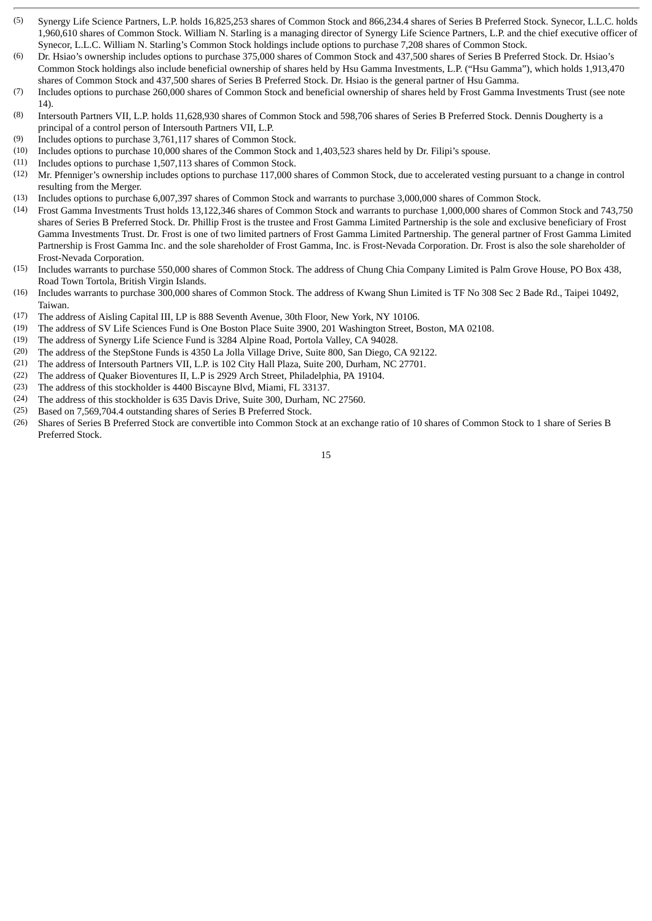- (5) Synergy Life Science Partners, L.P. holds 16,825,253 shares of Common Stock and 866,234.4 shares of Series B Preferred Stock. Synecor, L.L.C. holds 1,960,610 shares of Common Stock. William N. Starling is a managing director of Synergy Life Science Partners, L.P. and the chief executive officer of Synecor, L.L.C. William N. Starling's Common Stock holdings include options to purchase 7,208 shares of Common Stock.
- (6) Dr. Hsiao's ownership includes options to purchase 375,000 shares of Common Stock and 437,500 shares of Series B Preferred Stock. Dr. Hsiao's Common Stock holdings also include beneficial ownership of shares held by Hsu Gamma Investments, L.P. ("Hsu Gamma"), which holds 1,913,470 shares of Common Stock and 437,500 shares of Series B Preferred Stock. Dr. Hsiao is the general partner of Hsu Gamma.
- (7) Includes options to purchase 260,000 shares of Common Stock and beneficial ownership of shares held by Frost Gamma Investments Trust (see note 14).
- (8) Intersouth Partners VII, L.P. holds 11,628,930 shares of Common Stock and 598,706 shares of Series B Preferred Stock. Dennis Dougherty is a principal of a control person of Intersouth Partners VII, L.P.
- (9) Includes options to purchase 3,761,117 shares of Common Stock.
- (10) Includes options to purchase 10,000 shares of the Common Stock and 1,403,523 shares held by Dr. Filipi's spouse.
- (11) Includes options to purchase 1,507,113 shares of Common Stock.
- (12) Mr. Pfenniger's ownership includes options to purchase 117,000 shares of Common Stock, due to accelerated vesting pursuant to a change in control resulting from the Merger.
- (13) Includes options to purchase 6,007,397 shares of Common Stock and warrants to purchase 3,000,000 shares of Common Stock.
- (14) Frost Gamma Investments Trust holds 13,122,346 shares of Common Stock and warrants to purchase 1,000,000 shares of Common Stock and 743,750 shares of Series B Preferred Stock. Dr. Phillip Frost is the trustee and Frost Gamma Limited Partnership is the sole and exclusive beneficiary of Frost Gamma Investments Trust. Dr. Frost is one of two limited partners of Frost Gamma Limited Partnership. The general partner of Frost Gamma Limited Partnership is Frost Gamma Inc. and the sole shareholder of Frost Gamma, Inc. is Frost-Nevada Corporation. Dr. Frost is also the sole shareholder of Frost-Nevada Corporation.
- (15) Includes warrants to purchase 550,000 shares of Common Stock. The address of Chung Chia Company Limited is Palm Grove House, PO Box 438, Road Town Tortola, British Virgin Islands.
- (16) Includes warrants to purchase 300,000 shares of Common Stock. The address of Kwang Shun Limited is TF No 308 Sec 2 Bade Rd., Taipei 10492, Taiwan.
- (17) The address of Aisling Capital III, LP is 888 Seventh Avenue, 30th Floor, New York, NY 10106.
- (19) The address of SV Life Sciences Fund is One Boston Place Suite 3900, 201 Washington Street, Boston, MA 02108.
- (19) The address of Synergy Life Science Fund is 3284 Alpine Road, Portola Valley, CA 94028.
- (20) The address of the StepStone Funds is 4350 La Jolla Village Drive, Suite 800, San Diego, CA 92122.
- (21) The address of Intersouth Partners VII, L.P. is 102 City Hall Plaza, Suite 200, Durham, NC 27701.
- (22) The address of Quaker Bioventures II, L.P is 2929 Arch Street, Philadelphia, PA 19104.
- (23) The address of this stockholder is 4400 Biscayne Blvd, Miami, FL 33137.
- (24) The address of this stockholder is 635 Davis Drive, Suite 300, Durham, NC 27560.
- (25) Based on 7,569,704.4 outstanding shares of Series B Preferred Stock.
- (26) Shares of Series B Preferred Stock are convertible into Common Stock at an exchange ratio of 10 shares of Common Stock to 1 share of Series B Preferred Stock.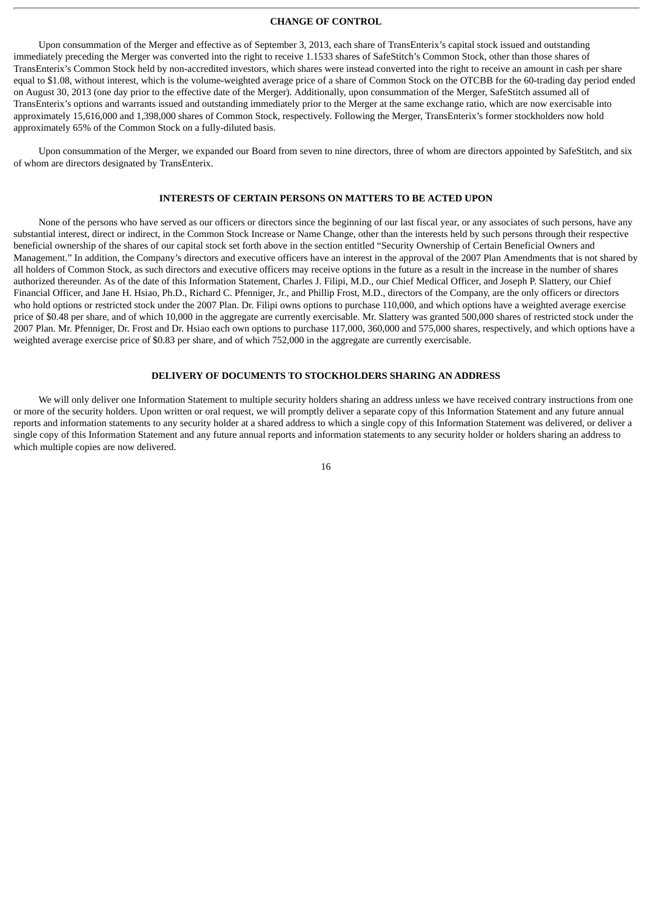## **CHANGE OF CONTROL**

Upon consummation of the Merger and effective as of September 3, 2013, each share of TransEnterix's capital stock issued and outstanding immediately preceding the Merger was converted into the right to receive 1.1533 shares of SafeStitch's Common Stock, other than those shares of TransEnterix's Common Stock held by non-accredited investors, which shares were instead converted into the right to receive an amount in cash per share equal to \$1.08, without interest, which is the volume-weighted average price of a share of Common Stock on the OTCBB for the 60-trading day period ended on August 30, 2013 (one day prior to the effective date of the Merger). Additionally, upon consummation of the Merger, SafeStitch assumed all of TransEnterix's options and warrants issued and outstanding immediately prior to the Merger at the same exchange ratio, which are now exercisable into approximately 15,616,000 and 1,398,000 shares of Common Stock, respectively. Following the Merger, TransEnterix's former stockholders now hold approximately 65% of the Common Stock on a fully-diluted basis.

Upon consummation of the Merger, we expanded our Board from seven to nine directors, three of whom are directors appointed by SafeStitch, and six of whom are directors designated by TransEnterix.

## **INTERESTS OF CERTAIN PERSONS ON MATTERS TO BE ACTED UPON**

None of the persons who have served as our officers or directors since the beginning of our last fiscal year, or any associates of such persons, have any substantial interest, direct or indirect, in the Common Stock Increase or Name Change, other than the interests held by such persons through their respective beneficial ownership of the shares of our capital stock set forth above in the section entitled "Security Ownership of Certain Beneficial Owners and Management." In addition, the Company's directors and executive officers have an interest in the approval of the 2007 Plan Amendments that is not shared by all holders of Common Stock, as such directors and executive officers may receive options in the future as a result in the increase in the number of shares authorized thereunder. As of the date of this Information Statement, Charles J. Filipi, M.D., our Chief Medical Officer, and Joseph P. Slattery, our Chief Financial Officer, and Jane H. Hsiao, Ph.D., Richard C. Pfenniger, Jr., and Phillip Frost, M.D., directors of the Company, are the only officers or directors who hold options or restricted stock under the 2007 Plan. Dr. Filipi owns options to purchase 110,000, and which options have a weighted average exercise price of \$0.48 per share, and of which 10,000 in the aggregate are currently exercisable. Mr. Slattery was granted 500,000 shares of restricted stock under the 2007 Plan. Mr. Pfenniger, Dr. Frost and Dr. Hsiao each own options to purchase 117,000, 360,000 and 575,000 shares, respectively, and which options have a weighted average exercise price of \$0.83 per share, and of which 752,000 in the aggregate are currently exercisable.

#### **DELIVERY OF DOCUMENTS TO STOCKHOLDERS SHARING AN ADDRESS**

We will only deliver one Information Statement to multiple security holders sharing an address unless we have received contrary instructions from one or more of the security holders. Upon written or oral request, we will promptly deliver a separate copy of this Information Statement and any future annual reports and information statements to any security holder at a shared address to which a single copy of this Information Statement was delivered, or deliver a single copy of this Information Statement and any future annual reports and information statements to any security holder or holders sharing an address to which multiple copies are now delivered.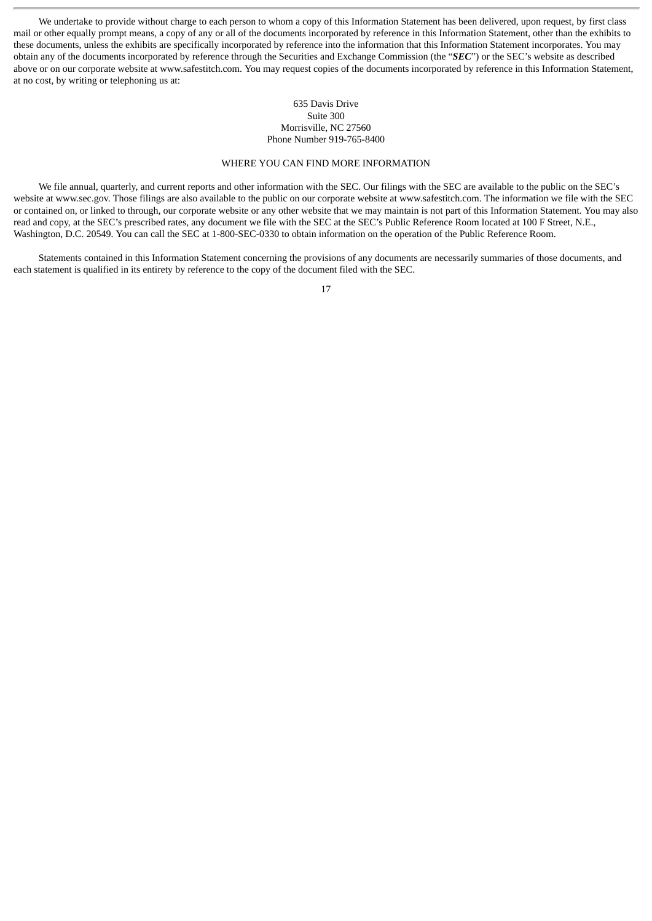We undertake to provide without charge to each person to whom a copy of this Information Statement has been delivered, upon request, by first class mail or other equally prompt means, a copy of any or all of the documents incorporated by reference in this Information Statement, other than the exhibits to these documents, unless the exhibits are specifically incorporated by reference into the information that this Information Statement incorporates. You may obtain any of the documents incorporated by reference through the Securities and Exchange Commission (the "*SEC*") or the SEC's website as described above or on our corporate website at www.safestitch.com. You may request copies of the documents incorporated by reference in this Information Statement, at no cost, by writing or telephoning us at:

## 635 Davis Drive Suite 300 Morrisville, NC 27560 Phone Number 919-765-8400

#### WHERE YOU CAN FIND MORE INFORMATION

We file annual, quarterly, and current reports and other information with the SEC. Our filings with the SEC are available to the public on the SEC's website at www.sec.gov. Those filings are also available to the public on our corporate website at www.safestitch.com. The information we file with the SEC or contained on, or linked to through, our corporate website or any other website that we may maintain is not part of this Information Statement. You may also read and copy, at the SEC's prescribed rates, any document we file with the SEC at the SEC's Public Reference Room located at 100 F Street, N.E., Washington, D.C. 20549. You can call the SEC at 1-800-SEC-0330 to obtain information on the operation of the Public Reference Room.

Statements contained in this Information Statement concerning the provisions of any documents are necessarily summaries of those documents, and each statement is qualified in its entirety by reference to the copy of the document filed with the SEC.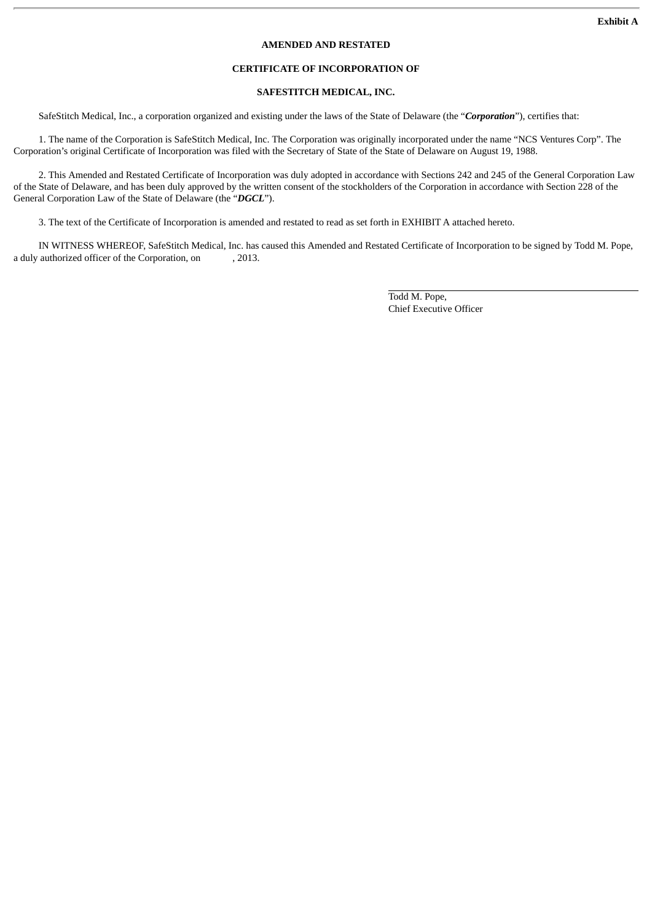## **AMENDED AND RESTATED**

## **CERTIFICATE OF INCORPORATION OF**

## **SAFESTITCH MEDICAL, INC.**

SafeStitch Medical, Inc., a corporation organized and existing under the laws of the State of Delaware (the "*Corporation*"), certifies that:

1. The name of the Corporation is SafeStitch Medical, Inc. The Corporation was originally incorporated under the name "NCS Ventures Corp". The Corporation's original Certificate of Incorporation was filed with the Secretary of State of the State of Delaware on August 19, 1988.

2. This Amended and Restated Certificate of Incorporation was duly adopted in accordance with Sections 242 and 245 of the General Corporation Law of the State of Delaware, and has been duly approved by the written consent of the stockholders of the Corporation in accordance with Section 228 of the General Corporation Law of the State of Delaware (the "*DGCL*").

3. The text of the Certificate of Incorporation is amended and restated to read as set forth in EXHIBIT A attached hereto.

IN WITNESS WHEREOF, SafeStitch Medical, Inc. has caused this Amended and Restated Certificate of Incorporation to be signed by Todd M. Pope, a duly authorized officer of the Corporation, on , 2013.

> Todd M. Pope, Chief Executive Officer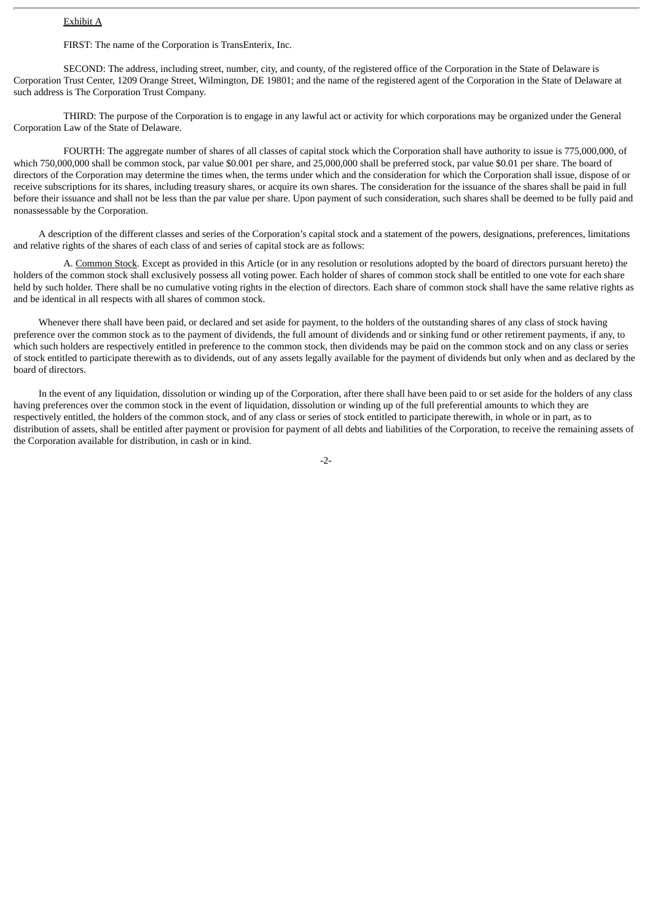## Exhibit A

FIRST: The name of the Corporation is TransEnterix, Inc.

SECOND: The address, including street, number, city, and county, of the registered office of the Corporation in the State of Delaware is Corporation Trust Center, 1209 Orange Street, Wilmington, DE 19801; and the name of the registered agent of the Corporation in the State of Delaware at such address is The Corporation Trust Company.

THIRD: The purpose of the Corporation is to engage in any lawful act or activity for which corporations may be organized under the General Corporation Law of the State of Delaware.

FOURTH: The aggregate number of shares of all classes of capital stock which the Corporation shall have authority to issue is 775,000,000, of which 750,000,000 shall be common stock, par value \$0.001 per share, and 25,000,000 shall be preferred stock, par value \$0.01 per share. The board of directors of the Corporation may determine the times when, the terms under which and the consideration for which the Corporation shall issue, dispose of or receive subscriptions for its shares, including treasury shares, or acquire its own shares. The consideration for the issuance of the shares shall be paid in full before their issuance and shall not be less than the par value per share. Upon payment of such consideration, such shares shall be deemed to be fully paid and nonassessable by the Corporation.

A description of the different classes and series of the Corporation's capital stock and a statement of the powers, designations, preferences, limitations and relative rights of the shares of each class of and series of capital stock are as follows:

A. Common Stock. Except as provided in this Article (or in any resolution or resolutions adopted by the board of directors pursuant hereto) the holders of the common stock shall exclusively possess all voting power. Each holder of shares of common stock shall be entitled to one vote for each share held by such holder. There shall be no cumulative voting rights in the election of directors. Each share of common stock shall have the same relative rights as and be identical in all respects with all shares of common stock.

Whenever there shall have been paid, or declared and set aside for payment, to the holders of the outstanding shares of any class of stock having preference over the common stock as to the payment of dividends, the full amount of dividends and or sinking fund or other retirement payments, if any, to which such holders are respectively entitled in preference to the common stock, then dividends may be paid on the common stock and on any class or series of stock entitled to participate therewith as to dividends, out of any assets legally available for the payment of dividends but only when and as declared by the board of directors.

In the event of any liquidation, dissolution or winding up of the Corporation, after there shall have been paid to or set aside for the holders of any class having preferences over the common stock in the event of liquidation, dissolution or winding up of the full preferential amounts to which they are respectively entitled, the holders of the common stock, and of any class or series of stock entitled to participate therewith, in whole or in part, as to distribution of assets, shall be entitled after payment or provision for payment of all debts and liabilities of the Corporation, to receive the remaining assets of the Corporation available for distribution, in cash or in kind.

-2-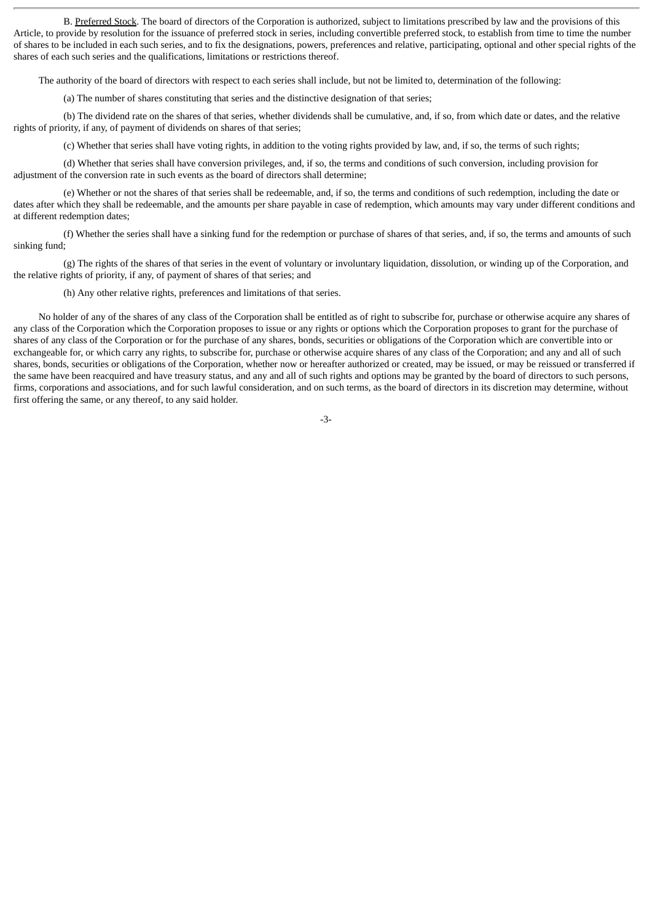B. Preferred Stock. The board of directors of the Corporation is authorized, subject to limitations prescribed by law and the provisions of this Article, to provide by resolution for the issuance of preferred stock in series, including convertible preferred stock, to establish from time to time the number of shares to be included in each such series, and to fix the designations, powers, preferences and relative, participating, optional and other special rights of the shares of each such series and the qualifications, limitations or restrictions thereof.

The authority of the board of directors with respect to each series shall include, but not be limited to, determination of the following:

(a) The number of shares constituting that series and the distinctive designation of that series;

(b) The dividend rate on the shares of that series, whether dividends shall be cumulative, and, if so, from which date or dates, and the relative rights of priority, if any, of payment of dividends on shares of that series;

(c) Whether that series shall have voting rights, in addition to the voting rights provided by law, and, if so, the terms of such rights;

(d) Whether that series shall have conversion privileges, and, if so, the terms and conditions of such conversion, including provision for adjustment of the conversion rate in such events as the board of directors shall determine;

(e) Whether or not the shares of that series shall be redeemable, and, if so, the terms and conditions of such redemption, including the date or dates after which they shall be redeemable, and the amounts per share payable in case of redemption, which amounts may vary under different conditions and at different redemption dates;

(f) Whether the series shall have a sinking fund for the redemption or purchase of shares of that series, and, if so, the terms and amounts of such sinking fund;

(g) The rights of the shares of that series in the event of voluntary or involuntary liquidation, dissolution, or winding up of the Corporation, and the relative rights of priority, if any, of payment of shares of that series; and

(h) Any other relative rights, preferences and limitations of that series.

No holder of any of the shares of any class of the Corporation shall be entitled as of right to subscribe for, purchase or otherwise acquire any shares of any class of the Corporation which the Corporation proposes to issue or any rights or options which the Corporation proposes to grant for the purchase of shares of any class of the Corporation or for the purchase of any shares, bonds, securities or obligations of the Corporation which are convertible into or exchangeable for, or which carry any rights, to subscribe for, purchase or otherwise acquire shares of any class of the Corporation; and any and all of such shares, bonds, securities or obligations of the Corporation, whether now or hereafter authorized or created, may be issued, or may be reissued or transferred if the same have been reacquired and have treasury status, and any and all of such rights and options may be granted by the board of directors to such persons, firms, corporations and associations, and for such lawful consideration, and on such terms, as the board of directors in its discretion may determine, without first offering the same, or any thereof, to any said holder.

-3-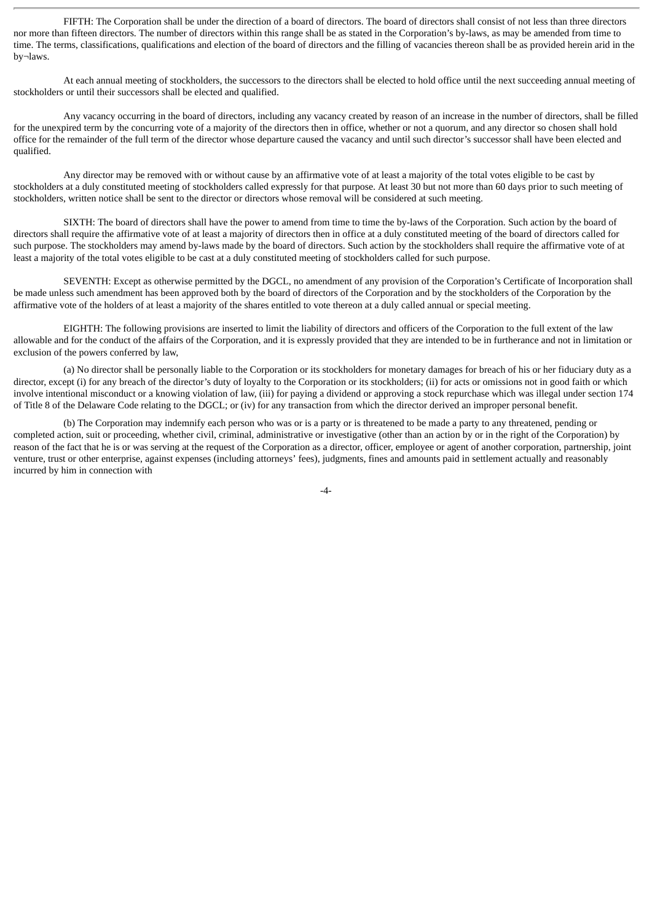FIFTH: The Corporation shall be under the direction of a board of directors. The board of directors shall consist of not less than three directors nor more than fifteen directors. The number of directors within this range shall be as stated in the Corporation's by-laws, as may be amended from time to time. The terms, classifications, qualifications and election of the board of directors and the filling of vacancies thereon shall be as provided herein arid in the by¬laws.

At each annual meeting of stockholders, the successors to the directors shall be elected to hold office until the next succeeding annual meeting of stockholders or until their successors shall be elected and qualified.

Any vacancy occurring in the board of directors, including any vacancy created by reason of an increase in the number of directors, shall be filled for the unexpired term by the concurring vote of a majority of the directors then in office, whether or not a quorum, and any director so chosen shall hold office for the remainder of the full term of the director whose departure caused the vacancy and until such director's successor shall have been elected and qualified.

Any director may be removed with or without cause by an affirmative vote of at least a majority of the total votes eligible to be cast by stockholders at a duly constituted meeting of stockholders called expressly for that purpose. At least 30 but not more than 60 days prior to such meeting of stockholders, written notice shall be sent to the director or directors whose removal will be considered at such meeting.

SIXTH: The board of directors shall have the power to amend from time to time the by-laws of the Corporation. Such action by the board of directors shall require the affirmative vote of at least a majority of directors then in office at a duly constituted meeting of the board of directors called for such purpose. The stockholders may amend by-laws made by the board of directors. Such action by the stockholders shall require the affirmative vote of at least a majority of the total votes eligible to be cast at a duly constituted meeting of stockholders called for such purpose.

SEVENTH: Except as otherwise permitted by the DGCL, no amendment of any provision of the Corporation's Certificate of Incorporation shall be made unless such amendment has been approved both by the board of directors of the Corporation and by the stockholders of the Corporation by the affirmative vote of the holders of at least a majority of the shares entitled to vote thereon at a duly called annual or special meeting.

EIGHTH: The following provisions are inserted to limit the liability of directors and officers of the Corporation to the full extent of the law allowable and for the conduct of the affairs of the Corporation, and it is expressly provided that they are intended to be in furtherance and not in limitation or exclusion of the powers conferred by law,

(a) No director shall be personally liable to the Corporation or its stockholders for monetary damages for breach of his or her fiduciary duty as a director, except (i) for any breach of the director's duty of loyalty to the Corporation or its stockholders; (ii) for acts or omissions not in good faith or which involve intentional misconduct or a knowing violation of law, (iii) for paying a dividend or approving a stock repurchase which was illegal under section 174 of Title 8 of the Delaware Code relating to the DGCL; or (iv) for any transaction from which the director derived an improper personal benefit.

(b) The Corporation may indemnify each person who was or is a party or is threatened to be made a party to any threatened, pending or completed action, suit or proceeding, whether civil, criminal, administrative or investigative (other than an action by or in the right of the Corporation) by reason of the fact that he is or was serving at the request of the Corporation as a director, officer, employee or agent of another corporation, partnership, joint venture, trust or other enterprise, against expenses (including attorneys' fees), judgments, fines and amounts paid in settlement actually and reasonably incurred by him in connection with

-4-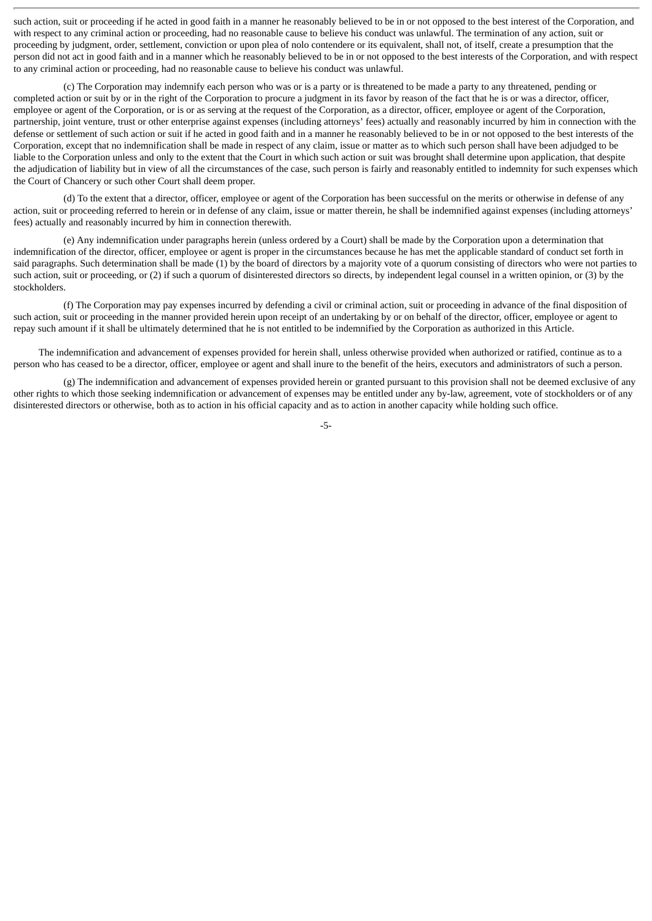such action, suit or proceeding if he acted in good faith in a manner he reasonably believed to be in or not opposed to the best interest of the Corporation, and with respect to any criminal action or proceeding, had no reasonable cause to believe his conduct was unlawful. The termination of any action, suit or proceeding by judgment, order, settlement, conviction or upon plea of nolo contendere or its equivalent, shall not, of itself, create a presumption that the person did not act in good faith and in a manner which he reasonably believed to be in or not opposed to the best interests of the Corporation, and with respect to any criminal action or proceeding, had no reasonable cause to believe his conduct was unlawful.

(c) The Corporation may indemnify each person who was or is a party or is threatened to be made a party to any threatened, pending or completed action or suit by or in the right of the Corporation to procure a judgment in its favor by reason of the fact that he is or was a director, officer, employee or agent of the Corporation, or is or as serving at the request of the Corporation, as a director, officer, employee or agent of the Corporation, partnership, joint venture, trust or other enterprise against expenses (including attorneys' fees) actually and reasonably incurred by him in connection with the defense or settlement of such action or suit if he acted in good faith and in a manner he reasonably believed to be in or not opposed to the best interests of the Corporation, except that no indemnification shall be made in respect of any claim, issue or matter as to which such person shall have been adjudged to be liable to the Corporation unless and only to the extent that the Court in which such action or suit was brought shall determine upon application, that despite the adjudication of liability but in view of all the circumstances of the case, such person is fairly and reasonably entitled to indemnity for such expenses which the Court of Chancery or such other Court shall deem proper.

(d) To the extent that a director, officer, employee or agent of the Corporation has been successful on the merits or otherwise in defense of any action, suit or proceeding referred to herein or in defense of any claim, issue or matter therein, he shall be indemnified against expenses (including attorneys' fees) actually and reasonably incurred by him in connection therewith.

(e) Any indemnification under paragraphs herein (unless ordered by a Court) shall be made by the Corporation upon a determination that indemnification of the director, officer, employee or agent is proper in the circumstances because he has met the applicable standard of conduct set forth in said paragraphs. Such determination shall be made (1) by the board of directors by a majority vote of a quorum consisting of directors who were not parties to such action, suit or proceeding, or (2) if such a quorum of disinterested directors so directs, by independent legal counsel in a written opinion, or (3) by the stockholders.

(f) The Corporation may pay expenses incurred by defending a civil or criminal action, suit or proceeding in advance of the final disposition of such action, suit or proceeding in the manner provided herein upon receipt of an undertaking by or on behalf of the director, officer, employee or agent to repay such amount if it shall be ultimately determined that he is not entitled to be indemnified by the Corporation as authorized in this Article.

The indemnification and advancement of expenses provided for herein shall, unless otherwise provided when authorized or ratified, continue as to a person who has ceased to be a director, officer, employee or agent and shall inure to the benefit of the heirs, executors and administrators of such a person.

(g) The indemnification and advancement of expenses provided herein or granted pursuant to this provision shall not be deemed exclusive of any other rights to which those seeking indemnification or advancement of expenses may be entitled under any by-law, agreement, vote of stockholders or of any disinterested directors or otherwise, both as to action in his official capacity and as to action in another capacity while holding such office.

-5-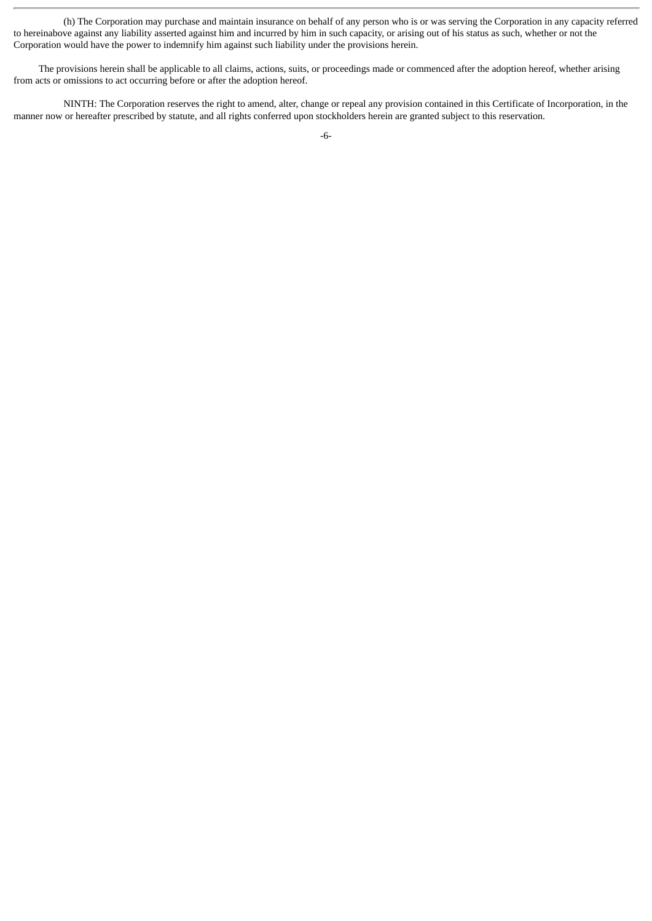(h) The Corporation may purchase and maintain insurance on behalf of any person who is or was serving the Corporation in any capacity referred to hereinabove against any liability asserted against him and incurred by him in such capacity, or arising out of his status as such, whether or not the Corporation would have the power to indemnify him against such liability under the provisions herein.

The provisions herein shall be applicable to all claims, actions, suits, or proceedings made or commenced after the adoption hereof, whether arising from acts or omissions to act occurring before or after the adoption hereof.

NINTH: The Corporation reserves the right to amend, alter, change or repeal any provision contained in this Certificate of Incorporation, in the manner now or hereafter prescribed by statute, and all rights conferred upon stockholders herein are granted subject to this reservation.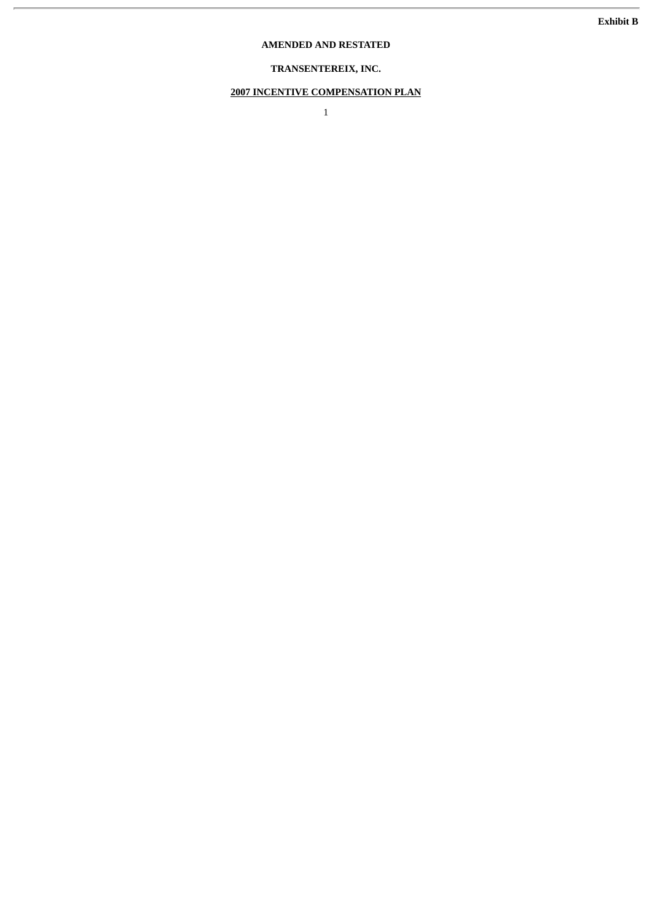# **AMENDED AND RESTATED**

# **TRANSENTEREIX, INC.**

# **2007 INCENTIVE COMPENSATION PLAN**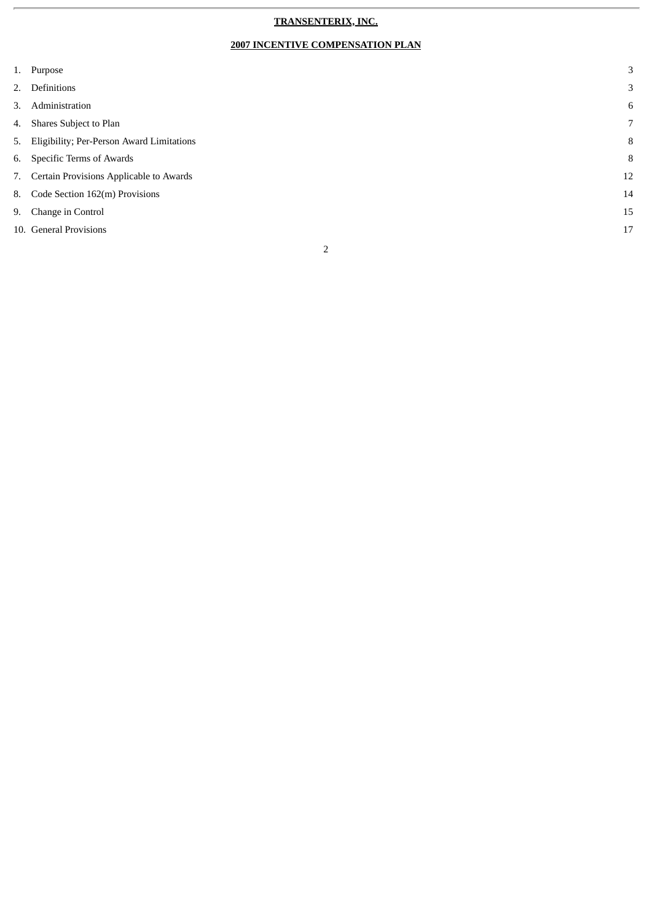# **TRANSENTERIX, INC.**

j.

# **2007 INCENTIVE COMPENSATION PLAN**

|    | 1. Purpose                                   | 3           |
|----|----------------------------------------------|-------------|
| 2. | Definitions                                  | 3           |
| 3. | Administration                               | 6           |
| 4. | Shares Subject to Plan                       | $7^{\circ}$ |
|    | 5. Eligibility; Per-Person Award Limitations | 8           |
|    | 6. Specific Terms of Awards                  | 8           |
|    | 7. Certain Provisions Applicable to Awards   | 12          |
|    | 8. Code Section 162(m) Provisions            | 14          |
| 9. | Change in Control                            | 15          |
|    | 10. General Provisions                       | 17          |
|    | $\overline{2}$                               |             |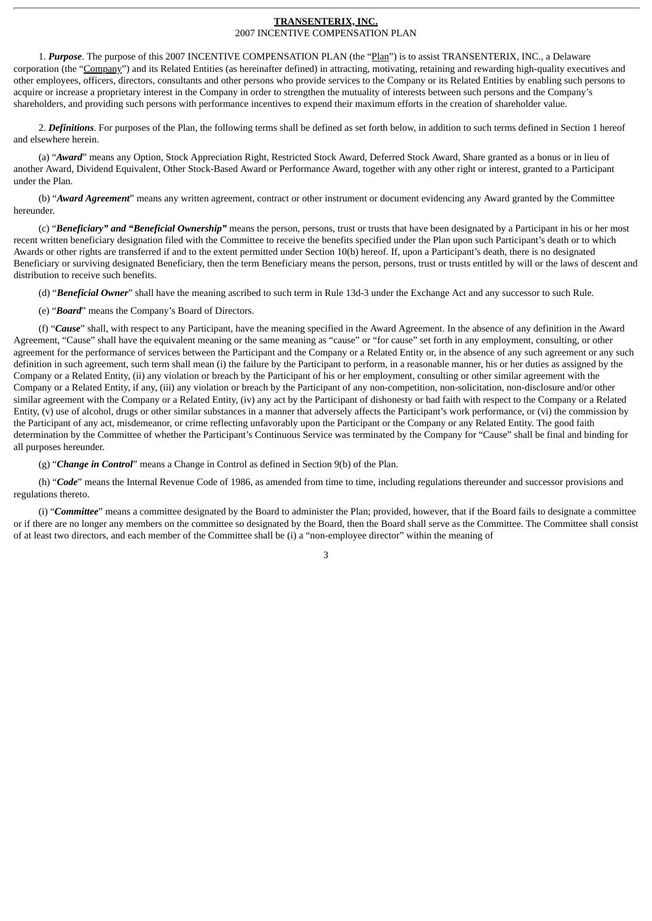#### **TRANSENTERIX, INC.** 2007 INCENTIVE COMPENSATION PLAN

1. *Purpose*. The purpose of this 2007 INCENTIVE COMPENSATION PLAN (the "Plan") is to assist TRANSENTERIX, INC., a Delaware corporation (the "Company") and its Related Entities (as hereinafter defined) in attracting, motivating, retaining and rewarding high-quality executives and other employees, officers, directors, consultants and other persons who provide services to the Company or its Related Entities by enabling such persons to acquire or increase a proprietary interest in the Company in order to strengthen the mutuality of interests between such persons and the Company's shareholders, and providing such persons with performance incentives to expend their maximum efforts in the creation of shareholder value.

2. *Definitions*. For purposes of the Plan, the following terms shall be defined as set forth below, in addition to such terms defined in Section 1 hereof and elsewhere herein.

(a) "*Award*" means any Option, Stock Appreciation Right, Restricted Stock Award, Deferred Stock Award, Share granted as a bonus or in lieu of another Award, Dividend Equivalent, Other Stock-Based Award or Performance Award, together with any other right or interest, granted to a Participant under the Plan.

(b) "*Award Agreement*" means any written agreement, contract or other instrument or document evidencing any Award granted by the Committee hereunder.

(c) "*Beneficiary" and "Beneficial Ownership"* means the person, persons, trust or trusts that have been designated by a Participant in his or her most recent written beneficiary designation filed with the Committee to receive the benefits specified under the Plan upon such Participant's death or to which Awards or other rights are transferred if and to the extent permitted under Section 10(b) hereof. If, upon a Participant's death, there is no designated Beneficiary or surviving designated Beneficiary, then the term Beneficiary means the person, persons, trust or trusts entitled by will or the laws of descent and distribution to receive such benefits.

(d) "*Beneficial Owner*" shall have the meaning ascribed to such term in Rule 13d-3 under the Exchange Act and any successor to such Rule.

(e) "*Board*" means the Company's Board of Directors.

(f) "*Cause*" shall, with respect to any Participant, have the meaning specified in the Award Agreement. In the absence of any definition in the Award Agreement, "Cause" shall have the equivalent meaning or the same meaning as "cause" or "for cause" set forth in any employment, consulting, or other agreement for the performance of services between the Participant and the Company or a Related Entity or, in the absence of any such agreement or any such definition in such agreement, such term shall mean (i) the failure by the Participant to perform, in a reasonable manner, his or her duties as assigned by the Company or a Related Entity, (ii) any violation or breach by the Participant of his or her employment, consulting or other similar agreement with the Company or a Related Entity, if any, (iii) any violation or breach by the Participant of any non-competition, non-solicitation, non-disclosure and/or other similar agreement with the Company or a Related Entity, (iv) any act by the Participant of dishonesty or bad faith with respect to the Company or a Related Entity, (v) use of alcohol, drugs or other similar substances in a manner that adversely affects the Participant's work performance, or (vi) the commission by the Participant of any act, misdemeanor, or crime reflecting unfavorably upon the Participant or the Company or any Related Entity. The good faith determination by the Committee of whether the Participant's Continuous Service was terminated by the Company for "Cause" shall be final and binding for all purposes hereunder.

(g) "*Change in Control*" means a Change in Control as defined in Section 9(b) of the Plan.

(h) "*Code*" means the Internal Revenue Code of 1986, as amended from time to time, including regulations thereunder and successor provisions and regulations thereto.

(i) "*Committee*" means a committee designated by the Board to administer the Plan; provided, however, that if the Board fails to designate a committee or if there are no longer any members on the committee so designated by the Board, then the Board shall serve as the Committee. The Committee shall consist of at least two directors, and each member of the Committee shall be (i) a "non-employee director" within the meaning of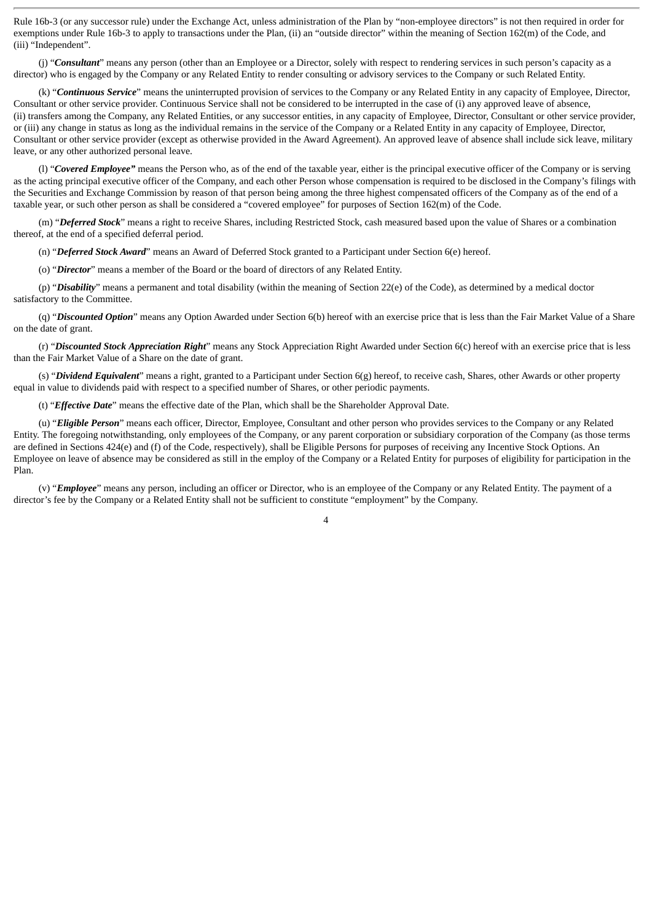Rule 16b-3 (or any successor rule) under the Exchange Act, unless administration of the Plan by "non-employee directors" is not then required in order for exemptions under Rule 16b-3 to apply to transactions under the Plan, (ii) an "outside director" within the meaning of Section 162(m) of the Code, and (iii) "Independent".

(j) "*Consultant*" means any person (other than an Employee or a Director, solely with respect to rendering services in such person's capacity as a director) who is engaged by the Company or any Related Entity to render consulting or advisory services to the Company or such Related Entity.

(k) "*Continuous Service*" means the uninterrupted provision of services to the Company or any Related Entity in any capacity of Employee, Director, Consultant or other service provider. Continuous Service shall not be considered to be interrupted in the case of (i) any approved leave of absence, (ii) transfers among the Company, any Related Entities, or any successor entities, in any capacity of Employee, Director, Consultant or other service provider, or (iii) any change in status as long as the individual remains in the service of the Company or a Related Entity in any capacity of Employee, Director, Consultant or other service provider (except as otherwise provided in the Award Agreement). An approved leave of absence shall include sick leave, military leave, or any other authorized personal leave.

(l) "*Covered Employee"* means the Person who, as of the end of the taxable year, either is the principal executive officer of the Company or is serving as the acting principal executive officer of the Company, and each other Person whose compensation is required to be disclosed in the Company's filings with the Securities and Exchange Commission by reason of that person being among the three highest compensated officers of the Company as of the end of a taxable year, or such other person as shall be considered a "covered employee" for purposes of Section 162(m) of the Code.

(m) "*Deferred Stock*" means a right to receive Shares, including Restricted Stock, cash measured based upon the value of Shares or a combination thereof, at the end of a specified deferral period.

(n) "*Deferred Stock Award*" means an Award of Deferred Stock granted to a Participant under Section 6(e) hereof.

(o) "*Director*" means a member of the Board or the board of directors of any Related Entity.

(p) "*Disability*" means a permanent and total disability (within the meaning of Section 22(e) of the Code), as determined by a medical doctor satisfactory to the Committee.

(q) "*Discounted Option*" means any Option Awarded under Section 6(b) hereof with an exercise price that is less than the Fair Market Value of a Share on the date of grant.

(r) "*Discounted Stock Appreciation Right*" means any Stock Appreciation Right Awarded under Section 6(c) hereof with an exercise price that is less than the Fair Market Value of a Share on the date of grant.

(s) "*Dividend Equivalent*" means a right, granted to a Participant under Section 6(g) hereof, to receive cash, Shares, other Awards or other property equal in value to dividends paid with respect to a specified number of Shares, or other periodic payments.

(t) "*Effective Date*" means the effective date of the Plan, which shall be the Shareholder Approval Date.

(u) "*Eligible Person*" means each officer, Director, Employee, Consultant and other person who provides services to the Company or any Related Entity. The foregoing notwithstanding, only employees of the Company, or any parent corporation or subsidiary corporation of the Company (as those terms are defined in Sections 424(e) and (f) of the Code, respectively), shall be Eligible Persons for purposes of receiving any Incentive Stock Options. An Employee on leave of absence may be considered as still in the employ of the Company or a Related Entity for purposes of eligibility for participation in the Plan.

(v) "*Employee*" means any person, including an officer or Director, who is an employee of the Company or any Related Entity. The payment of a director's fee by the Company or a Related Entity shall not be sufficient to constitute "employment" by the Company.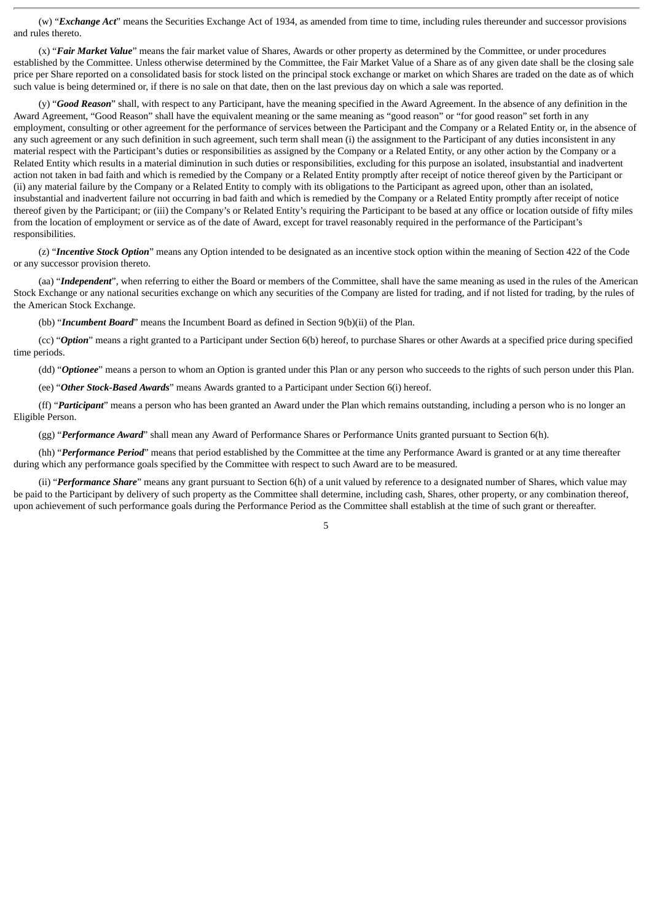(w) "*Exchange Act*" means the Securities Exchange Act of 1934, as amended from time to time, including rules thereunder and successor provisions and rules thereto.

(x) "*Fair Market Value*" means the fair market value of Shares, Awards or other property as determined by the Committee, or under procedures established by the Committee. Unless otherwise determined by the Committee, the Fair Market Value of a Share as of any given date shall be the closing sale price per Share reported on a consolidated basis for stock listed on the principal stock exchange or market on which Shares are traded on the date as of which such value is being determined or, if there is no sale on that date, then on the last previous day on which a sale was reported.

(y) "*Good Reason*" shall, with respect to any Participant, have the meaning specified in the Award Agreement. In the absence of any definition in the Award Agreement, "Good Reason" shall have the equivalent meaning or the same meaning as "good reason" or "for good reason" set forth in any employment, consulting or other agreement for the performance of services between the Participant and the Company or a Related Entity or, in the absence of any such agreement or any such definition in such agreement, such term shall mean (i) the assignment to the Participant of any duties inconsistent in any material respect with the Participant's duties or responsibilities as assigned by the Company or a Related Entity, or any other action by the Company or a Related Entity which results in a material diminution in such duties or responsibilities, excluding for this purpose an isolated, insubstantial and inadvertent action not taken in bad faith and which is remedied by the Company or a Related Entity promptly after receipt of notice thereof given by the Participant or (ii) any material failure by the Company or a Related Entity to comply with its obligations to the Participant as agreed upon, other than an isolated, insubstantial and inadvertent failure not occurring in bad faith and which is remedied by the Company or a Related Entity promptly after receipt of notice thereof given by the Participant; or (iii) the Company's or Related Entity's requiring the Participant to be based at any office or location outside of fifty miles from the location of employment or service as of the date of Award, except for travel reasonably required in the performance of the Participant's responsibilities.

(z) "*Incentive Stock Option*" means any Option intended to be designated as an incentive stock option within the meaning of Section 422 of the Code or any successor provision thereto.

(aa) "*Independent*", when referring to either the Board or members of the Committee, shall have the same meaning as used in the rules of the American Stock Exchange or any national securities exchange on which any securities of the Company are listed for trading, and if not listed for trading, by the rules of the American Stock Exchange.

(bb) "*Incumbent Board*" means the Incumbent Board as defined in Section 9(b)(ii) of the Plan.

(cc) "*Option*" means a right granted to a Participant under Section 6(b) hereof, to purchase Shares or other Awards at a specified price during specified time periods.

(dd) "*Optionee*" means a person to whom an Option is granted under this Plan or any person who succeeds to the rights of such person under this Plan.

(ee) "*Other Stock-Based Awards*" means Awards granted to a Participant under Section 6(i) hereof.

(ff) "*Participant*" means a person who has been granted an Award under the Plan which remains outstanding, including a person who is no longer an Eligible Person.

(gg) "*Performance Award*" shall mean any Award of Performance Shares or Performance Units granted pursuant to Section 6(h).

(hh) "*Performance Period*" means that period established by the Committee at the time any Performance Award is granted or at any time thereafter during which any performance goals specified by the Committee with respect to such Award are to be measured.

(ii) "*Performance Share*" means any grant pursuant to Section 6(h) of a unit valued by reference to a designated number of Shares, which value may be paid to the Participant by delivery of such property as the Committee shall determine, including cash, Shares, other property, or any combination thereof, upon achievement of such performance goals during the Performance Period as the Committee shall establish at the time of such grant or thereafter.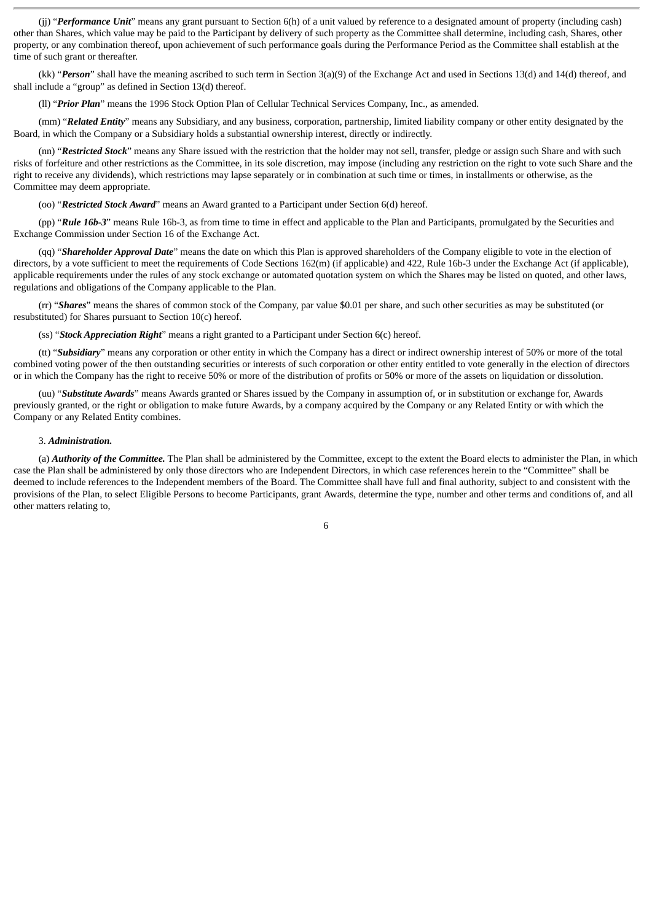(jj) "*Performance Unit*" means any grant pursuant to Section 6(h) of a unit valued by reference to a designated amount of property (including cash) other than Shares, which value may be paid to the Participant by delivery of such property as the Committee shall determine, including cash, Shares, other property, or any combination thereof, upon achievement of such performance goals during the Performance Period as the Committee shall establish at the time of such grant or thereafter.

(kk) "*Person*" shall have the meaning ascribed to such term in Section 3(a)(9) of the Exchange Act and used in Sections 13(d) and 14(d) thereof, and shall include a "group" as defined in Section 13(d) thereof.

(ll) "*Prior Plan*" means the 1996 Stock Option Plan of Cellular Technical Services Company, Inc., as amended.

(mm) "*Related Entity*" means any Subsidiary, and any business, corporation, partnership, limited liability company or other entity designated by the Board, in which the Company or a Subsidiary holds a substantial ownership interest, directly or indirectly.

(nn) "*Restricted Stock*" means any Share issued with the restriction that the holder may not sell, transfer, pledge or assign such Share and with such risks of forfeiture and other restrictions as the Committee, in its sole discretion, may impose (including any restriction on the right to vote such Share and the right to receive any dividends), which restrictions may lapse separately or in combination at such time or times, in installments or otherwise, as the Committee may deem appropriate.

(oo) "*Restricted Stock Award*" means an Award granted to a Participant under Section 6(d) hereof.

(pp) "*Rule 16b-3*" means Rule 16b-3, as from time to time in effect and applicable to the Plan and Participants, promulgated by the Securities and Exchange Commission under Section 16 of the Exchange Act.

(qq) "*Shareholder Approval Date*" means the date on which this Plan is approved shareholders of the Company eligible to vote in the election of directors, by a vote sufficient to meet the requirements of Code Sections 162(m) (if applicable) and 422, Rule 16b-3 under the Exchange Act (if applicable), applicable requirements under the rules of any stock exchange or automated quotation system on which the Shares may be listed on quoted, and other laws, regulations and obligations of the Company applicable to the Plan.

(rr) "*Shares*" means the shares of common stock of the Company, par value \$0.01 per share, and such other securities as may be substituted (or resubstituted) for Shares pursuant to Section 10(c) hereof.

(ss) "*Stock Appreciation Right*" means a right granted to a Participant under Section 6(c) hereof.

(tt) "*Subsidiary*" means any corporation or other entity in which the Company has a direct or indirect ownership interest of 50% or more of the total combined voting power of the then outstanding securities or interests of such corporation or other entity entitled to vote generally in the election of directors or in which the Company has the right to receive 50% or more of the distribution of profits or 50% or more of the assets on liquidation or dissolution.

(uu) "*Substitute Awards*" means Awards granted or Shares issued by the Company in assumption of, or in substitution or exchange for, Awards previously granted, or the right or obligation to make future Awards, by a company acquired by the Company or any Related Entity or with which the Company or any Related Entity combines.

#### 3. *Administration.*

(a) *Authority of the Committee.* The Plan shall be administered by the Committee, except to the extent the Board elects to administer the Plan, in which case the Plan shall be administered by only those directors who are Independent Directors, in which case references herein to the "Committee" shall be deemed to include references to the Independent members of the Board. The Committee shall have full and final authority, subject to and consistent with the provisions of the Plan, to select Eligible Persons to become Participants, grant Awards, determine the type, number and other terms and conditions of, and all other matters relating to,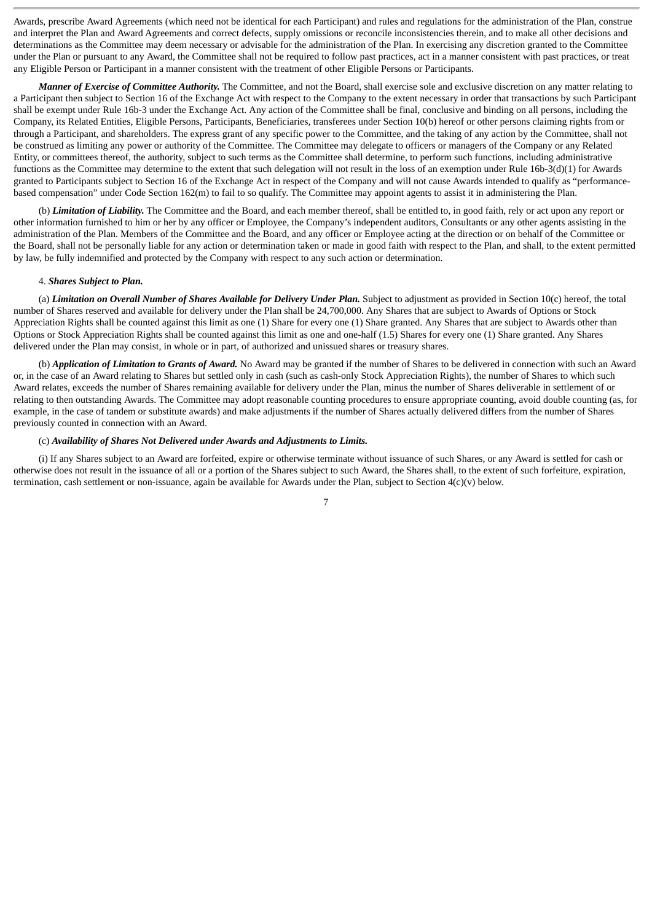Awards, prescribe Award Agreements (which need not be identical for each Participant) and rules and regulations for the administration of the Plan, construe and interpret the Plan and Award Agreements and correct defects, supply omissions or reconcile inconsistencies therein, and to make all other decisions and determinations as the Committee may deem necessary or advisable for the administration of the Plan. In exercising any discretion granted to the Committee under the Plan or pursuant to any Award, the Committee shall not be required to follow past practices, act in a manner consistent with past practices, or treat any Eligible Person or Participant in a manner consistent with the treatment of other Eligible Persons or Participants.

*Manner of Exercise of Committee Authority.* The Committee, and not the Board, shall exercise sole and exclusive discretion on any matter relating to a Participant then subject to Section 16 of the Exchange Act with respect to the Company to the extent necessary in order that transactions by such Participant shall be exempt under Rule 16b-3 under the Exchange Act. Any action of the Committee shall be final, conclusive and binding on all persons, including the Company, its Related Entities, Eligible Persons, Participants, Beneficiaries, transferees under Section 10(b) hereof or other persons claiming rights from or through a Participant, and shareholders. The express grant of any specific power to the Committee, and the taking of any action by the Committee, shall not be construed as limiting any power or authority of the Committee. The Committee may delegate to officers or managers of the Company or any Related Entity, or committees thereof, the authority, subject to such terms as the Committee shall determine, to perform such functions, including administrative functions as the Committee may determine to the extent that such delegation will not result in the loss of an exemption under Rule 16b-3(d)(1) for Awards granted to Participants subject to Section 16 of the Exchange Act in respect of the Company and will not cause Awards intended to qualify as "performancebased compensation" under Code Section 162(m) to fail to so qualify. The Committee may appoint agents to assist it in administering the Plan.

(b) *Limitation of Liability.* The Committee and the Board, and each member thereof, shall be entitled to, in good faith, rely or act upon any report or other information furnished to him or her by any officer or Employee, the Company's independent auditors, Consultants or any other agents assisting in the administration of the Plan. Members of the Committee and the Board, and any officer or Employee acting at the direction or on behalf of the Committee or the Board, shall not be personally liable for any action or determination taken or made in good faith with respect to the Plan, and shall, to the extent permitted by law, be fully indemnified and protected by the Company with respect to any such action or determination.

#### 4. *Shares Subject to Plan.*

(a) *Limitation on Overall Number of Shares Available for Delivery Under Plan.* Subject to adjustment as provided in Section 10(c) hereof, the total number of Shares reserved and available for delivery under the Plan shall be 24,700,000. Any Shares that are subject to Awards of Options or Stock Appreciation Rights shall be counted against this limit as one (1) Share for every one (1) Share granted. Any Shares that are subject to Awards other than Options or Stock Appreciation Rights shall be counted against this limit as one and one-half (1.5) Shares for every one (1) Share granted. Any Shares delivered under the Plan may consist, in whole or in part, of authorized and unissued shares or treasury shares.

(b) *Application of Limitation to Grants of Award.* No Award may be granted if the number of Shares to be delivered in connection with such an Award or, in the case of an Award relating to Shares but settled only in cash (such as cash-only Stock Appreciation Rights), the number of Shares to which such Award relates, exceeds the number of Shares remaining available for delivery under the Plan, minus the number of Shares deliverable in settlement of or relating to then outstanding Awards. The Committee may adopt reasonable counting procedures to ensure appropriate counting, avoid double counting (as, for example, in the case of tandem or substitute awards) and make adjustments if the number of Shares actually delivered differs from the number of Shares previously counted in connection with an Award.

#### (c) *Availability of Shares Not Delivered under Awards and Adjustments to Limits.*

(i) If any Shares subject to an Award are forfeited, expire or otherwise terminate without issuance of such Shares, or any Award is settled for cash or otherwise does not result in the issuance of all or a portion of the Shares subject to such Award, the Shares shall, to the extent of such forfeiture, expiration, termination, cash settlement or non-issuance, again be available for Awards under the Plan, subject to Section  $4(c)(v)$  below.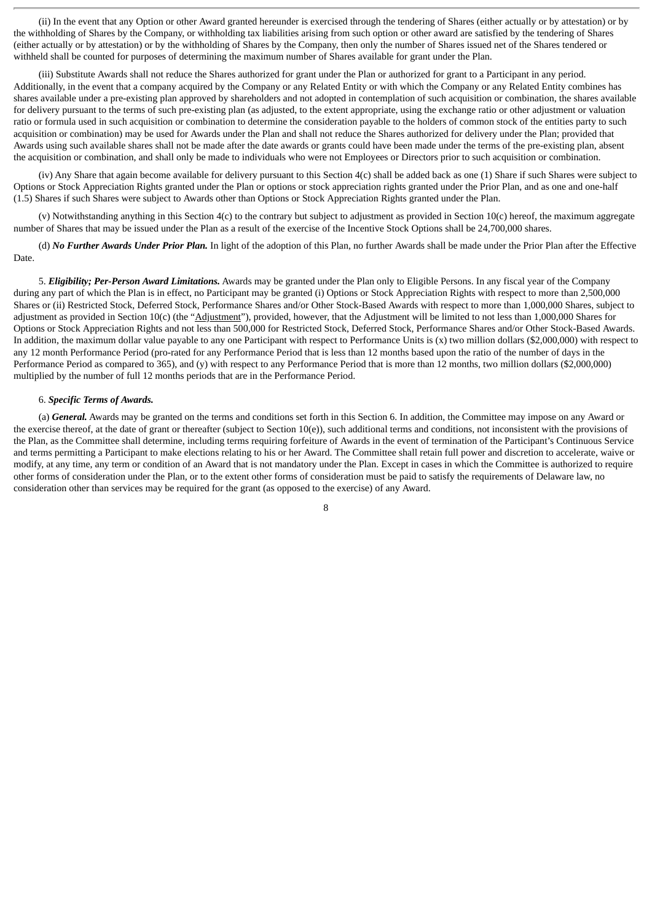(ii) In the event that any Option or other Award granted hereunder is exercised through the tendering of Shares (either actually or by attestation) or by the withholding of Shares by the Company, or withholding tax liabilities arising from such option or other award are satisfied by the tendering of Shares (either actually or by attestation) or by the withholding of Shares by the Company, then only the number of Shares issued net of the Shares tendered or withheld shall be counted for purposes of determining the maximum number of Shares available for grant under the Plan.

(iii) Substitute Awards shall not reduce the Shares authorized for grant under the Plan or authorized for grant to a Participant in any period. Additionally, in the event that a company acquired by the Company or any Related Entity or with which the Company or any Related Entity combines has shares available under a pre-existing plan approved by shareholders and not adopted in contemplation of such acquisition or combination, the shares available for delivery pursuant to the terms of such pre-existing plan (as adjusted, to the extent appropriate, using the exchange ratio or other adjustment or valuation ratio or formula used in such acquisition or combination to determine the consideration payable to the holders of common stock of the entities party to such acquisition or combination) may be used for Awards under the Plan and shall not reduce the Shares authorized for delivery under the Plan; provided that Awards using such available shares shall not be made after the date awards or grants could have been made under the terms of the pre-existing plan, absent the acquisition or combination, and shall only be made to individuals who were not Employees or Directors prior to such acquisition or combination.

(iv) Any Share that again become available for delivery pursuant to this Section 4(c) shall be added back as one (1) Share if such Shares were subject to Options or Stock Appreciation Rights granted under the Plan or options or stock appreciation rights granted under the Prior Plan, and as one and one-half (1.5) Shares if such Shares were subject to Awards other than Options or Stock Appreciation Rights granted under the Plan.

(v) Notwithstanding anything in this Section 4(c) to the contrary but subject to adjustment as provided in Section 10(c) hereof, the maximum aggregate number of Shares that may be issued under the Plan as a result of the exercise of the Incentive Stock Options shall be 24,700,000 shares.

(d) *No Further Awards Under Prior Plan.* In light of the adoption of this Plan, no further Awards shall be made under the Prior Plan after the Effective Date.

5. *Eligibility; Per-Person Award Limitations.* Awards may be granted under the Plan only to Eligible Persons. In any fiscal year of the Company during any part of which the Plan is in effect, no Participant may be granted (i) Options or Stock Appreciation Rights with respect to more than 2,500,000 Shares or (ii) Restricted Stock, Deferred Stock, Performance Shares and/or Other Stock-Based Awards with respect to more than 1,000,000 Shares, subject to adjustment as provided in Section 10(c) (the "Adjustment"), provided, however, that the Adjustment will be limited to not less than 1,000,000 Shares for Options or Stock Appreciation Rights and not less than 500,000 for Restricted Stock, Deferred Stock, Performance Shares and/or Other Stock-Based Awards. In addition, the maximum dollar value payable to any one Participant with respect to Performance Units is (x) two million dollars (\$2,000,000) with respect to any 12 month Performance Period (pro-rated for any Performance Period that is less than 12 months based upon the ratio of the number of days in the Performance Period as compared to 365), and (y) with respect to any Performance Period that is more than 12 months, two million dollars (\$2,000,000) multiplied by the number of full 12 months periods that are in the Performance Period.

## 6. *Specific Terms of Awards.*

(a) *General.* Awards may be granted on the terms and conditions set forth in this Section 6. In addition, the Committee may impose on any Award or the exercise thereof, at the date of grant or thereafter (subject to Section 10(e)), such additional terms and conditions, not inconsistent with the provisions of the Plan, as the Committee shall determine, including terms requiring forfeiture of Awards in the event of termination of the Participant's Continuous Service and terms permitting a Participant to make elections relating to his or her Award. The Committee shall retain full power and discretion to accelerate, waive or modify, at any time, any term or condition of an Award that is not mandatory under the Plan. Except in cases in which the Committee is authorized to require other forms of consideration under the Plan, or to the extent other forms of consideration must be paid to satisfy the requirements of Delaware law, no consideration other than services may be required for the grant (as opposed to the exercise) of any Award.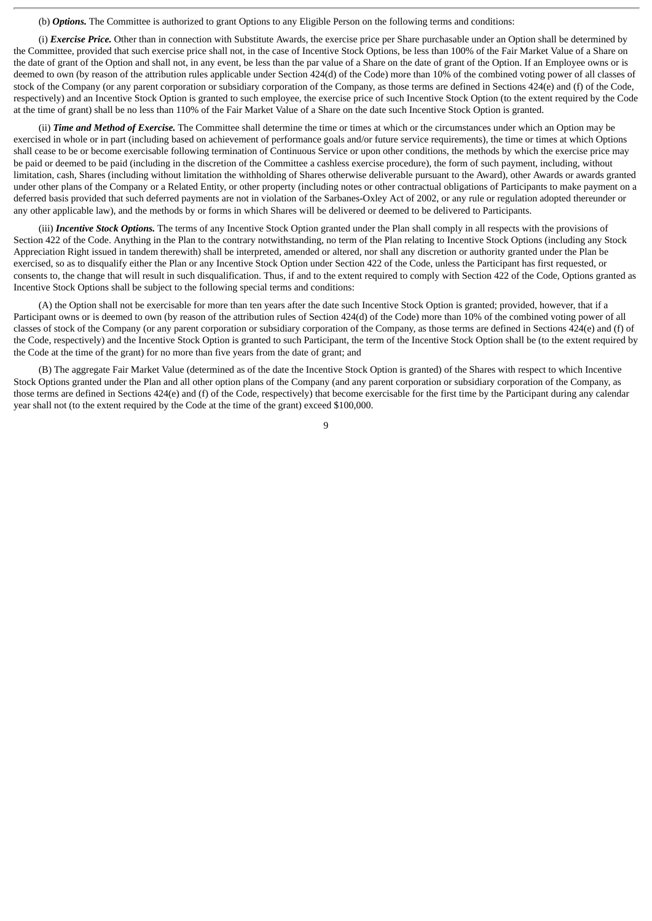(b) *Options.* The Committee is authorized to grant Options to any Eligible Person on the following terms and conditions:

(i) *Exercise Price.* Other than in connection with Substitute Awards, the exercise price per Share purchasable under an Option shall be determined by the Committee, provided that such exercise price shall not, in the case of Incentive Stock Options, be less than 100% of the Fair Market Value of a Share on the date of grant of the Option and shall not, in any event, be less than the par value of a Share on the date of grant of the Option. If an Employee owns or is deemed to own (by reason of the attribution rules applicable under Section 424(d) of the Code) more than 10% of the combined voting power of all classes of stock of the Company (or any parent corporation or subsidiary corporation of the Company, as those terms are defined in Sections 424(e) and (f) of the Code, respectively) and an Incentive Stock Option is granted to such employee, the exercise price of such Incentive Stock Option (to the extent required by the Code at the time of grant) shall be no less than 110% of the Fair Market Value of a Share on the date such Incentive Stock Option is granted.

(ii) *Time and Method of Exercise.* The Committee shall determine the time or times at which or the circumstances under which an Option may be exercised in whole or in part (including based on achievement of performance goals and/or future service requirements), the time or times at which Options shall cease to be or become exercisable following termination of Continuous Service or upon other conditions, the methods by which the exercise price may be paid or deemed to be paid (including in the discretion of the Committee a cashless exercise procedure), the form of such payment, including, without limitation, cash, Shares (including without limitation the withholding of Shares otherwise deliverable pursuant to the Award), other Awards or awards granted under other plans of the Company or a Related Entity, or other property (including notes or other contractual obligations of Participants to make payment on a deferred basis provided that such deferred payments are not in violation of the Sarbanes-Oxley Act of 2002, or any rule or regulation adopted thereunder or any other applicable law), and the methods by or forms in which Shares will be delivered or deemed to be delivered to Participants.

(iii) *Incentive Stock Options.* The terms of any Incentive Stock Option granted under the Plan shall comply in all respects with the provisions of Section 422 of the Code. Anything in the Plan to the contrary notwithstanding, no term of the Plan relating to Incentive Stock Options (including any Stock Appreciation Right issued in tandem therewith) shall be interpreted, amended or altered, nor shall any discretion or authority granted under the Plan be exercised, so as to disqualify either the Plan or any Incentive Stock Option under Section 422 of the Code, unless the Participant has first requested, or consents to, the change that will result in such disqualification. Thus, if and to the extent required to comply with Section 422 of the Code, Options granted as Incentive Stock Options shall be subject to the following special terms and conditions:

(A) the Option shall not be exercisable for more than ten years after the date such Incentive Stock Option is granted; provided, however, that if a Participant owns or is deemed to own (by reason of the attribution rules of Section 424(d) of the Code) more than 10% of the combined voting power of all classes of stock of the Company (or any parent corporation or subsidiary corporation of the Company, as those terms are defined in Sections 424(e) and (f) of the Code, respectively) and the Incentive Stock Option is granted to such Participant, the term of the Incentive Stock Option shall be (to the extent required by the Code at the time of the grant) for no more than five years from the date of grant; and

(B) The aggregate Fair Market Value (determined as of the date the Incentive Stock Option is granted) of the Shares with respect to which Incentive Stock Options granted under the Plan and all other option plans of the Company (and any parent corporation or subsidiary corporation of the Company, as those terms are defined in Sections 424(e) and (f) of the Code, respectively) that become exercisable for the first time by the Participant during any calendar year shall not (to the extent required by the Code at the time of the grant) exceed \$100,000.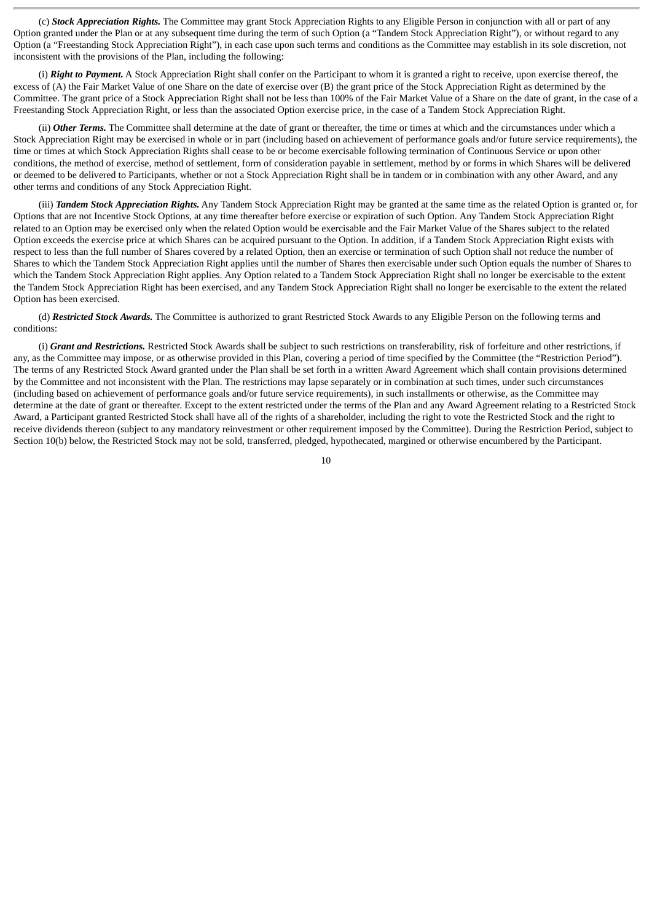(c) *Stock Appreciation Rights.* The Committee may grant Stock Appreciation Rights to any Eligible Person in conjunction with all or part of any Option granted under the Plan or at any subsequent time during the term of such Option (a "Tandem Stock Appreciation Right"), or without regard to any Option (a "Freestanding Stock Appreciation Right"), in each case upon such terms and conditions as the Committee may establish in its sole discretion, not inconsistent with the provisions of the Plan, including the following:

(i) *Right to Payment.* A Stock Appreciation Right shall confer on the Participant to whom it is granted a right to receive, upon exercise thereof, the excess of (A) the Fair Market Value of one Share on the date of exercise over (B) the grant price of the Stock Appreciation Right as determined by the Committee. The grant price of a Stock Appreciation Right shall not be less than 100% of the Fair Market Value of a Share on the date of grant, in the case of a Freestanding Stock Appreciation Right, or less than the associated Option exercise price, in the case of a Tandem Stock Appreciation Right.

(ii) *Other Terms*. The Committee shall determine at the date of grant or thereafter, the time or times at which and the circumstances under which a Stock Appreciation Right may be exercised in whole or in part (including based on achievement of performance goals and/or future service requirements), the time or times at which Stock Appreciation Rights shall cease to be or become exercisable following termination of Continuous Service or upon other conditions, the method of exercise, method of settlement, form of consideration payable in settlement, method by or forms in which Shares will be delivered or deemed to be delivered to Participants, whether or not a Stock Appreciation Right shall be in tandem or in combination with any other Award, and any other terms and conditions of any Stock Appreciation Right.

(iii) *Tandem Stock Appreciation Rights.* Any Tandem Stock Appreciation Right may be granted at the same time as the related Option is granted or, for Options that are not Incentive Stock Options, at any time thereafter before exercise or expiration of such Option. Any Tandem Stock Appreciation Right related to an Option may be exercised only when the related Option would be exercisable and the Fair Market Value of the Shares subject to the related Option exceeds the exercise price at which Shares can be acquired pursuant to the Option. In addition, if a Tandem Stock Appreciation Right exists with respect to less than the full number of Shares covered by a related Option, then an exercise or termination of such Option shall not reduce the number of Shares to which the Tandem Stock Appreciation Right applies until the number of Shares then exercisable under such Option equals the number of Shares to which the Tandem Stock Appreciation Right applies. Any Option related to a Tandem Stock Appreciation Right shall no longer be exercisable to the extent the Tandem Stock Appreciation Right has been exercised, and any Tandem Stock Appreciation Right shall no longer be exercisable to the extent the related Option has been exercised.

(d) *Restricted Stock Awards.* The Committee is authorized to grant Restricted Stock Awards to any Eligible Person on the following terms and conditions:

(i) *Grant and Restrictions.* Restricted Stock Awards shall be subject to such restrictions on transferability, risk of forfeiture and other restrictions, if any, as the Committee may impose, or as otherwise provided in this Plan, covering a period of time specified by the Committee (the "Restriction Period"). The terms of any Restricted Stock Award granted under the Plan shall be set forth in a written Award Agreement which shall contain provisions determined by the Committee and not inconsistent with the Plan. The restrictions may lapse separately or in combination at such times, under such circumstances (including based on achievement of performance goals and/or future service requirements), in such installments or otherwise, as the Committee may determine at the date of grant or thereafter. Except to the extent restricted under the terms of the Plan and any Award Agreement relating to a Restricted Stock Award, a Participant granted Restricted Stock shall have all of the rights of a shareholder, including the right to vote the Restricted Stock and the right to receive dividends thereon (subject to any mandatory reinvestment or other requirement imposed by the Committee). During the Restriction Period, subject to Section 10(b) below, the Restricted Stock may not be sold, transferred, pledged, hypothecated, margined or otherwise encumbered by the Participant.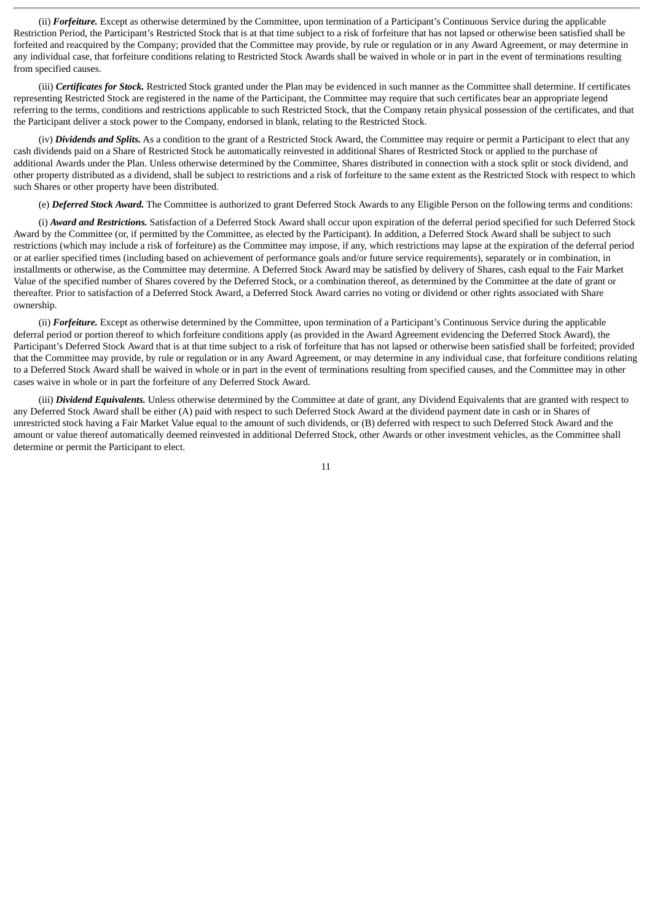(ii) *Forfeiture.* Except as otherwise determined by the Committee, upon termination of a Participant's Continuous Service during the applicable Restriction Period, the Participant's Restricted Stock that is at that time subject to a risk of forfeiture that has not lapsed or otherwise been satisfied shall be forfeited and reacquired by the Company; provided that the Committee may provide, by rule or regulation or in any Award Agreement, or may determine in any individual case, that forfeiture conditions relating to Restricted Stock Awards shall be waived in whole or in part in the event of terminations resulting from specified causes.

(iii) *Certificates for Stock.* Restricted Stock granted under the Plan may be evidenced in such manner as the Committee shall determine. If certificates representing Restricted Stock are registered in the name of the Participant, the Committee may require that such certificates bear an appropriate legend referring to the terms, conditions and restrictions applicable to such Restricted Stock, that the Company retain physical possession of the certificates, and that the Participant deliver a stock power to the Company, endorsed in blank, relating to the Restricted Stock.

(iv) *Dividends and Splits.* As a condition to the grant of a Restricted Stock Award, the Committee may require or permit a Participant to elect that any cash dividends paid on a Share of Restricted Stock be automatically reinvested in additional Shares of Restricted Stock or applied to the purchase of additional Awards under the Plan. Unless otherwise determined by the Committee, Shares distributed in connection with a stock split or stock dividend, and other property distributed as a dividend, shall be subject to restrictions and a risk of forfeiture to the same extent as the Restricted Stock with respect to which such Shares or other property have been distributed.

(e) *Deferred Stock Award.* The Committee is authorized to grant Deferred Stock Awards to any Eligible Person on the following terms and conditions:

(i) *Award and Restrictions.* Satisfaction of a Deferred Stock Award shall occur upon expiration of the deferral period specified for such Deferred Stock Award by the Committee (or, if permitted by the Committee, as elected by the Participant). In addition, a Deferred Stock Award shall be subject to such restrictions (which may include a risk of forfeiture) as the Committee may impose, if any, which restrictions may lapse at the expiration of the deferral period or at earlier specified times (including based on achievement of performance goals and/or future service requirements), separately or in combination, in installments or otherwise, as the Committee may determine. A Deferred Stock Award may be satisfied by delivery of Shares, cash equal to the Fair Market Value of the specified number of Shares covered by the Deferred Stock, or a combination thereof, as determined by the Committee at the date of grant or thereafter. Prior to satisfaction of a Deferred Stock Award, a Deferred Stock Award carries no voting or dividend or other rights associated with Share ownership.

(ii) *Forfeiture.* Except as otherwise determined by the Committee, upon termination of a Participant's Continuous Service during the applicable deferral period or portion thereof to which forfeiture conditions apply (as provided in the Award Agreement evidencing the Deferred Stock Award), the Participant's Deferred Stock Award that is at that time subject to a risk of forfeiture that has not lapsed or otherwise been satisfied shall be forfeited; provided that the Committee may provide, by rule or regulation or in any Award Agreement, or may determine in any individual case, that forfeiture conditions relating to a Deferred Stock Award shall be waived in whole or in part in the event of terminations resulting from specified causes, and the Committee may in other cases waive in whole or in part the forfeiture of any Deferred Stock Award.

(iii) *Dividend Equivalents.* Unless otherwise determined by the Committee at date of grant, any Dividend Equivalents that are granted with respect to any Deferred Stock Award shall be either (A) paid with respect to such Deferred Stock Award at the dividend payment date in cash or in Shares of unrestricted stock having a Fair Market Value equal to the amount of such dividends, or (B) deferred with respect to such Deferred Stock Award and the amount or value thereof automatically deemed reinvested in additional Deferred Stock, other Awards or other investment vehicles, as the Committee shall determine or permit the Participant to elect.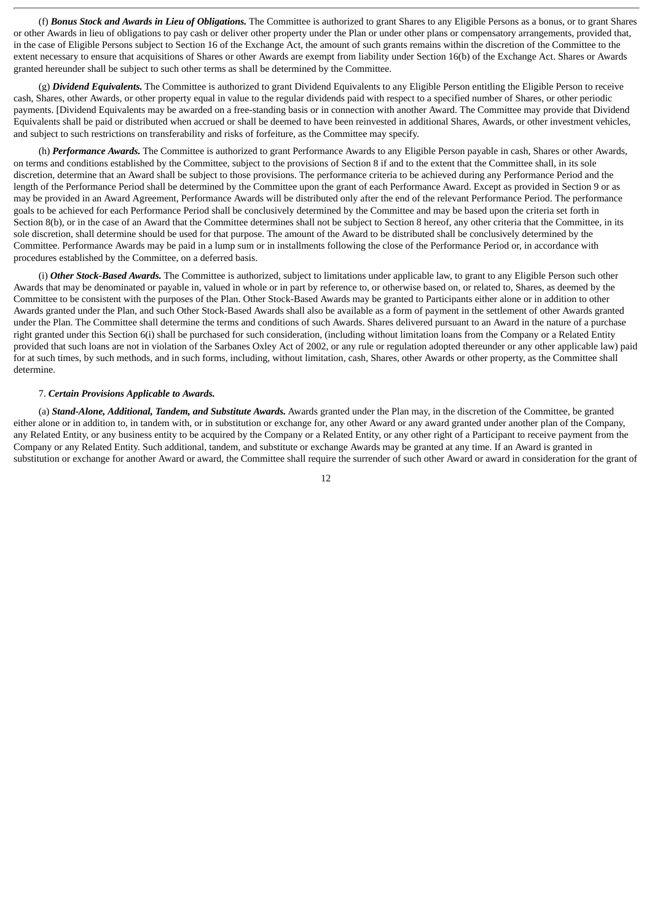(f) *Bonus Stock and Awards in Lieu of Obligations.* The Committee is authorized to grant Shares to any Eligible Persons as a bonus, or to grant Shares or other Awards in lieu of obligations to pay cash or deliver other property under the Plan or under other plans or compensatory arrangements, provided that, in the case of Eligible Persons subject to Section 16 of the Exchange Act, the amount of such grants remains within the discretion of the Committee to the extent necessary to ensure that acquisitions of Shares or other Awards are exempt from liability under Section 16(b) of the Exchange Act. Shares or Awards granted hereunder shall be subject to such other terms as shall be determined by the Committee.

(g) *Dividend Equivalents.* The Committee is authorized to grant Dividend Equivalents to any Eligible Person entitling the Eligible Person to receive cash, Shares, other Awards, or other property equal in value to the regular dividends paid with respect to a specified number of Shares, or other periodic payments. [Dividend Equivalents may be awarded on a free-standing basis or in connection with another Award. The Committee may provide that Dividend Equivalents shall be paid or distributed when accrued or shall be deemed to have been reinvested in additional Shares, Awards, or other investment vehicles, and subject to such restrictions on transferability and risks of forfeiture, as the Committee may specify.

(h) *Performance Awards.* The Committee is authorized to grant Performance Awards to any Eligible Person payable in cash, Shares or other Awards, on terms and conditions established by the Committee, subject to the provisions of Section 8 if and to the extent that the Committee shall, in its sole discretion, determine that an Award shall be subject to those provisions. The performance criteria to be achieved during any Performance Period and the length of the Performance Period shall be determined by the Committee upon the grant of each Performance Award. Except as provided in Section 9 or as may be provided in an Award Agreement, Performance Awards will be distributed only after the end of the relevant Performance Period. The performance goals to be achieved for each Performance Period shall be conclusively determined by the Committee and may be based upon the criteria set forth in Section 8(b), or in the case of an Award that the Committee determines shall not be subject to Section 8 hereof, any other criteria that the Committee, in its sole discretion, shall determine should be used for that purpose. The amount of the Award to be distributed shall be conclusively determined by the Committee. Performance Awards may be paid in a lump sum or in installments following the close of the Performance Period or, in accordance with procedures established by the Committee, on a deferred basis.

(i) *Other Stock-Based Awards.* The Committee is authorized, subject to limitations under applicable law, to grant to any Eligible Person such other Awards that may be denominated or payable in, valued in whole or in part by reference to, or otherwise based on, or related to, Shares, as deemed by the Committee to be consistent with the purposes of the Plan. Other Stock-Based Awards may be granted to Participants either alone or in addition to other Awards granted under the Plan, and such Other Stock-Based Awards shall also be available as a form of payment in the settlement of other Awards granted under the Plan. The Committee shall determine the terms and conditions of such Awards. Shares delivered pursuant to an Award in the nature of a purchase right granted under this Section 6(i) shall be purchased for such consideration, (including without limitation loans from the Company or a Related Entity provided that such loans are not in violation of the Sarbanes Oxley Act of 2002, or any rule or regulation adopted thereunder or any other applicable law) paid for at such times, by such methods, and in such forms, including, without limitation, cash, Shares, other Awards or other property, as the Committee shall determine.

#### 7. *Certain Provisions Applicable to Awards.*

(a) *Stand-Alone, Additional, Tandem, and Substitute Awards.* Awards granted under the Plan may, in the discretion of the Committee, be granted either alone or in addition to, in tandem with, or in substitution or exchange for, any other Award or any award granted under another plan of the Company, any Related Entity, or any business entity to be acquired by the Company or a Related Entity, or any other right of a Participant to receive payment from the Company or any Related Entity. Such additional, tandem, and substitute or exchange Awards may be granted at any time. If an Award is granted in substitution or exchange for another Award or award, the Committee shall require the surrender of such other Award or award in consideration for the grant of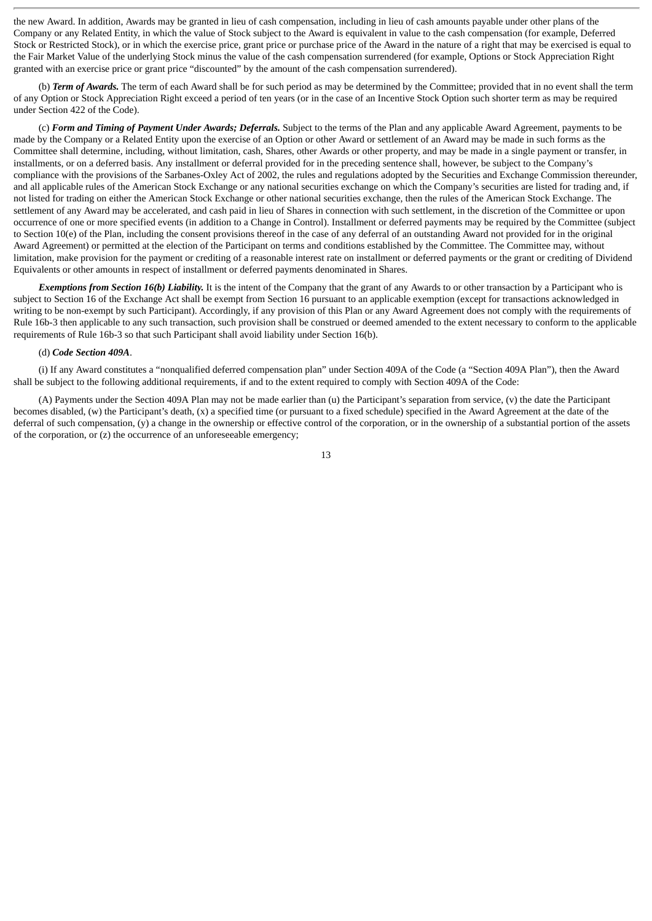the new Award. In addition, Awards may be granted in lieu of cash compensation, including in lieu of cash amounts payable under other plans of the Company or any Related Entity, in which the value of Stock subject to the Award is equivalent in value to the cash compensation (for example, Deferred Stock or Restricted Stock), or in which the exercise price, grant price or purchase price of the Award in the nature of a right that may be exercised is equal to the Fair Market Value of the underlying Stock minus the value of the cash compensation surrendered (for example, Options or Stock Appreciation Right granted with an exercise price or grant price "discounted" by the amount of the cash compensation surrendered).

(b) *Term of Awards.* The term of each Award shall be for such period as may be determined by the Committee; provided that in no event shall the term of any Option or Stock Appreciation Right exceed a period of ten years (or in the case of an Incentive Stock Option such shorter term as may be required under Section 422 of the Code).

(c) *Form and Timing of Payment Under Awards; Deferrals.* Subject to the terms of the Plan and any applicable Award Agreement, payments to be made by the Company or a Related Entity upon the exercise of an Option or other Award or settlement of an Award may be made in such forms as the Committee shall determine, including, without limitation, cash, Shares, other Awards or other property, and may be made in a single payment or transfer, in installments, or on a deferred basis. Any installment or deferral provided for in the preceding sentence shall, however, be subject to the Company's compliance with the provisions of the Sarbanes-Oxley Act of 2002, the rules and regulations adopted by the Securities and Exchange Commission thereunder, and all applicable rules of the American Stock Exchange or any national securities exchange on which the Company's securities are listed for trading and, if not listed for trading on either the American Stock Exchange or other national securities exchange, then the rules of the American Stock Exchange. The settlement of any Award may be accelerated, and cash paid in lieu of Shares in connection with such settlement, in the discretion of the Committee or upon occurrence of one or more specified events (in addition to a Change in Control). Installment or deferred payments may be required by the Committee (subject to Section 10(e) of the Plan, including the consent provisions thereof in the case of any deferral of an outstanding Award not provided for in the original Award Agreement) or permitted at the election of the Participant on terms and conditions established by the Committee. The Committee may, without limitation, make provision for the payment or crediting of a reasonable interest rate on installment or deferred payments or the grant or crediting of Dividend Equivalents or other amounts in respect of installment or deferred payments denominated in Shares.

*Exemptions from Section 16(b) Liability.* It is the intent of the Company that the grant of any Awards to or other transaction by a Participant who is subject to Section 16 of the Exchange Act shall be exempt from Section 16 pursuant to an applicable exemption (except for transactions acknowledged in writing to be non-exempt by such Participant). Accordingly, if any provision of this Plan or any Award Agreement does not comply with the requirements of Rule 16b-3 then applicable to any such transaction, such provision shall be construed or deemed amended to the extent necessary to conform to the applicable requirements of Rule 16b-3 so that such Participant shall avoid liability under Section 16(b).

## (d) *Code Section 409A*.

(i) If any Award constitutes a "nonqualified deferred compensation plan" under Section 409A of the Code (a "Section 409A Plan"), then the Award shall be subject to the following additional requirements, if and to the extent required to comply with Section 409A of the Code:

(A) Payments under the Section 409A Plan may not be made earlier than (u) the Participant's separation from service, (v) the date the Participant becomes disabled, (w) the Participant's death, (x) a specified time (or pursuant to a fixed schedule) specified in the Award Agreement at the date of the deferral of such compensation, (y) a change in the ownership or effective control of the corporation, or in the ownership of a substantial portion of the assets of the corporation, or (z) the occurrence of an unforeseeable emergency;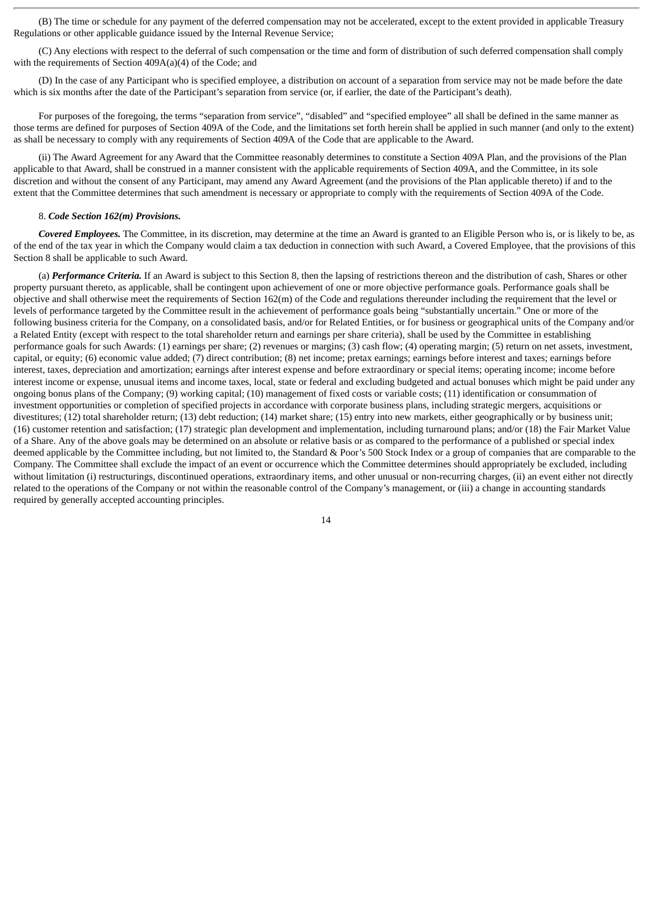(B) The time or schedule for any payment of the deferred compensation may not be accelerated, except to the extent provided in applicable Treasury Regulations or other applicable guidance issued by the Internal Revenue Service;

(C) Any elections with respect to the deferral of such compensation or the time and form of distribution of such deferred compensation shall comply with the requirements of Section 409A(a)(4) of the Code; and

(D) In the case of any Participant who is specified employee, a distribution on account of a separation from service may not be made before the date which is six months after the date of the Participant's separation from service (or, if earlier, the date of the Participant's death).

For purposes of the foregoing, the terms "separation from service", "disabled" and "specified employee" all shall be defined in the same manner as those terms are defined for purposes of Section 409A of the Code, and the limitations set forth herein shall be applied in such manner (and only to the extent) as shall be necessary to comply with any requirements of Section 409A of the Code that are applicable to the Award.

(ii) The Award Agreement for any Award that the Committee reasonably determines to constitute a Section 409A Plan, and the provisions of the Plan applicable to that Award, shall be construed in a manner consistent with the applicable requirements of Section 409A, and the Committee, in its sole discretion and without the consent of any Participant, may amend any Award Agreement (and the provisions of the Plan applicable thereto) if and to the extent that the Committee determines that such amendment is necessary or appropriate to comply with the requirements of Section 409A of the Code.

#### 8. *Code Section 162(m) Provisions.*

*Covered Employees.* The Committee, in its discretion, may determine at the time an Award is granted to an Eligible Person who is, or is likely to be, as of the end of the tax year in which the Company would claim a tax deduction in connection with such Award, a Covered Employee, that the provisions of this Section 8 shall be applicable to such Award.

(a) *Performance Criteria.* If an Award is subject to this Section 8, then the lapsing of restrictions thereon and the distribution of cash, Shares or other property pursuant thereto, as applicable, shall be contingent upon achievement of one or more objective performance goals. Performance goals shall be objective and shall otherwise meet the requirements of Section 162(m) of the Code and regulations thereunder including the requirement that the level or levels of performance targeted by the Committee result in the achievement of performance goals being "substantially uncertain." One or more of the following business criteria for the Company, on a consolidated basis, and/or for Related Entities, or for business or geographical units of the Company and/or a Related Entity (except with respect to the total shareholder return and earnings per share criteria), shall be used by the Committee in establishing performance goals for such Awards: (1) earnings per share; (2) revenues or margins; (3) cash flow; (4) operating margin; (5) return on net assets, investment, capital, or equity; (6) economic value added; (7) direct contribution; (8) net income; pretax earnings; earnings before interest and taxes; earnings before interest, taxes, depreciation and amortization; earnings after interest expense and before extraordinary or special items; operating income; income before interest income or expense, unusual items and income taxes, local, state or federal and excluding budgeted and actual bonuses which might be paid under any ongoing bonus plans of the Company; (9) working capital; (10) management of fixed costs or variable costs; (11) identification or consummation of investment opportunities or completion of specified projects in accordance with corporate business plans, including strategic mergers, acquisitions or divestitures; (12) total shareholder return; (13) debt reduction; (14) market share; (15) entry into new markets, either geographically or by business unit; (16) customer retention and satisfaction; (17) strategic plan development and implementation, including turnaround plans; and/or (18) the Fair Market Value of a Share. Any of the above goals may be determined on an absolute or relative basis or as compared to the performance of a published or special index deemed applicable by the Committee including, but not limited to, the Standard & Poor's 500 Stock Index or a group of companies that are comparable to the Company. The Committee shall exclude the impact of an event or occurrence which the Committee determines should appropriately be excluded, including without limitation (i) restructurings, discontinued operations, extraordinary items, and other unusual or non-recurring charges, (ii) an event either not directly related to the operations of the Company or not within the reasonable control of the Company's management, or (iii) a change in accounting standards required by generally accepted accounting principles.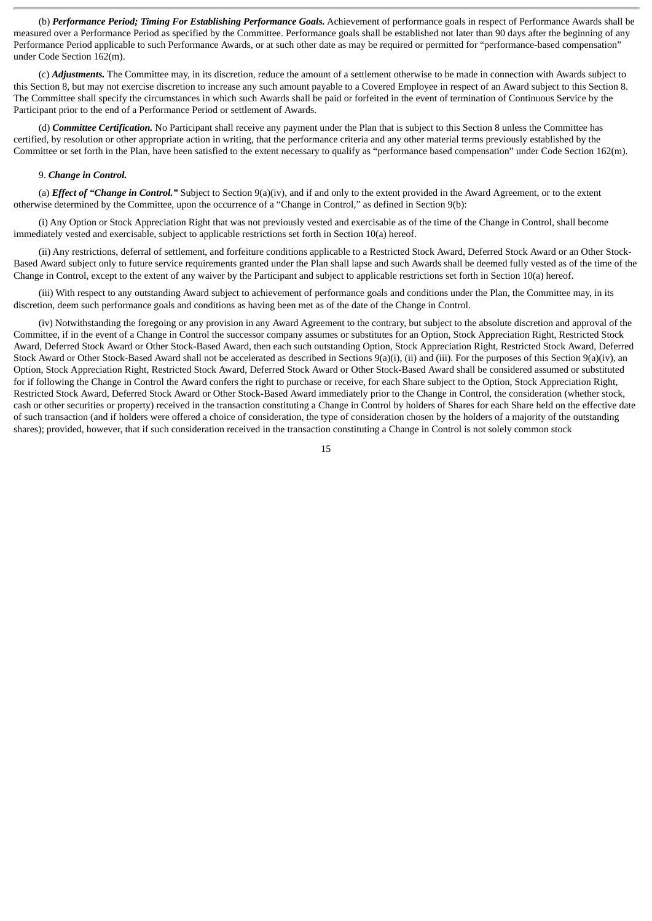(b) *Performance Period; Timing For Establishing Performance Goals.* Achievement of performance goals in respect of Performance Awards shall be measured over a Performance Period as specified by the Committee. Performance goals shall be established not later than 90 days after the beginning of any Performance Period applicable to such Performance Awards, or at such other date as may be required or permitted for "performance-based compensation" under Code Section 162(m).

(c) *Adjustments.* The Committee may, in its discretion, reduce the amount of a settlement otherwise to be made in connection with Awards subject to this Section 8, but may not exercise discretion to increase any such amount payable to a Covered Employee in respect of an Award subject to this Section 8. The Committee shall specify the circumstances in which such Awards shall be paid or forfeited in the event of termination of Continuous Service by the Participant prior to the end of a Performance Period or settlement of Awards.

(d) *Committee Certification.* No Participant shall receive any payment under the Plan that is subject to this Section 8 unless the Committee has certified, by resolution or other appropriate action in writing, that the performance criteria and any other material terms previously established by the Committee or set forth in the Plan, have been satisfied to the extent necessary to qualify as "performance based compensation" under Code Section 162(m).

## 9. *Change in Control.*

(a) *Effect of "Change in Control."* Subject to Section 9(a)(iv), and if and only to the extent provided in the Award Agreement, or to the extent otherwise determined by the Committee, upon the occurrence of a "Change in Control," as defined in Section 9(b):

(i) Any Option or Stock Appreciation Right that was not previously vested and exercisable as of the time of the Change in Control, shall become immediately vested and exercisable, subject to applicable restrictions set forth in Section 10(a) hereof.

(ii) Any restrictions, deferral of settlement, and forfeiture conditions applicable to a Restricted Stock Award, Deferred Stock Award or an Other Stock-Based Award subject only to future service requirements granted under the Plan shall lapse and such Awards shall be deemed fully vested as of the time of the Change in Control, except to the extent of any waiver by the Participant and subject to applicable restrictions set forth in Section 10(a) hereof.

(iii) With respect to any outstanding Award subject to achievement of performance goals and conditions under the Plan, the Committee may, in its discretion, deem such performance goals and conditions as having been met as of the date of the Change in Control.

(iv) Notwithstanding the foregoing or any provision in any Award Agreement to the contrary, but subject to the absolute discretion and approval of the Committee, if in the event of a Change in Control the successor company assumes or substitutes for an Option, Stock Appreciation Right, Restricted Stock Award, Deferred Stock Award or Other Stock-Based Award, then each such outstanding Option, Stock Appreciation Right, Restricted Stock Award, Deferred Stock Award or Other Stock-Based Award shall not be accelerated as described in Sections 9(a)(i), (ii) and (iii). For the purposes of this Section 9(a)(iv), an Option, Stock Appreciation Right, Restricted Stock Award, Deferred Stock Award or Other Stock-Based Award shall be considered assumed or substituted for if following the Change in Control the Award confers the right to purchase or receive, for each Share subject to the Option, Stock Appreciation Right, Restricted Stock Award, Deferred Stock Award or Other Stock-Based Award immediately prior to the Change in Control, the consideration (whether stock, cash or other securities or property) received in the transaction constituting a Change in Control by holders of Shares for each Share held on the effective date of such transaction (and if holders were offered a choice of consideration, the type of consideration chosen by the holders of a majority of the outstanding shares); provided, however, that if such consideration received in the transaction constituting a Change in Control is not solely common stock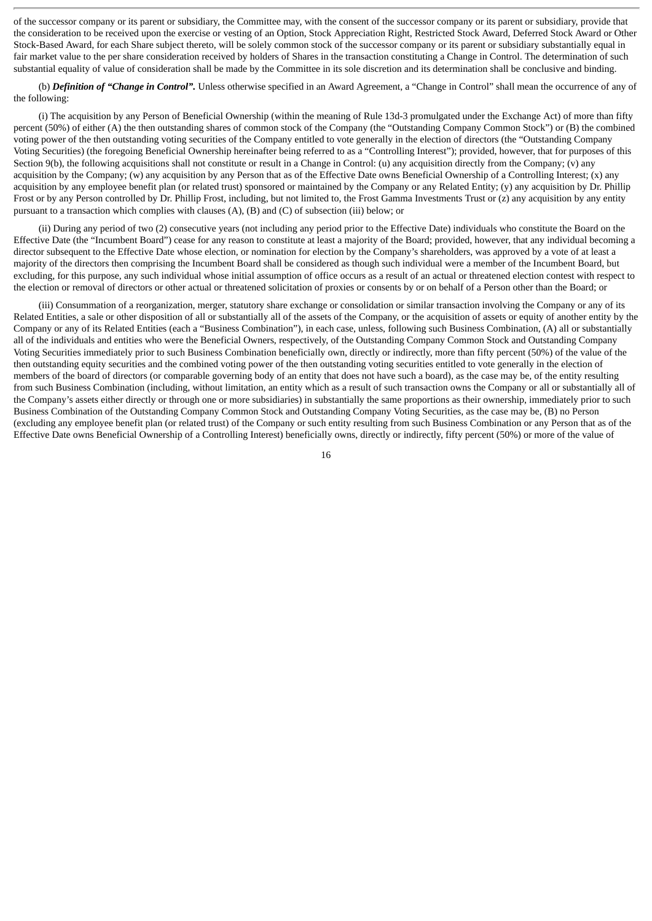of the successor company or its parent or subsidiary, the Committee may, with the consent of the successor company or its parent or subsidiary, provide that the consideration to be received upon the exercise or vesting of an Option, Stock Appreciation Right, Restricted Stock Award, Deferred Stock Award or Other Stock-Based Award, for each Share subject thereto, will be solely common stock of the successor company or its parent or subsidiary substantially equal in fair market value to the per share consideration received by holders of Shares in the transaction constituting a Change in Control. The determination of such substantial equality of value of consideration shall be made by the Committee in its sole discretion and its determination shall be conclusive and binding.

(b) *Definition of "Change in Control".* Unless otherwise specified in an Award Agreement, a "Change in Control" shall mean the occurrence of any of the following:

(i) The acquisition by any Person of Beneficial Ownership (within the meaning of Rule 13d-3 promulgated under the Exchange Act) of more than fifty percent (50%) of either (A) the then outstanding shares of common stock of the Company (the "Outstanding Company Common Stock") or (B) the combined voting power of the then outstanding voting securities of the Company entitled to vote generally in the election of directors (the "Outstanding Company Voting Securities) (the foregoing Beneficial Ownership hereinafter being referred to as a "Controlling Interest"); provided, however, that for purposes of this Section 9(b), the following acquisitions shall not constitute or result in a Change in Control: (u) any acquisition directly from the Company; (y) any acquisition by the Company; (w) any acquisition by any Person that as of the Effective Date owns Beneficial Ownership of a Controlling Interest; (x) any acquisition by any employee benefit plan (or related trust) sponsored or maintained by the Company or any Related Entity; (y) any acquisition by Dr. Phillip Frost or by any Person controlled by Dr. Phillip Frost, including, but not limited to, the Frost Gamma Investments Trust or (z) any acquisition by any entity pursuant to a transaction which complies with clauses (A), (B) and (C) of subsection (iii) below; or

(ii) During any period of two (2) consecutive years (not including any period prior to the Effective Date) individuals who constitute the Board on the Effective Date (the "Incumbent Board") cease for any reason to constitute at least a majority of the Board; provided, however, that any individual becoming a director subsequent to the Effective Date whose election, or nomination for election by the Company's shareholders, was approved by a vote of at least a majority of the directors then comprising the Incumbent Board shall be considered as though such individual were a member of the Incumbent Board, but excluding, for this purpose, any such individual whose initial assumption of office occurs as a result of an actual or threatened election contest with respect to the election or removal of directors or other actual or threatened solicitation of proxies or consents by or on behalf of a Person other than the Board; or

(iii) Consummation of a reorganization, merger, statutory share exchange or consolidation or similar transaction involving the Company or any of its Related Entities, a sale or other disposition of all or substantially all of the assets of the Company, or the acquisition of assets or equity of another entity by the Company or any of its Related Entities (each a "Business Combination"), in each case, unless, following such Business Combination, (A) all or substantially all of the individuals and entities who were the Beneficial Owners, respectively, of the Outstanding Company Common Stock and Outstanding Company Voting Securities immediately prior to such Business Combination beneficially own, directly or indirectly, more than fifty percent (50%) of the value of the then outstanding equity securities and the combined voting power of the then outstanding voting securities entitled to vote generally in the election of members of the board of directors (or comparable governing body of an entity that does not have such a board), as the case may be, of the entity resulting from such Business Combination (including, without limitation, an entity which as a result of such transaction owns the Company or all or substantially all of the Company's assets either directly or through one or more subsidiaries) in substantially the same proportions as their ownership, immediately prior to such Business Combination of the Outstanding Company Common Stock and Outstanding Company Voting Securities, as the case may be, (B) no Person (excluding any employee benefit plan (or related trust) of the Company or such entity resulting from such Business Combination or any Person that as of the Effective Date owns Beneficial Ownership of a Controlling Interest) beneficially owns, directly or indirectly, fifty percent (50%) or more of the value of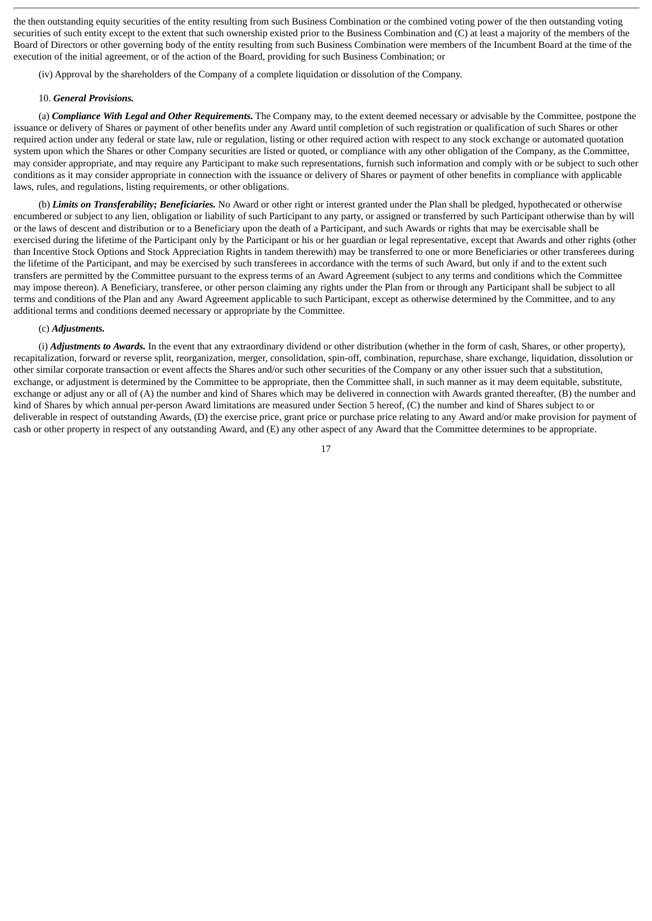the then outstanding equity securities of the entity resulting from such Business Combination or the combined voting power of the then outstanding voting securities of such entity except to the extent that such ownership existed prior to the Business Combination and (C) at least a majority of the members of the Board of Directors or other governing body of the entity resulting from such Business Combination were members of the Incumbent Board at the time of the execution of the initial agreement, or of the action of the Board, providing for such Business Combination; or

(iv) Approval by the shareholders of the Company of a complete liquidation or dissolution of the Company.

#### 10. *General Provisions.*

(a) *Compliance With Legal and Other Requirements.* The Company may, to the extent deemed necessary or advisable by the Committee, postpone the issuance or delivery of Shares or payment of other benefits under any Award until completion of such registration or qualification of such Shares or other required action under any federal or state law, rule or regulation, listing or other required action with respect to any stock exchange or automated quotation system upon which the Shares or other Company securities are listed or quoted, or compliance with any other obligation of the Company, as the Committee, may consider appropriate, and may require any Participant to make such representations, furnish such information and comply with or be subject to such other conditions as it may consider appropriate in connection with the issuance or delivery of Shares or payment of other benefits in compliance with applicable laws, rules, and regulations, listing requirements, or other obligations.

(b) *Limits on Transferability; Beneficiaries.* No Award or other right or interest granted under the Plan shall be pledged, hypothecated or otherwise encumbered or subject to any lien, obligation or liability of such Participant to any party, or assigned or transferred by such Participant otherwise than by will or the laws of descent and distribution or to a Beneficiary upon the death of a Participant, and such Awards or rights that may be exercisable shall be exercised during the lifetime of the Participant only by the Participant or his or her guardian or legal representative, except that Awards and other rights (other than Incentive Stock Options and Stock Appreciation Rights in tandem therewith) may be transferred to one or more Beneficiaries or other transferees during the lifetime of the Participant, and may be exercised by such transferees in accordance with the terms of such Award, but only if and to the extent such transfers are permitted by the Committee pursuant to the express terms of an Award Agreement (subject to any terms and conditions which the Committee may impose thereon). A Beneficiary, transferee, or other person claiming any rights under the Plan from or through any Participant shall be subject to all terms and conditions of the Plan and any Award Agreement applicable to such Participant, except as otherwise determined by the Committee, and to any additional terms and conditions deemed necessary or appropriate by the Committee.

#### (c) *Adjustments.*

(i) *Adjustments to Awards.* In the event that any extraordinary dividend or other distribution (whether in the form of cash, Shares, or other property), recapitalization, forward or reverse split, reorganization, merger, consolidation, spin-off, combination, repurchase, share exchange, liquidation, dissolution or other similar corporate transaction or event affects the Shares and/or such other securities of the Company or any other issuer such that a substitution, exchange, or adjustment is determined by the Committee to be appropriate, then the Committee shall, in such manner as it may deem equitable, substitute, exchange or adjust any or all of (A) the number and kind of Shares which may be delivered in connection with Awards granted thereafter, (B) the number and kind of Shares by which annual per-person Award limitations are measured under Section 5 hereof, (C) the number and kind of Shares subject to or deliverable in respect of outstanding Awards, (D) the exercise price, grant price or purchase price relating to any Award and/or make provision for payment of cash or other property in respect of any outstanding Award, and (E) any other aspect of any Award that the Committee determines to be appropriate.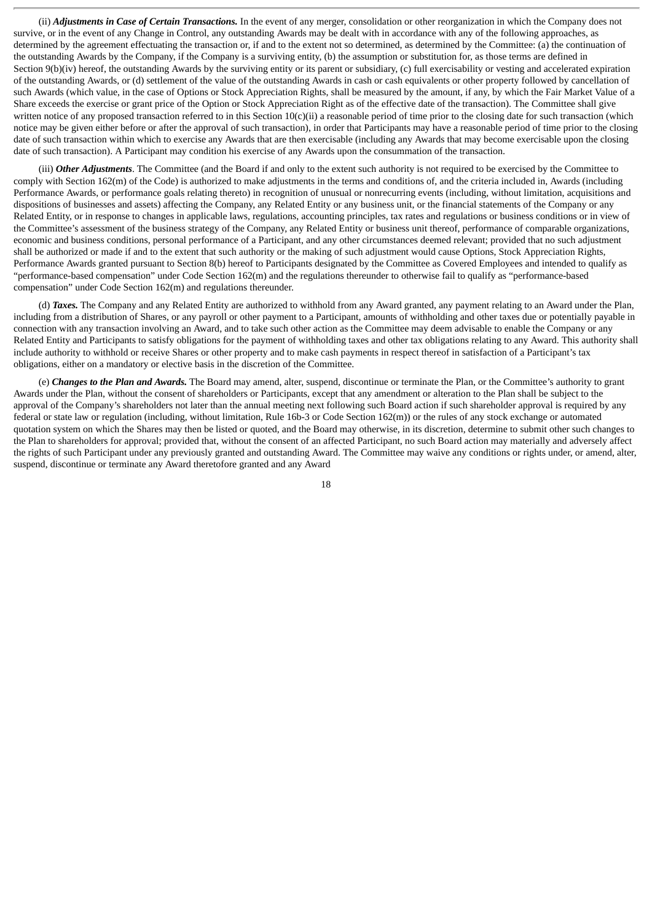(ii) *Adjustments in Case of Certain Transactions.* In the event of any merger, consolidation or other reorganization in which the Company does not survive, or in the event of any Change in Control, any outstanding Awards may be dealt with in accordance with any of the following approaches, as determined by the agreement effectuating the transaction or, if and to the extent not so determined, as determined by the Committee: (a) the continuation of the outstanding Awards by the Company, if the Company is a surviving entity, (b) the assumption or substitution for, as those terms are defined in Section 9(b)(iv) hereof, the outstanding Awards by the surviving entity or its parent or subsidiary, (c) full exercisability or vesting and accelerated expiration of the outstanding Awards, or (d) settlement of the value of the outstanding Awards in cash or cash equivalents or other property followed by cancellation of such Awards (which value, in the case of Options or Stock Appreciation Rights, shall be measured by the amount, if any, by which the Fair Market Value of a Share exceeds the exercise or grant price of the Option or Stock Appreciation Right as of the effective date of the transaction). The Committee shall give written notice of any proposed transaction referred to in this Section 10(c)(ii) a reasonable period of time prior to the closing date for such transaction (which notice may be given either before or after the approval of such transaction), in order that Participants may have a reasonable period of time prior to the closing date of such transaction within which to exercise any Awards that are then exercisable (including any Awards that may become exercisable upon the closing date of such transaction). A Participant may condition his exercise of any Awards upon the consummation of the transaction.

(iii) *Other Adjustments*. The Committee (and the Board if and only to the extent such authority is not required to be exercised by the Committee to comply with Section 162(m) of the Code) is authorized to make adjustments in the terms and conditions of, and the criteria included in, Awards (including Performance Awards, or performance goals relating thereto) in recognition of unusual or nonrecurring events (including, without limitation, acquisitions and dispositions of businesses and assets) affecting the Company, any Related Entity or any business unit, or the financial statements of the Company or any Related Entity, or in response to changes in applicable laws, regulations, accounting principles, tax rates and regulations or business conditions or in view of the Committee's assessment of the business strategy of the Company, any Related Entity or business unit thereof, performance of comparable organizations, economic and business conditions, personal performance of a Participant, and any other circumstances deemed relevant; provided that no such adjustment shall be authorized or made if and to the extent that such authority or the making of such adjustment would cause Options, Stock Appreciation Rights, Performance Awards granted pursuant to Section 8(b) hereof to Participants designated by the Committee as Covered Employees and intended to qualify as "performance-based compensation" under Code Section 162(m) and the regulations thereunder to otherwise fail to qualify as "performance-based compensation" under Code Section 162(m) and regulations thereunder.

(d) *Taxes.* The Company and any Related Entity are authorized to withhold from any Award granted, any payment relating to an Award under the Plan, including from a distribution of Shares, or any payroll or other payment to a Participant, amounts of withholding and other taxes due or potentially payable in connection with any transaction involving an Award, and to take such other action as the Committee may deem advisable to enable the Company or any Related Entity and Participants to satisfy obligations for the payment of withholding taxes and other tax obligations relating to any Award. This authority shall include authority to withhold or receive Shares or other property and to make cash payments in respect thereof in satisfaction of a Participant's tax obligations, either on a mandatory or elective basis in the discretion of the Committee.

(e) *Changes to the Plan and Awards.* The Board may amend, alter, suspend, discontinue or terminate the Plan, or the Committee's authority to grant Awards under the Plan, without the consent of shareholders or Participants, except that any amendment or alteration to the Plan shall be subject to the approval of the Company's shareholders not later than the annual meeting next following such Board action if such shareholder approval is required by any federal or state law or regulation (including, without limitation, Rule 16b-3 or Code Section 162(m)) or the rules of any stock exchange or automated quotation system on which the Shares may then be listed or quoted, and the Board may otherwise, in its discretion, determine to submit other such changes to the Plan to shareholders for approval; provided that, without the consent of an affected Participant, no such Board action may materially and adversely affect the rights of such Participant under any previously granted and outstanding Award. The Committee may waive any conditions or rights under, or amend, alter, suspend, discontinue or terminate any Award theretofore granted and any Award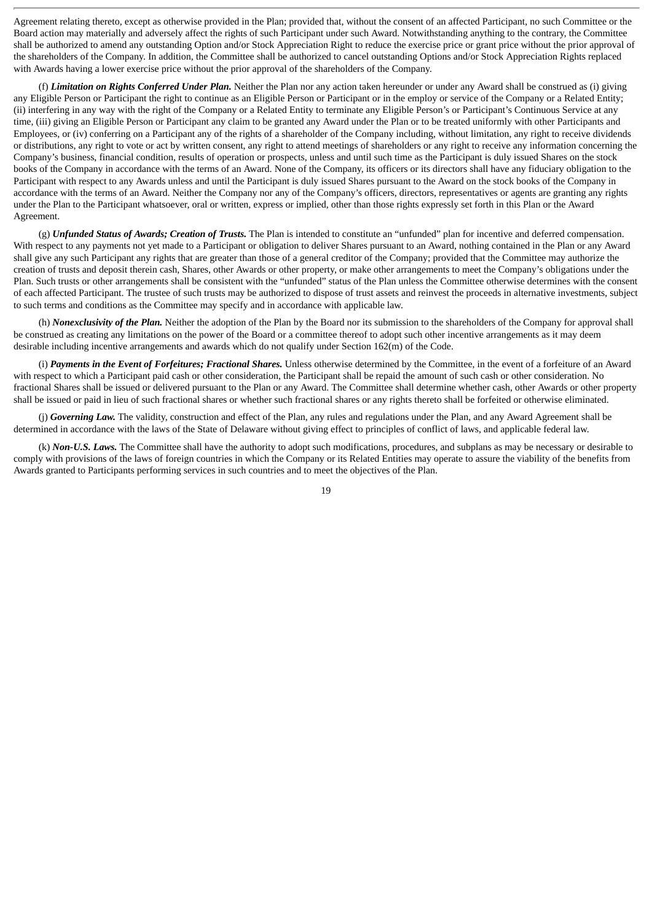Agreement relating thereto, except as otherwise provided in the Plan; provided that, without the consent of an affected Participant, no such Committee or the Board action may materially and adversely affect the rights of such Participant under such Award. Notwithstanding anything to the contrary, the Committee shall be authorized to amend any outstanding Option and/or Stock Appreciation Right to reduce the exercise price or grant price without the prior approval of the shareholders of the Company. In addition, the Committee shall be authorized to cancel outstanding Options and/or Stock Appreciation Rights replaced with Awards having a lower exercise price without the prior approval of the shareholders of the Company.

(f) *Limitation on Rights Conferred Under Plan.* Neither the Plan nor any action taken hereunder or under any Award shall be construed as (i) giving any Eligible Person or Participant the right to continue as an Eligible Person or Participant or in the employ or service of the Company or a Related Entity; (ii) interfering in any way with the right of the Company or a Related Entity to terminate any Eligible Person's or Participant's Continuous Service at any time, (iii) giving an Eligible Person or Participant any claim to be granted any Award under the Plan or to be treated uniformly with other Participants and Employees, or (iv) conferring on a Participant any of the rights of a shareholder of the Company including, without limitation, any right to receive dividends or distributions, any right to vote or act by written consent, any right to attend meetings of shareholders or any right to receive any information concerning the Company's business, financial condition, results of operation or prospects, unless and until such time as the Participant is duly issued Shares on the stock books of the Company in accordance with the terms of an Award. None of the Company, its officers or its directors shall have any fiduciary obligation to the Participant with respect to any Awards unless and until the Participant is duly issued Shares pursuant to the Award on the stock books of the Company in accordance with the terms of an Award. Neither the Company nor any of the Company's officers, directors, representatives or agents are granting any rights under the Plan to the Participant whatsoever, oral or written, express or implied, other than those rights expressly set forth in this Plan or the Award Agreement.

(g) *Unfunded Status of Awards; Creation of Trusts.* The Plan is intended to constitute an "unfunded" plan for incentive and deferred compensation. With respect to any payments not yet made to a Participant or obligation to deliver Shares pursuant to an Award, nothing contained in the Plan or any Award shall give any such Participant any rights that are greater than those of a general creditor of the Company; provided that the Committee may authorize the creation of trusts and deposit therein cash, Shares, other Awards or other property, or make other arrangements to meet the Company's obligations under the Plan. Such trusts or other arrangements shall be consistent with the "unfunded" status of the Plan unless the Committee otherwise determines with the consent of each affected Participant. The trustee of such trusts may be authorized to dispose of trust assets and reinvest the proceeds in alternative investments, subject to such terms and conditions as the Committee may specify and in accordance with applicable law.

(h) *Nonexclusivity of the Plan.* Neither the adoption of the Plan by the Board nor its submission to the shareholders of the Company for approval shall be construed as creating any limitations on the power of the Board or a committee thereof to adopt such other incentive arrangements as it may deem desirable including incentive arrangements and awards which do not qualify under Section 162(m) of the Code.

(i) *Payments in the Event of Forfeitures; Fractional Shares.* Unless otherwise determined by the Committee, in the event of a forfeiture of an Award with respect to which a Participant paid cash or other consideration, the Participant shall be repaid the amount of such cash or other consideration. No fractional Shares shall be issued or delivered pursuant to the Plan or any Award. The Committee shall determine whether cash, other Awards or other property shall be issued or paid in lieu of such fractional shares or whether such fractional shares or any rights thereto shall be forfeited or otherwise eliminated.

(j) *Governing Law.* The validity, construction and effect of the Plan, any rules and regulations under the Plan, and any Award Agreement shall be determined in accordance with the laws of the State of Delaware without giving effect to principles of conflict of laws, and applicable federal law.

(k) *Non-U.S. Laws.* The Committee shall have the authority to adopt such modifications, procedures, and subplans as may be necessary or desirable to comply with provisions of the laws of foreign countries in which the Company or its Related Entities may operate to assure the viability of the benefits from Awards granted to Participants performing services in such countries and to meet the objectives of the Plan.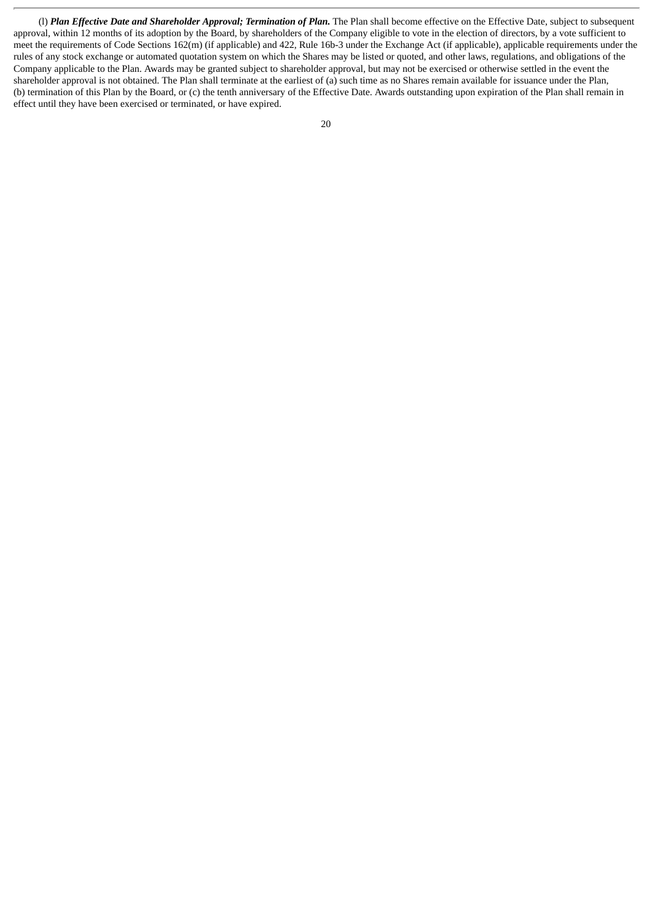(l) *Plan Effective Date and Shareholder Approval; Termination of Plan.* The Plan shall become effective on the Effective Date, subject to subsequent approval, within 12 months of its adoption by the Board, by shareholders of the Company eligible to vote in the election of directors, by a vote sufficient to meet the requirements of Code Sections 162(m) (if applicable) and 422, Rule 16b-3 under the Exchange Act (if applicable), applicable requirements under the rules of any stock exchange or automated quotation system on which the Shares may be listed or quoted, and other laws, regulations, and obligations of the Company applicable to the Plan. Awards may be granted subject to shareholder approval, but may not be exercised or otherwise settled in the event the shareholder approval is not obtained. The Plan shall terminate at the earliest of (a) such time as no Shares remain available for issuance under the Plan, (b) termination of this Plan by the Board, or (c) the tenth anniversary of the Effective Date. Awards outstanding upon expiration of the Plan shall remain in effect until they have been exercised or terminated, or have expired.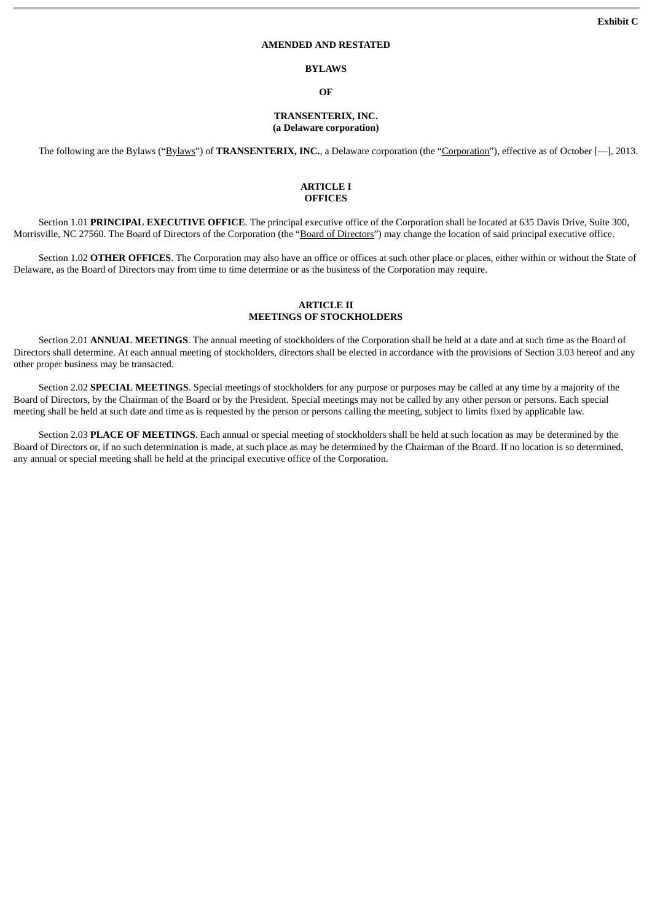## **AMENDED AND RESTATED**

#### **BYLAWS**

**OF**

#### **TRANSENTERIX, INC. (a Delaware corporation)**

The following are the Bylaws ("Bylaws") of **TRANSENTERIX, INC.**, a Delaware corporation (the "Corporation"), effective as of October [—], 2013.

#### **ARTICLE I OFFICES**

Section 1.01 **PRINCIPAL EXECUTIVE OFFICE**. The principal executive office of the Corporation shall be located at 635 Davis Drive, Suite 300, Morrisville, NC 27560. The Board of Directors of the Corporation (the "Board of Directors") may change the location of said principal executive office.

Section 1.02 **OTHER OFFICES**. The Corporation may also have an office or offices at such other place or places, either within or without the State of Delaware, as the Board of Directors may from time to time determine or as the business of the Corporation may require.

## **ARTICLE II MEETINGS OF STOCKHOLDERS**

Section 2.01 **ANNUAL MEETINGS**. The annual meeting of stockholders of the Corporation shall be held at a date and at such time as the Board of Directors shall determine. At each annual meeting of stockholders, directors shall be elected in accordance with the provisions of Section 3.03 hereof and any other proper business may be transacted.

Section 2.02 **SPECIAL MEETINGS**. Special meetings of stockholders for any purpose or purposes may be called at any time by a majority of the Board of Directors, by the Chairman of the Board or by the President. Special meetings may not be called by any other person or persons. Each special meeting shall be held at such date and time as is requested by the person or persons calling the meeting, subject to limits fixed by applicable law.

Section 2.03 **PLACE OF MEETINGS**. Each annual or special meeting of stockholders shall be held at such location as may be determined by the Board of Directors or, if no such determination is made, at such place as may be determined by the Chairman of the Board. If no location is so determined, any annual or special meeting shall be held at the principal executive office of the Corporation.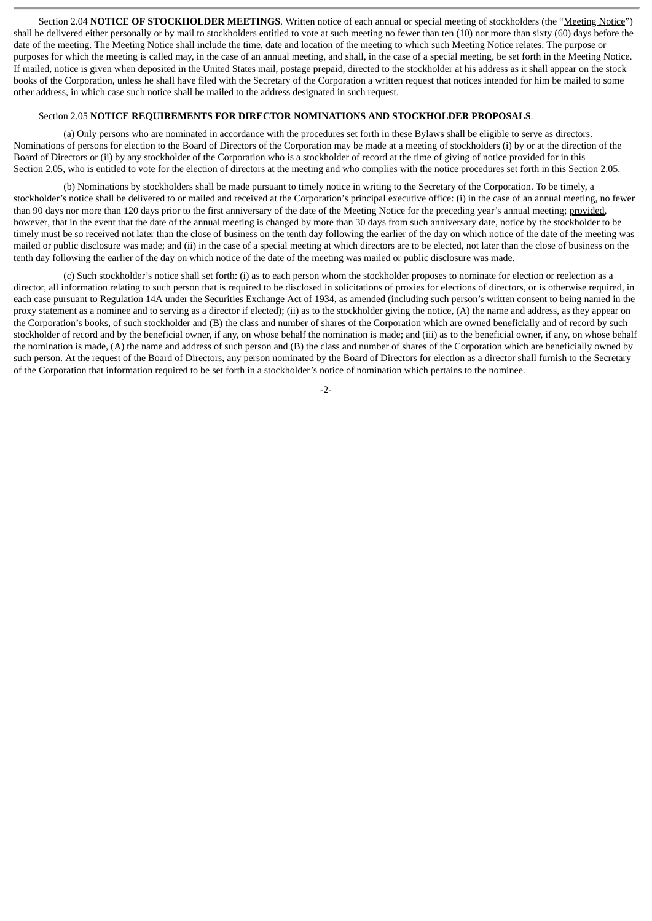Section 2.04 **NOTICE OF STOCKHOLDER MEETINGS**. Written notice of each annual or special meeting of stockholders (the "Meeting Notice") shall be delivered either personally or by mail to stockholders entitled to vote at such meeting no fewer than ten (10) nor more than sixty (60) days before the date of the meeting. The Meeting Notice shall include the time, date and location of the meeting to which such Meeting Notice relates. The purpose or purposes for which the meeting is called may, in the case of an annual meeting, and shall, in the case of a special meeting, be set forth in the Meeting Notice. If mailed, notice is given when deposited in the United States mail, postage prepaid, directed to the stockholder at his address as it shall appear on the stock books of the Corporation, unless he shall have filed with the Secretary of the Corporation a written request that notices intended for him be mailed to some other address, in which case such notice shall be mailed to the address designated in such request.

#### Section 2.05 **NOTICE REQUIREMENTS FOR DIRECTOR NOMINATIONS AND STOCKHOLDER PROPOSALS**.

(a) Only persons who are nominated in accordance with the procedures set forth in these Bylaws shall be eligible to serve as directors. Nominations of persons for election to the Board of Directors of the Corporation may be made at a meeting of stockholders (i) by or at the direction of the Board of Directors or (ii) by any stockholder of the Corporation who is a stockholder of record at the time of giving of notice provided for in this Section 2.05, who is entitled to vote for the election of directors at the meeting and who complies with the notice procedures set forth in this Section 2.05.

(b) Nominations by stockholders shall be made pursuant to timely notice in writing to the Secretary of the Corporation. To be timely, a stockholder's notice shall be delivered to or mailed and received at the Corporation's principal executive office: (i) in the case of an annual meeting, no fewer than 90 days nor more than 120 days prior to the first anniversary of the date of the Meeting Notice for the preceding year's annual meeting; provided, however, that in the event that the date of the annual meeting is changed by more than 30 days from such anniversary date, notice by the stockholder to be timely must be so received not later than the close of business on the tenth day following the earlier of the day on which notice of the date of the meeting was mailed or public disclosure was made; and (ii) in the case of a special meeting at which directors are to be elected, not later than the close of business on the tenth day following the earlier of the day on which notice of the date of the meeting was mailed or public disclosure was made.

(c) Such stockholder's notice shall set forth: (i) as to each person whom the stockholder proposes to nominate for election or reelection as a director, all information relating to such person that is required to be disclosed in solicitations of proxies for elections of directors, or is otherwise required, in each case pursuant to Regulation 14A under the Securities Exchange Act of 1934, as amended (including such person's written consent to being named in the proxy statement as a nominee and to serving as a director if elected); (ii) as to the stockholder giving the notice, (A) the name and address, as they appear on the Corporation's books, of such stockholder and (B) the class and number of shares of the Corporation which are owned beneficially and of record by such stockholder of record and by the beneficial owner, if any, on whose behalf the nomination is made; and (iii) as to the beneficial owner, if any, on whose behalf the nomination is made, (A) the name and address of such person and (B) the class and number of shares of the Corporation which are beneficially owned by such person. At the request of the Board of Directors, any person nominated by the Board of Directors for election as a director shall furnish to the Secretary of the Corporation that information required to be set forth in a stockholder's notice of nomination which pertains to the nominee.

-2-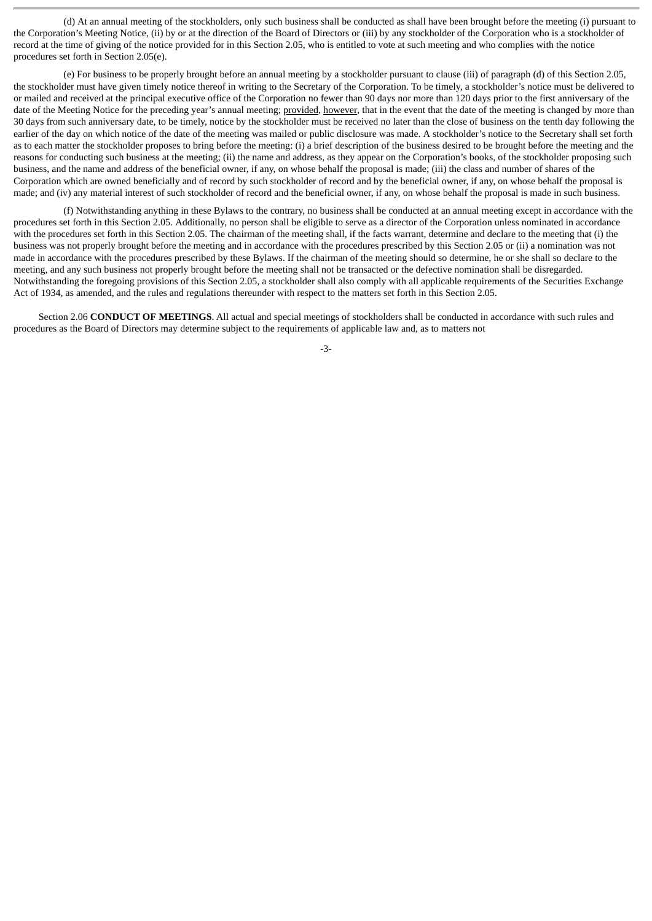(d) At an annual meeting of the stockholders, only such business shall be conducted as shall have been brought before the meeting (i) pursuant to the Corporation's Meeting Notice, (ii) by or at the direction of the Board of Directors or (iii) by any stockholder of the Corporation who is a stockholder of record at the time of giving of the notice provided for in this Section 2.05, who is entitled to vote at such meeting and who complies with the notice procedures set forth in Section 2.05(e).

(e) For business to be properly brought before an annual meeting by a stockholder pursuant to clause (iii) of paragraph (d) of this Section 2.05, the stockholder must have given timely notice thereof in writing to the Secretary of the Corporation. To be timely, a stockholder's notice must be delivered to or mailed and received at the principal executive office of the Corporation no fewer than 90 days nor more than 120 days prior to the first anniversary of the date of the Meeting Notice for the preceding year's annual meeting; provided, however, that in the event that the date of the meeting is changed by more than 30 days from such anniversary date, to be timely, notice by the stockholder must be received no later than the close of business on the tenth day following the earlier of the day on which notice of the date of the meeting was mailed or public disclosure was made. A stockholder's notice to the Secretary shall set forth as to each matter the stockholder proposes to bring before the meeting: (i) a brief description of the business desired to be brought before the meeting and the reasons for conducting such business at the meeting; (ii) the name and address, as they appear on the Corporation's books, of the stockholder proposing such business, and the name and address of the beneficial owner, if any, on whose behalf the proposal is made; (iii) the class and number of shares of the Corporation which are owned beneficially and of record by such stockholder of record and by the beneficial owner, if any, on whose behalf the proposal is made; and (iv) any material interest of such stockholder of record and the beneficial owner, if any, on whose behalf the proposal is made in such business.

(f) Notwithstanding anything in these Bylaws to the contrary, no business shall be conducted at an annual meeting except in accordance with the procedures set forth in this Section 2.05. Additionally, no person shall be eligible to serve as a director of the Corporation unless nominated in accordance with the procedures set forth in this Section 2.05. The chairman of the meeting shall, if the facts warrant, determine and declare to the meeting that (i) the business was not properly brought before the meeting and in accordance with the procedures prescribed by this Section 2.05 or (ii) a nomination was not made in accordance with the procedures prescribed by these Bylaws. If the chairman of the meeting should so determine, he or she shall so declare to the meeting, and any such business not properly brought before the meeting shall not be transacted or the defective nomination shall be disregarded. Notwithstanding the foregoing provisions of this Section 2.05, a stockholder shall also comply with all applicable requirements of the Securities Exchange Act of 1934, as amended, and the rules and regulations thereunder with respect to the matters set forth in this Section 2.05.

Section 2.06 **CONDUCT OF MEETINGS**. All actual and special meetings of stockholders shall be conducted in accordance with such rules and procedures as the Board of Directors may determine subject to the requirements of applicable law and, as to matters not

-3-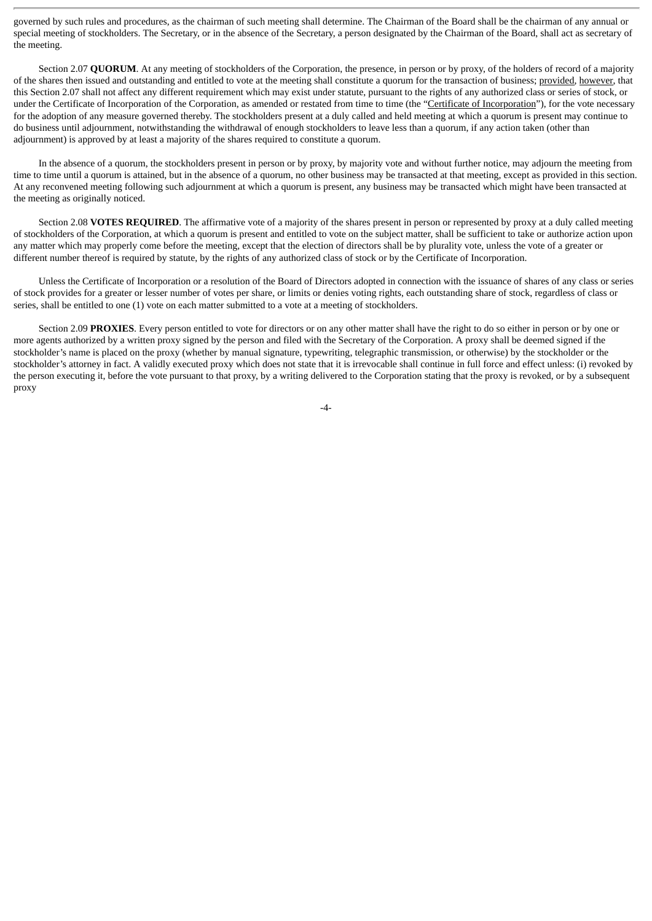governed by such rules and procedures, as the chairman of such meeting shall determine. The Chairman of the Board shall be the chairman of any annual or special meeting of stockholders. The Secretary, or in the absence of the Secretary, a person designated by the Chairman of the Board, shall act as secretary of the meeting.

Section 2.07 QUORUM. At any meeting of stockholders of the Corporation, the presence, in person or by proxy, of the holders of record of a majority of the shares then issued and outstanding and entitled to vote at the meeting shall constitute a quorum for the transaction of business; provided, however, that this Section 2.07 shall not affect any different requirement which may exist under statute, pursuant to the rights of any authorized class or series of stock, or under the Certificate of Incorporation of the Corporation, as amended or restated from time to time (the "Certificate of Incorporation"), for the vote necessary for the adoption of any measure governed thereby. The stockholders present at a duly called and held meeting at which a quorum is present may continue to do business until adjournment, notwithstanding the withdrawal of enough stockholders to leave less than a quorum, if any action taken (other than adjournment) is approved by at least a majority of the shares required to constitute a quorum.

In the absence of a quorum, the stockholders present in person or by proxy, by majority vote and without further notice, may adjourn the meeting from time to time until a quorum is attained, but in the absence of a quorum, no other business may be transacted at that meeting, except as provided in this section. At any reconvened meeting following such adjournment at which a quorum is present, any business may be transacted which might have been transacted at the meeting as originally noticed.

Section 2.08 **VOTES REQUIRED**. The affirmative vote of a majority of the shares present in person or represented by proxy at a duly called meeting of stockholders of the Corporation, at which a quorum is present and entitled to vote on the subject matter, shall be sufficient to take or authorize action upon any matter which may properly come before the meeting, except that the election of directors shall be by plurality vote, unless the vote of a greater or different number thereof is required by statute, by the rights of any authorized class of stock or by the Certificate of Incorporation.

Unless the Certificate of Incorporation or a resolution of the Board of Directors adopted in connection with the issuance of shares of any class or series of stock provides for a greater or lesser number of votes per share, or limits or denies voting rights, each outstanding share of stock, regardless of class or series, shall be entitled to one (1) vote on each matter submitted to a vote at a meeting of stockholders.

Section 2.09 **PROXIES**. Every person entitled to vote for directors or on any other matter shall have the right to do so either in person or by one or more agents authorized by a written proxy signed by the person and filed with the Secretary of the Corporation. A proxy shall be deemed signed if the stockholder's name is placed on the proxy (whether by manual signature, typewriting, telegraphic transmission, or otherwise) by the stockholder or the stockholder's attorney in fact. A validly executed proxy which does not state that it is irrevocable shall continue in full force and effect unless: (i) revoked by the person executing it, before the vote pursuant to that proxy, by a writing delivered to the Corporation stating that the proxy is revoked, or by a subsequent proxy

 $-4-$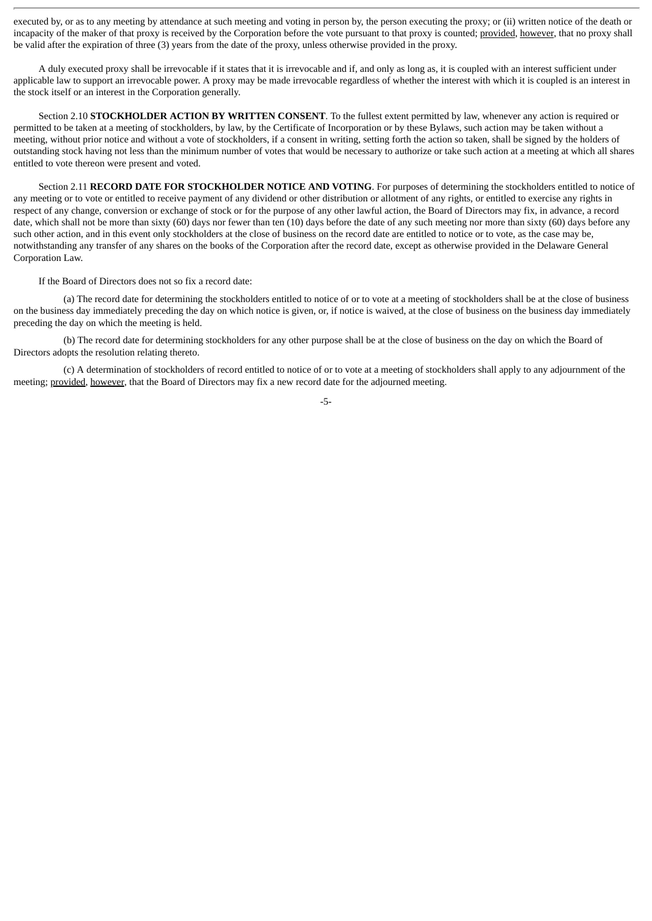executed by, or as to any meeting by attendance at such meeting and voting in person by, the person executing the proxy; or (ii) written notice of the death or incapacity of the maker of that proxy is received by the Corporation before the vote pursuant to that proxy is counted; provided, however, that no proxy shall be valid after the expiration of three (3) years from the date of the proxy, unless otherwise provided in the proxy.

A duly executed proxy shall be irrevocable if it states that it is irrevocable and if, and only as long as, it is coupled with an interest sufficient under applicable law to support an irrevocable power. A proxy may be made irrevocable regardless of whether the interest with which it is coupled is an interest in the stock itself or an interest in the Corporation generally.

Section 2.10 **STOCKHOLDER ACTION BY WRITTEN CONSENT**. To the fullest extent permitted by law, whenever any action is required or permitted to be taken at a meeting of stockholders, by law, by the Certificate of Incorporation or by these Bylaws, such action may be taken without a meeting, without prior notice and without a vote of stockholders, if a consent in writing, setting forth the action so taken, shall be signed by the holders of outstanding stock having not less than the minimum number of votes that would be necessary to authorize or take such action at a meeting at which all shares entitled to vote thereon were present and voted.

Section 2.11 **RECORD DATE FOR STOCKHOLDER NOTICE AND VOTING**. For purposes of determining the stockholders entitled to notice of any meeting or to vote or entitled to receive payment of any dividend or other distribution or allotment of any rights, or entitled to exercise any rights in respect of any change, conversion or exchange of stock or for the purpose of any other lawful action, the Board of Directors may fix, in advance, a record date, which shall not be more than sixty (60) days nor fewer than ten (10) days before the date of any such meeting nor more than sixty (60) days before any such other action, and in this event only stockholders at the close of business on the record date are entitled to notice or to vote, as the case may be, notwithstanding any transfer of any shares on the books of the Corporation after the record date, except as otherwise provided in the Delaware General Corporation Law.

If the Board of Directors does not so fix a record date:

(a) The record date for determining the stockholders entitled to notice of or to vote at a meeting of stockholders shall be at the close of business on the business day immediately preceding the day on which notice is given, or, if notice is waived, at the close of business on the business day immediately preceding the day on which the meeting is held.

(b) The record date for determining stockholders for any other purpose shall be at the close of business on the day on which the Board of Directors adopts the resolution relating thereto.

(c) A determination of stockholders of record entitled to notice of or to vote at a meeting of stockholders shall apply to any adjournment of the meeting; provided, however, that the Board of Directors may fix a new record date for the adjourned meeting.

-5-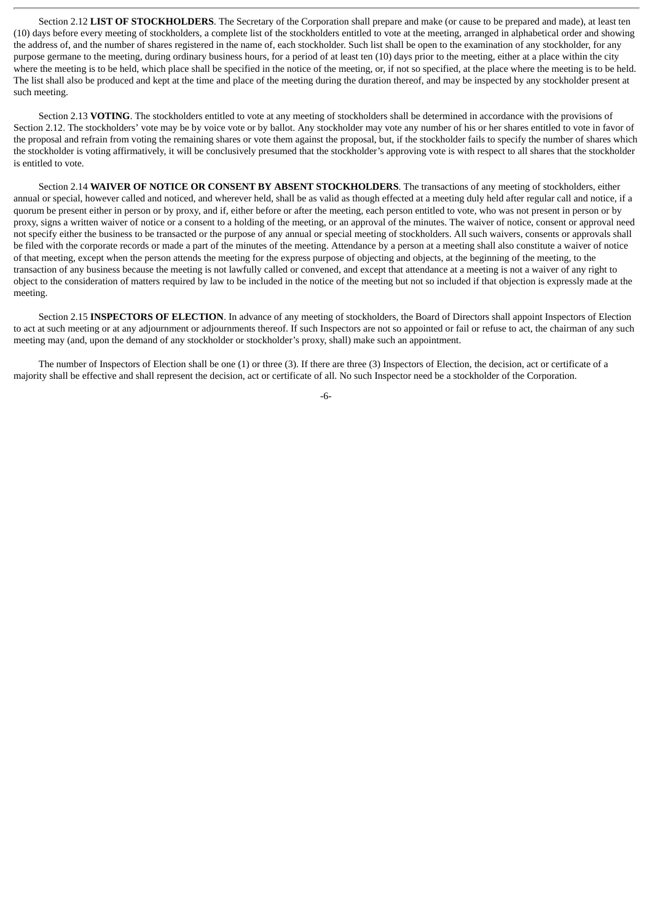Section 2.12 **LIST OF STOCKHOLDERS**. The Secretary of the Corporation shall prepare and make (or cause to be prepared and made), at least ten (10) days before every meeting of stockholders, a complete list of the stockholders entitled to vote at the meeting, arranged in alphabetical order and showing the address of, and the number of shares registered in the name of, each stockholder. Such list shall be open to the examination of any stockholder, for any purpose germane to the meeting, during ordinary business hours, for a period of at least ten (10) days prior to the meeting, either at a place within the city where the meeting is to be held, which place shall be specified in the notice of the meeting, or, if not so specified, at the place where the meeting is to be held. The list shall also be produced and kept at the time and place of the meeting during the duration thereof, and may be inspected by any stockholder present at such meeting.

Section 2.13 **VOTING**. The stockholders entitled to vote at any meeting of stockholders shall be determined in accordance with the provisions of Section 2.12. The stockholders' vote may be by voice vote or by ballot. Any stockholder may vote any number of his or her shares entitled to vote in favor of the proposal and refrain from voting the remaining shares or vote them against the proposal, but, if the stockholder fails to specify the number of shares which the stockholder is voting affirmatively, it will be conclusively presumed that the stockholder's approving vote is with respect to all shares that the stockholder is entitled to vote.

Section 2.14 **WAIVER OF NOTICE OR CONSENT BY ABSENT STOCKHOLDERS**. The transactions of any meeting of stockholders, either annual or special, however called and noticed, and wherever held, shall be as valid as though effected at a meeting duly held after regular call and notice, if a quorum be present either in person or by proxy, and if, either before or after the meeting, each person entitled to vote, who was not present in person or by proxy, signs a written waiver of notice or a consent to a holding of the meeting, or an approval of the minutes. The waiver of notice, consent or approval need not specify either the business to be transacted or the purpose of any annual or special meeting of stockholders. All such waivers, consents or approvals shall be filed with the corporate records or made a part of the minutes of the meeting. Attendance by a person at a meeting shall also constitute a waiver of notice of that meeting, except when the person attends the meeting for the express purpose of objecting and objects, at the beginning of the meeting, to the transaction of any business because the meeting is not lawfully called or convened, and except that attendance at a meeting is not a waiver of any right to object to the consideration of matters required by law to be included in the notice of the meeting but not so included if that objection is expressly made at the meeting.

Section 2.15 **INSPECTORS OF ELECTION**. In advance of any meeting of stockholders, the Board of Directors shall appoint Inspectors of Election to act at such meeting or at any adjournment or adjournments thereof. If such Inspectors are not so appointed or fail or refuse to act, the chairman of any such meeting may (and, upon the demand of any stockholder or stockholder's proxy, shall) make such an appointment.

The number of Inspectors of Election shall be one (1) or three (3). If there are three (3) Inspectors of Election, the decision, act or certificate of a majority shall be effective and shall represent the decision, act or certificate of all. No such Inspector need be a stockholder of the Corporation.

-6-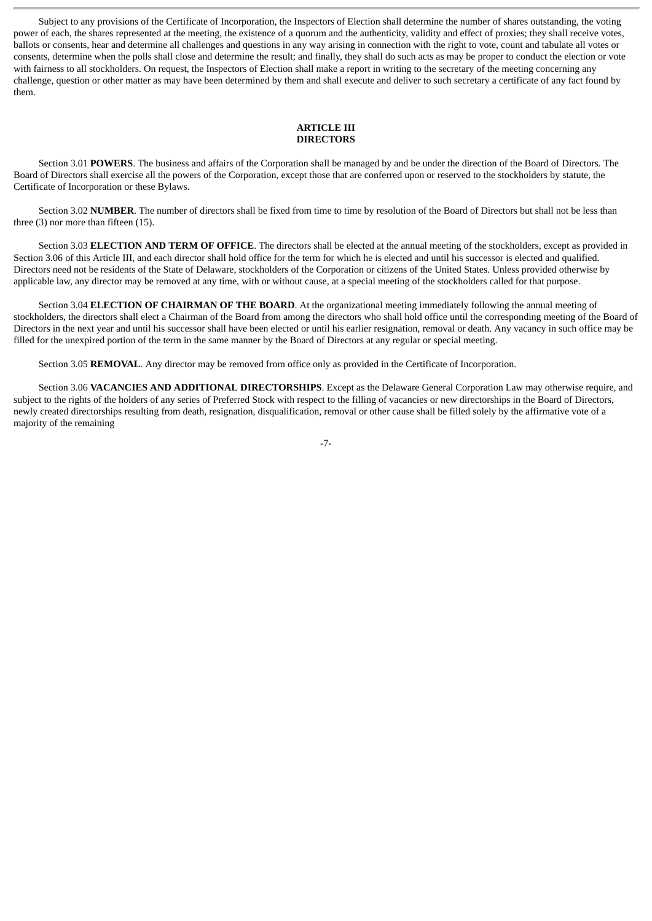Subject to any provisions of the Certificate of Incorporation, the Inspectors of Election shall determine the number of shares outstanding, the voting power of each, the shares represented at the meeting, the existence of a quorum and the authenticity, validity and effect of proxies; they shall receive votes, ballots or consents, hear and determine all challenges and questions in any way arising in connection with the right to vote, count and tabulate all votes or consents, determine when the polls shall close and determine the result; and finally, they shall do such acts as may be proper to conduct the election or vote with fairness to all stockholders. On request, the Inspectors of Election shall make a report in writing to the secretary of the meeting concerning any challenge, question or other matter as may have been determined by them and shall execute and deliver to such secretary a certificate of any fact found by them.

## **ARTICLE III DIRECTORS**

Section 3.01 **POWERS**. The business and affairs of the Corporation shall be managed by and be under the direction of the Board of Directors. The Board of Directors shall exercise all the powers of the Corporation, except those that are conferred upon or reserved to the stockholders by statute, the Certificate of Incorporation or these Bylaws.

Section 3.02 **NUMBER**. The number of directors shall be fixed from time to time by resolution of the Board of Directors but shall not be less than three (3) nor more than fifteen (15).

Section 3.03 **ELECTION AND TERM OF OFFICE**. The directors shall be elected at the annual meeting of the stockholders, except as provided in Section 3.06 of this Article III, and each director shall hold office for the term for which he is elected and until his successor is elected and qualified. Directors need not be residents of the State of Delaware, stockholders of the Corporation or citizens of the United States. Unless provided otherwise by applicable law, any director may be removed at any time, with or without cause, at a special meeting of the stockholders called for that purpose.

Section 3.04 **ELECTION OF CHAIRMAN OF THE BOARD**. At the organizational meeting immediately following the annual meeting of stockholders, the directors shall elect a Chairman of the Board from among the directors who shall hold office until the corresponding meeting of the Board of Directors in the next year and until his successor shall have been elected or until his earlier resignation, removal or death. Any vacancy in such office may be filled for the unexpired portion of the term in the same manner by the Board of Directors at any regular or special meeting.

Section 3.05 **REMOVAL**. Any director may be removed from office only as provided in the Certificate of Incorporation.

Section 3.06 **VACANCIES AND ADDITIONAL DIRECTORSHIPS**. Except as the Delaware General Corporation Law may otherwise require, and subject to the rights of the holders of any series of Preferred Stock with respect to the filling of vacancies or new directorships in the Board of Directors, newly created directorships resulting from death, resignation, disqualification, removal or other cause shall be filled solely by the affirmative vote of a majority of the remaining

-7-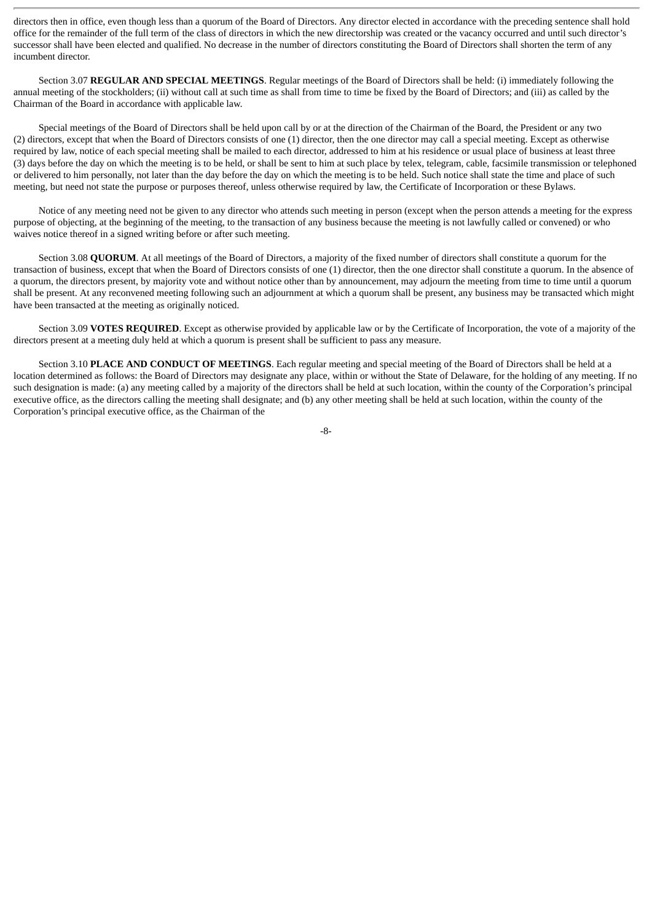directors then in office, even though less than a quorum of the Board of Directors. Any director elected in accordance with the preceding sentence shall hold office for the remainder of the full term of the class of directors in which the new directorship was created or the vacancy occurred and until such director's successor shall have been elected and qualified. No decrease in the number of directors constituting the Board of Directors shall shorten the term of any incumbent director.

Section 3.07 **REGULAR AND SPECIAL MEETINGS**. Regular meetings of the Board of Directors shall be held: (i) immediately following the annual meeting of the stockholders; (ii) without call at such time as shall from time to time be fixed by the Board of Directors; and (iii) as called by the Chairman of the Board in accordance with applicable law.

Special meetings of the Board of Directors shall be held upon call by or at the direction of the Chairman of the Board, the President or any two (2) directors, except that when the Board of Directors consists of one (1) director, then the one director may call a special meeting. Except as otherwise required by law, notice of each special meeting shall be mailed to each director, addressed to him at his residence or usual place of business at least three (3) days before the day on which the meeting is to be held, or shall be sent to him at such place by telex, telegram, cable, facsimile transmission or telephoned or delivered to him personally, not later than the day before the day on which the meeting is to be held. Such notice shall state the time and place of such meeting, but need not state the purpose or purposes thereof, unless otherwise required by law, the Certificate of Incorporation or these Bylaws.

Notice of any meeting need not be given to any director who attends such meeting in person (except when the person attends a meeting for the express purpose of objecting, at the beginning of the meeting, to the transaction of any business because the meeting is not lawfully called or convened) or who waives notice thereof in a signed writing before or after such meeting.

Section 3.08 **QUORUM**. At all meetings of the Board of Directors, a majority of the fixed number of directors shall constitute a quorum for the transaction of business, except that when the Board of Directors consists of one (1) director, then the one director shall constitute a quorum. In the absence of a quorum, the directors present, by majority vote and without notice other than by announcement, may adjourn the meeting from time to time until a quorum shall be present. At any reconvened meeting following such an adjournment at which a quorum shall be present, any business may be transacted which might have been transacted at the meeting as originally noticed.

Section 3.09 **VOTES REQUIRED**. Except as otherwise provided by applicable law or by the Certificate of Incorporation, the vote of a majority of the directors present at a meeting duly held at which a quorum is present shall be sufficient to pass any measure.

Section 3.10 **PLACE AND CONDUCT OF MEETINGS**. Each regular meeting and special meeting of the Board of Directors shall be held at a location determined as follows: the Board of Directors may designate any place, within or without the State of Delaware, for the holding of any meeting. If no such designation is made: (a) any meeting called by a majority of the directors shall be held at such location, within the county of the Corporation's principal executive office, as the directors calling the meeting shall designate; and (b) any other meeting shall be held at such location, within the county of the Corporation's principal executive office, as the Chairman of the

-8-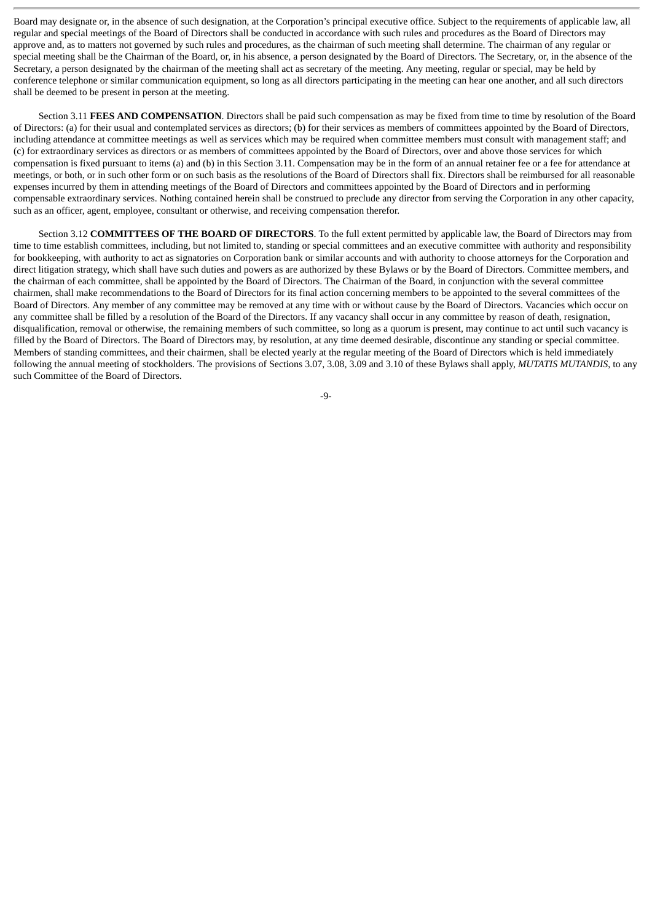Board may designate or, in the absence of such designation, at the Corporation's principal executive office. Subject to the requirements of applicable law, all regular and special meetings of the Board of Directors shall be conducted in accordance with such rules and procedures as the Board of Directors may approve and, as to matters not governed by such rules and procedures, as the chairman of such meeting shall determine. The chairman of any regular or special meeting shall be the Chairman of the Board, or, in his absence, a person designated by the Board of Directors. The Secretary, or, in the absence of the Secretary, a person designated by the chairman of the meeting shall act as secretary of the meeting. Any meeting, regular or special, may be held by conference telephone or similar communication equipment, so long as all directors participating in the meeting can hear one another, and all such directors shall be deemed to be present in person at the meeting.

Section 3.11 **FEES AND COMPENSATION**. Directors shall be paid such compensation as may be fixed from time to time by resolution of the Board of Directors: (a) for their usual and contemplated services as directors; (b) for their services as members of committees appointed by the Board of Directors, including attendance at committee meetings as well as services which may be required when committee members must consult with management staff; and (c) for extraordinary services as directors or as members of committees appointed by the Board of Directors, over and above those services for which compensation is fixed pursuant to items (a) and (b) in this Section 3.11. Compensation may be in the form of an annual retainer fee or a fee for attendance at meetings, or both, or in such other form or on such basis as the resolutions of the Board of Directors shall fix. Directors shall be reimbursed for all reasonable expenses incurred by them in attending meetings of the Board of Directors and committees appointed by the Board of Directors and in performing compensable extraordinary services. Nothing contained herein shall be construed to preclude any director from serving the Corporation in any other capacity, such as an officer, agent, employee, consultant or otherwise, and receiving compensation therefor.

Section 3.12 **COMMITTEES OF THE BOARD OF DIRECTORS**. To the full extent permitted by applicable law, the Board of Directors may from time to time establish committees, including, but not limited to, standing or special committees and an executive committee with authority and responsibility for bookkeeping, with authority to act as signatories on Corporation bank or similar accounts and with authority to choose attorneys for the Corporation and direct litigation strategy, which shall have such duties and powers as are authorized by these Bylaws or by the Board of Directors. Committee members, and the chairman of each committee, shall be appointed by the Board of Directors. The Chairman of the Board, in conjunction with the several committee chairmen, shall make recommendations to the Board of Directors for its final action concerning members to be appointed to the several committees of the Board of Directors. Any member of any committee may be removed at any time with or without cause by the Board of Directors. Vacancies which occur on any committee shall be filled by a resolution of the Board of the Directors. If any vacancy shall occur in any committee by reason of death, resignation, disqualification, removal or otherwise, the remaining members of such committee, so long as a quorum is present, may continue to act until such vacancy is filled by the Board of Directors. The Board of Directors may, by resolution, at any time deemed desirable, discontinue any standing or special committee. Members of standing committees, and their chairmen, shall be elected yearly at the regular meeting of the Board of Directors which is held immediately following the annual meeting of stockholders. The provisions of Sections 3.07, 3.08, 3.09 and 3.10 of these Bylaws shall apply, *MUTATIS MUTANDIS*, to any such Committee of the Board of Directors.

-9-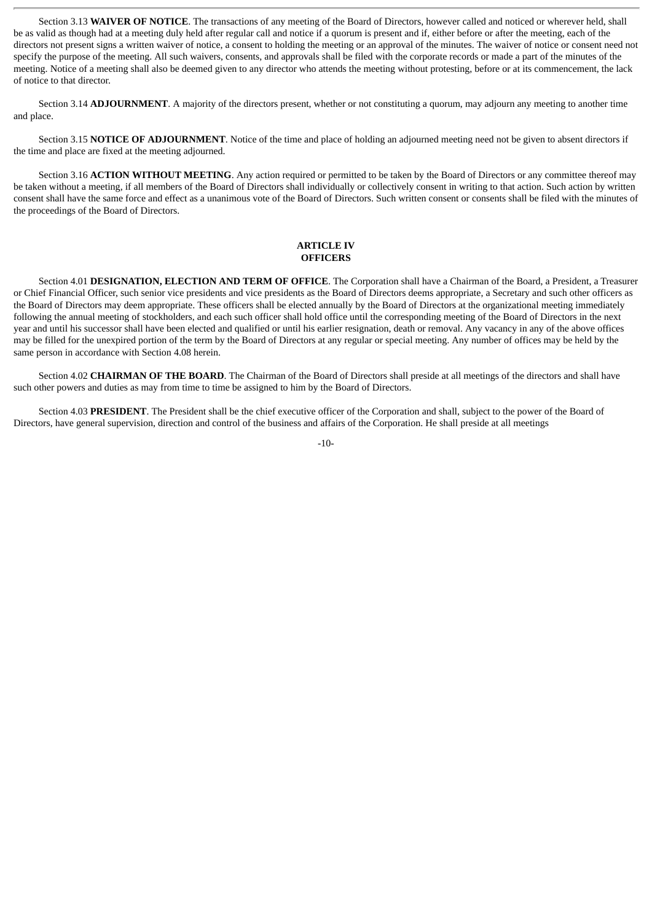Section 3.13 **WAIVER OF NOTICE**. The transactions of any meeting of the Board of Directors, however called and noticed or wherever held, shall be as valid as though had at a meeting duly held after regular call and notice if a quorum is present and if, either before or after the meeting, each of the directors not present signs a written waiver of notice, a consent to holding the meeting or an approval of the minutes. The waiver of notice or consent need not specify the purpose of the meeting. All such waivers, consents, and approvals shall be filed with the corporate records or made a part of the minutes of the meeting. Notice of a meeting shall also be deemed given to any director who attends the meeting without protesting, before or at its commencement, the lack of notice to that director.

Section 3.14 **ADJOURNMENT**. A majority of the directors present, whether or not constituting a quorum, may adjourn any meeting to another time and place.

Section 3.15 **NOTICE OF ADJOURNMENT**. Notice of the time and place of holding an adjourned meeting need not be given to absent directors if the time and place are fixed at the meeting adjourned.

Section 3.16 **ACTION WITHOUT MEETING**. Any action required or permitted to be taken by the Board of Directors or any committee thereof may be taken without a meeting, if all members of the Board of Directors shall individually or collectively consent in writing to that action. Such action by written consent shall have the same force and effect as a unanimous vote of the Board of Directors. Such written consent or consents shall be filed with the minutes of the proceedings of the Board of Directors.

## **ARTICLE IV OFFICERS**

Section 4.01 **DESIGNATION, ELECTION AND TERM OF OFFICE**. The Corporation shall have a Chairman of the Board, a President, a Treasurer or Chief Financial Officer, such senior vice presidents and vice presidents as the Board of Directors deems appropriate, a Secretary and such other officers as the Board of Directors may deem appropriate. These officers shall be elected annually by the Board of Directors at the organizational meeting immediately following the annual meeting of stockholders, and each such officer shall hold office until the corresponding meeting of the Board of Directors in the next year and until his successor shall have been elected and qualified or until his earlier resignation, death or removal. Any vacancy in any of the above offices may be filled for the unexpired portion of the term by the Board of Directors at any regular or special meeting. Any number of offices may be held by the same person in accordance with Section 4.08 herein.

Section 4.02 **CHAIRMAN OF THE BOARD**. The Chairman of the Board of Directors shall preside at all meetings of the directors and shall have such other powers and duties as may from time to time be assigned to him by the Board of Directors.

Section 4.03 **PRESIDENT**. The President shall be the chief executive officer of the Corporation and shall, subject to the power of the Board of Directors, have general supervision, direction and control of the business and affairs of the Corporation. He shall preside at all meetings

-10-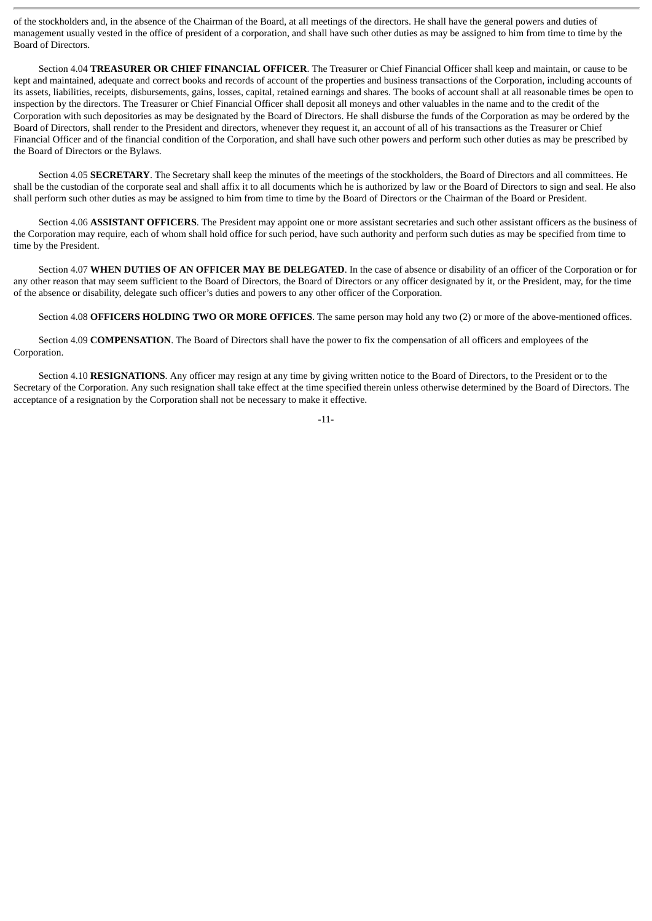of the stockholders and, in the absence of the Chairman of the Board, at all meetings of the directors. He shall have the general powers and duties of management usually vested in the office of president of a corporation, and shall have such other duties as may be assigned to him from time to time by the Board of Directors.

Section 4.04 **TREASURER OR CHIEF FINANCIAL OFFICER**. The Treasurer or Chief Financial Officer shall keep and maintain, or cause to be kept and maintained, adequate and correct books and records of account of the properties and business transactions of the Corporation, including accounts of its assets, liabilities, receipts, disbursements, gains, losses, capital, retained earnings and shares. The books of account shall at all reasonable times be open to inspection by the directors. The Treasurer or Chief Financial Officer shall deposit all moneys and other valuables in the name and to the credit of the Corporation with such depositories as may be designated by the Board of Directors. He shall disburse the funds of the Corporation as may be ordered by the Board of Directors, shall render to the President and directors, whenever they request it, an account of all of his transactions as the Treasurer or Chief Financial Officer and of the financial condition of the Corporation, and shall have such other powers and perform such other duties as may be prescribed by the Board of Directors or the Bylaws.

Section 4.05 **SECRETARY**. The Secretary shall keep the minutes of the meetings of the stockholders, the Board of Directors and all committees. He shall be the custodian of the corporate seal and shall affix it to all documents which he is authorized by law or the Board of Directors to sign and seal. He also shall perform such other duties as may be assigned to him from time to time by the Board of Directors or the Chairman of the Board or President.

Section 4.06 **ASSISTANT OFFICERS**. The President may appoint one or more assistant secretaries and such other assistant officers as the business of the Corporation may require, each of whom shall hold office for such period, have such authority and perform such duties as may be specified from time to time by the President.

Section 4.07 **WHEN DUTIES OF AN OFFICER MAY BE DELEGATED**. In the case of absence or disability of an officer of the Corporation or for any other reason that may seem sufficient to the Board of Directors, the Board of Directors or any officer designated by it, or the President, may, for the time of the absence or disability, delegate such officer's duties and powers to any other officer of the Corporation.

Section 4.08 **OFFICERS HOLDING TWO OR MORE OFFICES**. The same person may hold any two (2) or more of the above-mentioned offices.

Section 4.09 **COMPENSATION**. The Board of Directors shall have the power to fix the compensation of all officers and employees of the Corporation.

Section 4.10 **RESIGNATIONS**. Any officer may resign at any time by giving written notice to the Board of Directors, to the President or to the Secretary of the Corporation. Any such resignation shall take effect at the time specified therein unless otherwise determined by the Board of Directors. The acceptance of a resignation by the Corporation shall not be necessary to make it effective.

-11-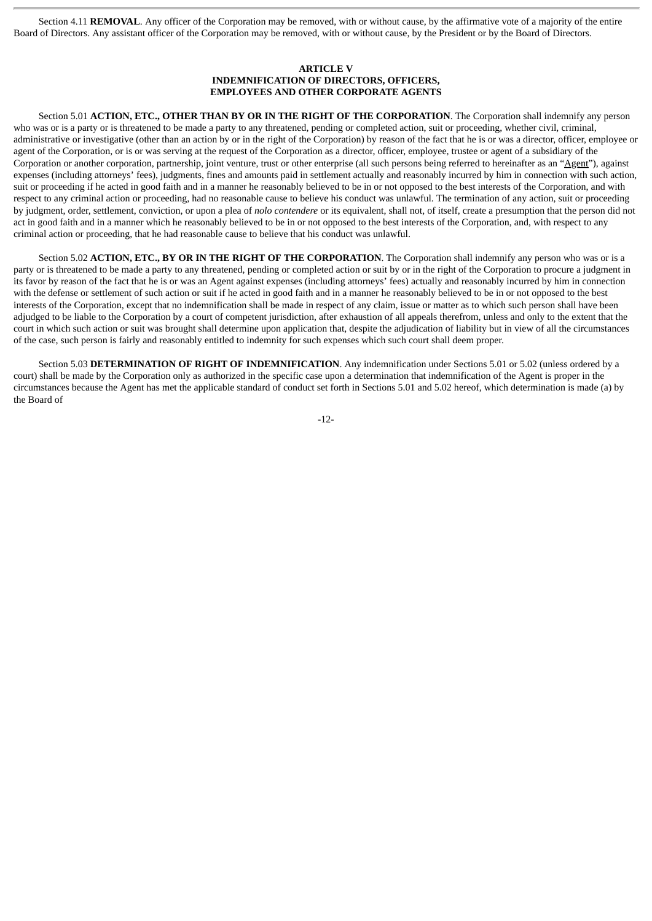Section 4.11 **REMOVAL**. Any officer of the Corporation may be removed, with or without cause, by the affirmative vote of a majority of the entire Board of Directors. Any assistant officer of the Corporation may be removed, with or without cause, by the President or by the Board of Directors.

## **ARTICLE V INDEMNIFICATION OF DIRECTORS, OFFICERS, EMPLOYEES AND OTHER CORPORATE AGENTS**

Section 5.01 **ACTION, ETC., OTHER THAN BY OR IN THE RIGHT OF THE CORPORATION**. The Corporation shall indemnify any person who was or is a party or is threatened to be made a party to any threatened, pending or completed action, suit or proceeding, whether civil, criminal, administrative or investigative (other than an action by or in the right of the Corporation) by reason of the fact that he is or was a director, officer, employee or agent of the Corporation, or is or was serving at the request of the Corporation as a director, officer, employee, trustee or agent of a subsidiary of the Corporation or another corporation, partnership, joint venture, trust or other enterprise (all such persons being referred to hereinafter as an "Agent"), against expenses (including attorneys' fees), judgments, fines and amounts paid in settlement actually and reasonably incurred by him in connection with such action, suit or proceeding if he acted in good faith and in a manner he reasonably believed to be in or not opposed to the best interests of the Corporation, and with respect to any criminal action or proceeding, had no reasonable cause to believe his conduct was unlawful. The termination of any action, suit or proceeding by judgment, order, settlement, conviction, or upon a plea of *nolo contendere* or its equivalent, shall not, of itself, create a presumption that the person did not act in good faith and in a manner which he reasonably believed to be in or not opposed to the best interests of the Corporation, and, with respect to any criminal action or proceeding, that he had reasonable cause to believe that his conduct was unlawful.

Section 5.02 **ACTION, ETC., BY OR IN THE RIGHT OF THE CORPORATION**. The Corporation shall indemnify any person who was or is a party or is threatened to be made a party to any threatened, pending or completed action or suit by or in the right of the Corporation to procure a judgment in its favor by reason of the fact that he is or was an Agent against expenses (including attorneys' fees) actually and reasonably incurred by him in connection with the defense or settlement of such action or suit if he acted in good faith and in a manner he reasonably believed to be in or not opposed to the best interests of the Corporation, except that no indemnification shall be made in respect of any claim, issue or matter as to which such person shall have been adjudged to be liable to the Corporation by a court of competent jurisdiction, after exhaustion of all appeals therefrom, unless and only to the extent that the court in which such action or suit was brought shall determine upon application that, despite the adjudication of liability but in view of all the circumstances of the case, such person is fairly and reasonably entitled to indemnity for such expenses which such court shall deem proper.

Section 5.03 **DETERMINATION OF RIGHT OF INDEMNIFICATION**. Any indemnification under Sections 5.01 or 5.02 (unless ordered by a court) shall be made by the Corporation only as authorized in the specific case upon a determination that indemnification of the Agent is proper in the circumstances because the Agent has met the applicable standard of conduct set forth in Sections 5.01 and 5.02 hereof, which determination is made (a) by the Board of

-12-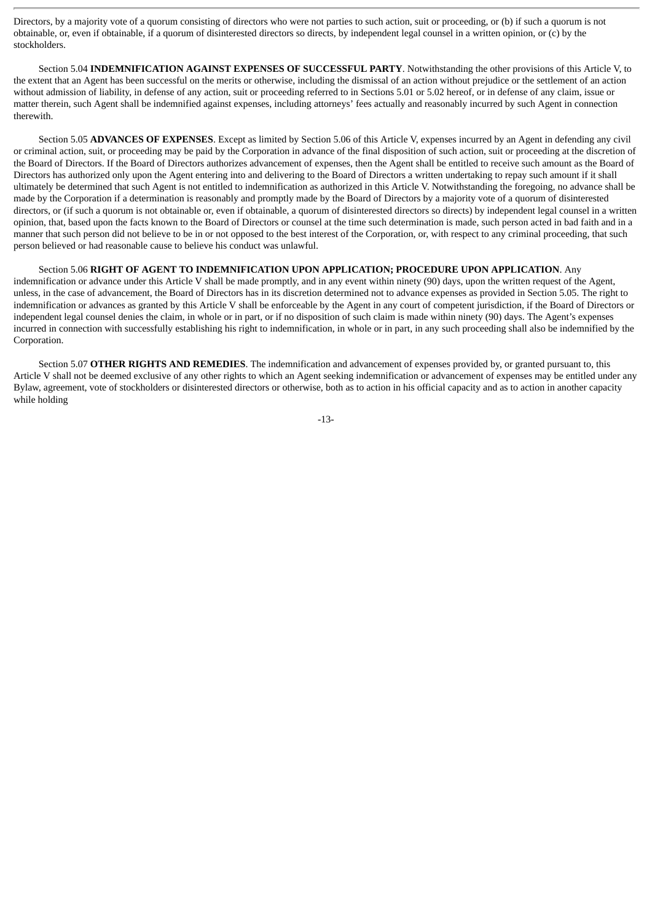Directors, by a majority vote of a quorum consisting of directors who were not parties to such action, suit or proceeding, or (b) if such a quorum is not obtainable, or, even if obtainable, if a quorum of disinterested directors so directs, by independent legal counsel in a written opinion, or (c) by the stockholders.

Section 5.04 **INDEMNIFICATION AGAINST EXPENSES OF SUCCESSFUL PARTY**. Notwithstanding the other provisions of this Article V, to the extent that an Agent has been successful on the merits or otherwise, including the dismissal of an action without prejudice or the settlement of an action without admission of liability, in defense of any action, suit or proceeding referred to in Sections 5.01 or 5.02 hereof, or in defense of any claim, issue or matter therein, such Agent shall be indemnified against expenses, including attorneys' fees actually and reasonably incurred by such Agent in connection therewith.

Section 5.05 **ADVANCES OF EXPENSES**. Except as limited by Section 5.06 of this Article V, expenses incurred by an Agent in defending any civil or criminal action, suit, or proceeding may be paid by the Corporation in advance of the final disposition of such action, suit or proceeding at the discretion of the Board of Directors. If the Board of Directors authorizes advancement of expenses, then the Agent shall be entitled to receive such amount as the Board of Directors has authorized only upon the Agent entering into and delivering to the Board of Directors a written undertaking to repay such amount if it shall ultimately be determined that such Agent is not entitled to indemnification as authorized in this Article V. Notwithstanding the foregoing, no advance shall be made by the Corporation if a determination is reasonably and promptly made by the Board of Directors by a majority vote of a quorum of disinterested directors, or (if such a quorum is not obtainable or, even if obtainable, a quorum of disinterested directors so directs) by independent legal counsel in a written opinion, that, based upon the facts known to the Board of Directors or counsel at the time such determination is made, such person acted in bad faith and in a manner that such person did not believe to be in or not opposed to the best interest of the Corporation, or, with respect to any criminal proceeding, that such person believed or had reasonable cause to believe his conduct was unlawful.

Section 5.06 **RIGHT OF AGENT TO INDEMNIFICATION UPON APPLICATION; PROCEDURE UPON APPLICATION**. Any indemnification or advance under this Article V shall be made promptly, and in any event within ninety (90) days, upon the written request of the Agent, unless, in the case of advancement, the Board of Directors has in its discretion determined not to advance expenses as provided in Section 5.05. The right to indemnification or advances as granted by this Article V shall be enforceable by the Agent in any court of competent jurisdiction, if the Board of Directors or independent legal counsel denies the claim, in whole or in part, or if no disposition of such claim is made within ninety (90) days. The Agent's expenses incurred in connection with successfully establishing his right to indemnification, in whole or in part, in any such proceeding shall also be indemnified by the Corporation.

Section 5.07 **OTHER RIGHTS AND REMEDIES**. The indemnification and advancement of expenses provided by, or granted pursuant to, this Article V shall not be deemed exclusive of any other rights to which an Agent seeking indemnification or advancement of expenses may be entitled under any Bylaw, agreement, vote of stockholders or disinterested directors or otherwise, both as to action in his official capacity and as to action in another capacity while holding

-13-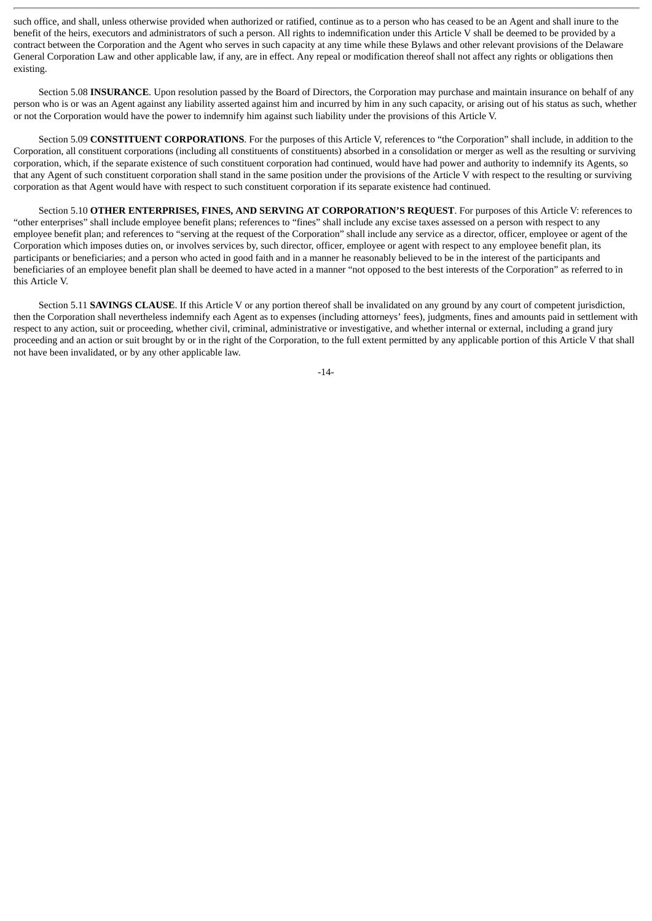such office, and shall, unless otherwise provided when authorized or ratified, continue as to a person who has ceased to be an Agent and shall inure to the benefit of the heirs, executors and administrators of such a person. All rights to indemnification under this Article V shall be deemed to be provided by a contract between the Corporation and the Agent who serves in such capacity at any time while these Bylaws and other relevant provisions of the Delaware General Corporation Law and other applicable law, if any, are in effect. Any repeal or modification thereof shall not affect any rights or obligations then existing.

Section 5.08 **INSURANCE**. Upon resolution passed by the Board of Directors, the Corporation may purchase and maintain insurance on behalf of any person who is or was an Agent against any liability asserted against him and incurred by him in any such capacity, or arising out of his status as such, whether or not the Corporation would have the power to indemnify him against such liability under the provisions of this Article V.

Section 5.09 **CONSTITUENT CORPORATIONS**. For the purposes of this Article V, references to "the Corporation" shall include, in addition to the Corporation, all constituent corporations (including all constituents of constituents) absorbed in a consolidation or merger as well as the resulting or surviving corporation, which, if the separate existence of such constituent corporation had continued, would have had power and authority to indemnify its Agents, so that any Agent of such constituent corporation shall stand in the same position under the provisions of the Article V with respect to the resulting or surviving corporation as that Agent would have with respect to such constituent corporation if its separate existence had continued.

Section 5.10 **OTHER ENTERPRISES, FINES, AND SERVING AT CORPORATION'S REQUEST**. For purposes of this Article V: references to "other enterprises" shall include employee benefit plans; references to "fines" shall include any excise taxes assessed on a person with respect to any employee benefit plan; and references to "serving at the request of the Corporation" shall include any service as a director, officer, employee or agent of the Corporation which imposes duties on, or involves services by, such director, officer, employee or agent with respect to any employee benefit plan, its participants or beneficiaries; and a person who acted in good faith and in a manner he reasonably believed to be in the interest of the participants and beneficiaries of an employee benefit plan shall be deemed to have acted in a manner "not opposed to the best interests of the Corporation" as referred to in this Article V.

Section 5.11 **SAVINGS CLAUSE**. If this Article V or any portion thereof shall be invalidated on any ground by any court of competent jurisdiction, then the Corporation shall nevertheless indemnify each Agent as to expenses (including attorneys' fees), judgments, fines and amounts paid in settlement with respect to any action, suit or proceeding, whether civil, criminal, administrative or investigative, and whether internal or external, including a grand jury proceeding and an action or suit brought by or in the right of the Corporation, to the full extent permitted by any applicable portion of this Article V that shall not have been invalidated, or by any other applicable law.

-14-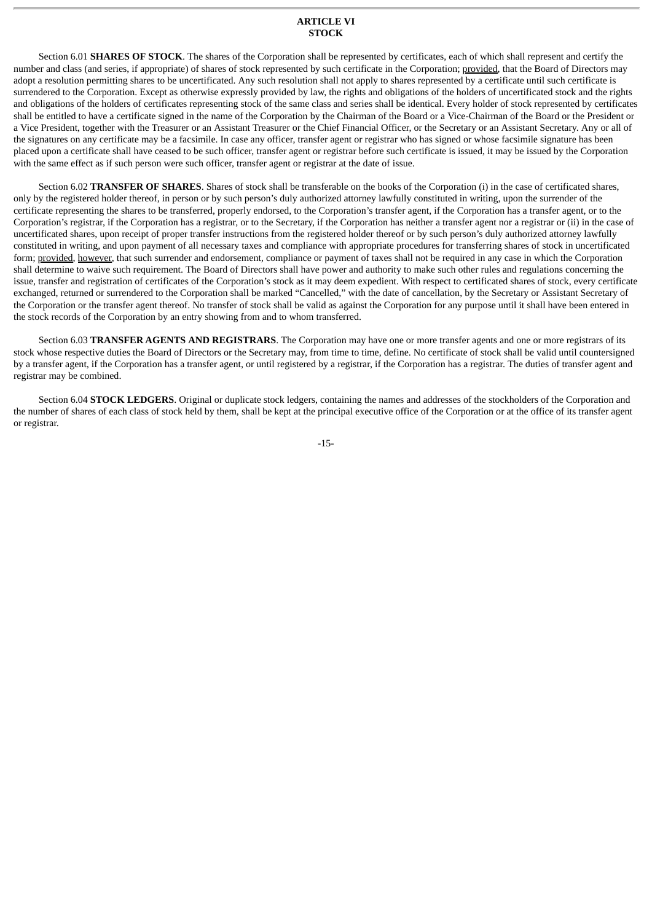#### **ARTICLE VI STOCK**

Section 6.01 **SHARES OF STOCK**. The shares of the Corporation shall be represented by certificates, each of which shall represent and certify the number and class (and series, if appropriate) of shares of stock represented by such certificate in the Corporation; provided, that the Board of Directors may adopt a resolution permitting shares to be uncertificated. Any such resolution shall not apply to shares represented by a certificate until such certificate is surrendered to the Corporation. Except as otherwise expressly provided by law, the rights and obligations of the holders of uncertificated stock and the rights and obligations of the holders of certificates representing stock of the same class and series shall be identical. Every holder of stock represented by certificates shall be entitled to have a certificate signed in the name of the Corporation by the Chairman of the Board or a Vice-Chairman of the Board or the President or a Vice President, together with the Treasurer or an Assistant Treasurer or the Chief Financial Officer, or the Secretary or an Assistant Secretary. Any or all of the signatures on any certificate may be a facsimile. In case any officer, transfer agent or registrar who has signed or whose facsimile signature has been placed upon a certificate shall have ceased to be such officer, transfer agent or registrar before such certificate is issued, it may be issued by the Corporation with the same effect as if such person were such officer, transfer agent or registrar at the date of issue.

Section 6.02 **TRANSFER OF SHARES**. Shares of stock shall be transferable on the books of the Corporation (i) in the case of certificated shares, only by the registered holder thereof, in person or by such person's duly authorized attorney lawfully constituted in writing, upon the surrender of the certificate representing the shares to be transferred, properly endorsed, to the Corporation's transfer agent, if the Corporation has a transfer agent, or to the Corporation's registrar, if the Corporation has a registrar, or to the Secretary, if the Corporation has neither a transfer agent nor a registrar or (ii) in the case of uncertificated shares, upon receipt of proper transfer instructions from the registered holder thereof or by such person's duly authorized attorney lawfully constituted in writing, and upon payment of all necessary taxes and compliance with appropriate procedures for transferring shares of stock in uncertificated form; provided, however, that such surrender and endorsement, compliance or payment of taxes shall not be required in any case in which the Corporation shall determine to waive such requirement. The Board of Directors shall have power and authority to make such other rules and regulations concerning the issue, transfer and registration of certificates of the Corporation's stock as it may deem expedient. With respect to certificated shares of stock, every certificate exchanged, returned or surrendered to the Corporation shall be marked "Cancelled," with the date of cancellation, by the Secretary or Assistant Secretary of the Corporation or the transfer agent thereof. No transfer of stock shall be valid as against the Corporation for any purpose until it shall have been entered in the stock records of the Corporation by an entry showing from and to whom transferred.

Section 6.03 **TRANSFER AGENTS AND REGISTRARS**. The Corporation may have one or more transfer agents and one or more registrars of its stock whose respective duties the Board of Directors or the Secretary may, from time to time, define. No certificate of stock shall be valid until countersigned by a transfer agent, if the Corporation has a transfer agent, or until registered by a registrar, if the Corporation has a registrar. The duties of transfer agent and registrar may be combined.

Section 6.04 **STOCK LEDGERS**. Original or duplicate stock ledgers, containing the names and addresses of the stockholders of the Corporation and the number of shares of each class of stock held by them, shall be kept at the principal executive office of the Corporation or at the office of its transfer agent or registrar.

-15-